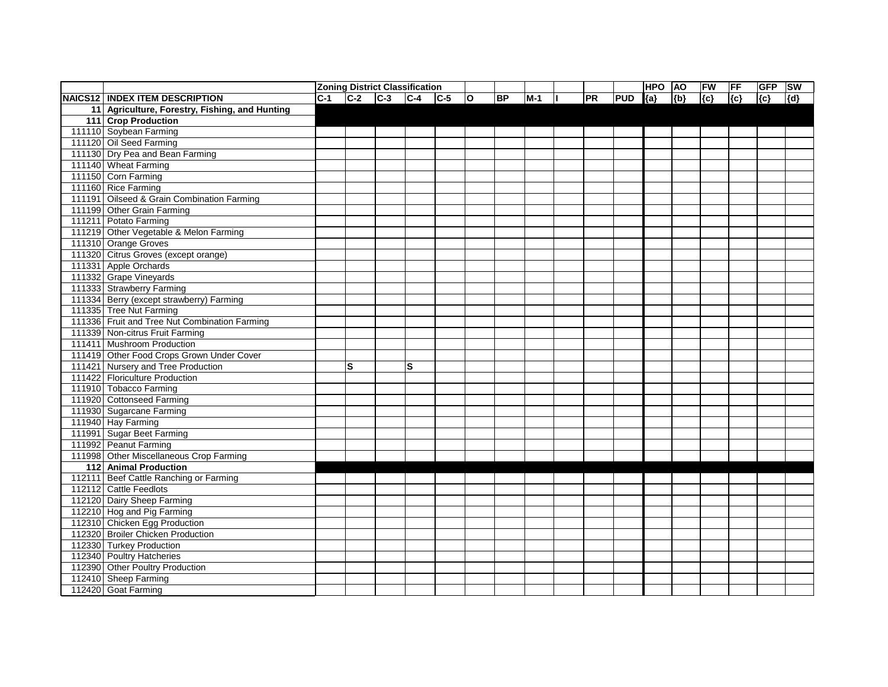|                                                |            |   | <b>Zoning District Classification</b> |             |           |       |           |            | <b>HPO</b> | <b>AO</b> | FW      | FF  | <b>GFP</b> | <b>SW</b> |
|------------------------------------------------|------------|---|---------------------------------------|-------------|-----------|-------|-----------|------------|------------|-----------|---------|-----|------------|-----------|
| NAICS12   INDEX ITEM DESCRIPTION               | <b>C-1</b> |   | $ C-2 C-3 C-4 C-5$                    | $ 0\rangle$ | <b>BP</b> | $M-1$ | <b>PR</b> | <b>PUD</b> | ${a}$      | ${b}$     | $\{c\}$ | {c} | ${c}$      | {d}       |
| 11 Agriculture, Forestry, Fishing, and Hunting |            |   |                                       |             |           |       |           |            |            |           |         |     |            |           |
| 111 Crop Production                            |            |   |                                       |             |           |       |           |            |            |           |         |     |            |           |
| 111110 Soybean Farming                         |            |   |                                       |             |           |       |           |            |            |           |         |     |            |           |
| 111120 Oil Seed Farming                        |            |   |                                       |             |           |       |           |            |            |           |         |     |            |           |
| 111130 Dry Pea and Bean Farming                |            |   |                                       |             |           |       |           |            |            |           |         |     |            |           |
| 111140 Wheat Farming                           |            |   |                                       |             |           |       |           |            |            |           |         |     |            |           |
| 111150 Corn Farming                            |            |   |                                       |             |           |       |           |            |            |           |         |     |            |           |
| 111160 Rice Farming                            |            |   |                                       |             |           |       |           |            |            |           |         |     |            |           |
| 111191 Oilseed & Grain Combination Farming     |            |   |                                       |             |           |       |           |            |            |           |         |     |            |           |
| 111199 Other Grain Farming                     |            |   |                                       |             |           |       |           |            |            |           |         |     |            |           |
| 111211 Potato Farming                          |            |   |                                       |             |           |       |           |            |            |           |         |     |            |           |
| 111219 Other Vegetable & Melon Farming         |            |   |                                       |             |           |       |           |            |            |           |         |     |            |           |
| 111310 Orange Groves                           |            |   |                                       |             |           |       |           |            |            |           |         |     |            |           |
| 111320 Citrus Groves (except orange)           |            |   |                                       |             |           |       |           |            |            |           |         |     |            |           |
| 111331 Apple Orchards                          |            |   |                                       |             |           |       |           |            |            |           |         |     |            |           |
| 111332 Grape Vineyards                         |            |   |                                       |             |           |       |           |            |            |           |         |     |            |           |
| 111333 Strawberry Farming                      |            |   |                                       |             |           |       |           |            |            |           |         |     |            |           |
| 111334 Berry (except strawberry) Farming       |            |   |                                       |             |           |       |           |            |            |           |         |     |            |           |
| 111335 Tree Nut Farming                        |            |   |                                       |             |           |       |           |            |            |           |         |     |            |           |
| 111336 Fruit and Tree Nut Combination Farming  |            |   |                                       |             |           |       |           |            |            |           |         |     |            |           |
| 111339 Non-citrus Fruit Farming                |            |   |                                       |             |           |       |           |            |            |           |         |     |            |           |
| 111411 Mushroom Production                     |            |   |                                       |             |           |       |           |            |            |           |         |     |            |           |
| 111419 Other Food Crops Grown Under Cover      |            |   |                                       |             |           |       |           |            |            |           |         |     |            |           |
| 111421 Nursery and Tree Production             |            | S | $\mathbf{s}$                          |             |           |       |           |            |            |           |         |     |            |           |
| 111422 Floriculture Production                 |            |   |                                       |             |           |       |           |            |            |           |         |     |            |           |
| 111910 Tobacco Farming                         |            |   |                                       |             |           |       |           |            |            |           |         |     |            |           |
| 111920 Cottonseed Farming                      |            |   |                                       |             |           |       |           |            |            |           |         |     |            |           |
| 111930 Sugarcane Farming                       |            |   |                                       |             |           |       |           |            |            |           |         |     |            |           |
| 111940 Hay Farming                             |            |   |                                       |             |           |       |           |            |            |           |         |     |            |           |
| 111991 Sugar Beet Farming                      |            |   |                                       |             |           |       |           |            |            |           |         |     |            |           |
| 111992 Peanut Farming                          |            |   |                                       |             |           |       |           |            |            |           |         |     |            |           |
| 111998 Other Miscellaneous Crop Farming        |            |   |                                       |             |           |       |           |            |            |           |         |     |            |           |
| 112 Animal Production                          |            |   |                                       |             |           |       |           |            |            |           |         |     |            |           |
| 112111 Beef Cattle Ranching or Farming         |            |   |                                       |             |           |       |           |            |            |           |         |     |            |           |
| 112112 Cattle Feedlots                         |            |   |                                       |             |           |       |           |            |            |           |         |     |            |           |
| 112120 Dairy Sheep Farming                     |            |   |                                       |             |           |       |           |            |            |           |         |     |            |           |
| 112210 Hog and Pig Farming                     |            |   |                                       |             |           |       |           |            |            |           |         |     |            |           |
| 112310 Chicken Egg Production                  |            |   |                                       |             |           |       |           |            |            |           |         |     |            |           |
| 112320 Broiler Chicken Production              |            |   |                                       |             |           |       |           |            |            |           |         |     |            |           |
| 112330 Turkey Production                       |            |   |                                       |             |           |       |           |            |            |           |         |     |            |           |
| 112340 Poultry Hatcheries                      |            |   |                                       |             |           |       |           |            |            |           |         |     |            |           |
| 112390 Other Poultry Production                |            |   |                                       |             |           |       |           |            |            |           |         |     |            |           |
| 112410 Sheep Farming                           |            |   |                                       |             |           |       |           |            |            |           |         |     |            |           |
| 112420 Goat Farming                            |            |   |                                       |             |           |       |           |            |            |           |         |     |            |           |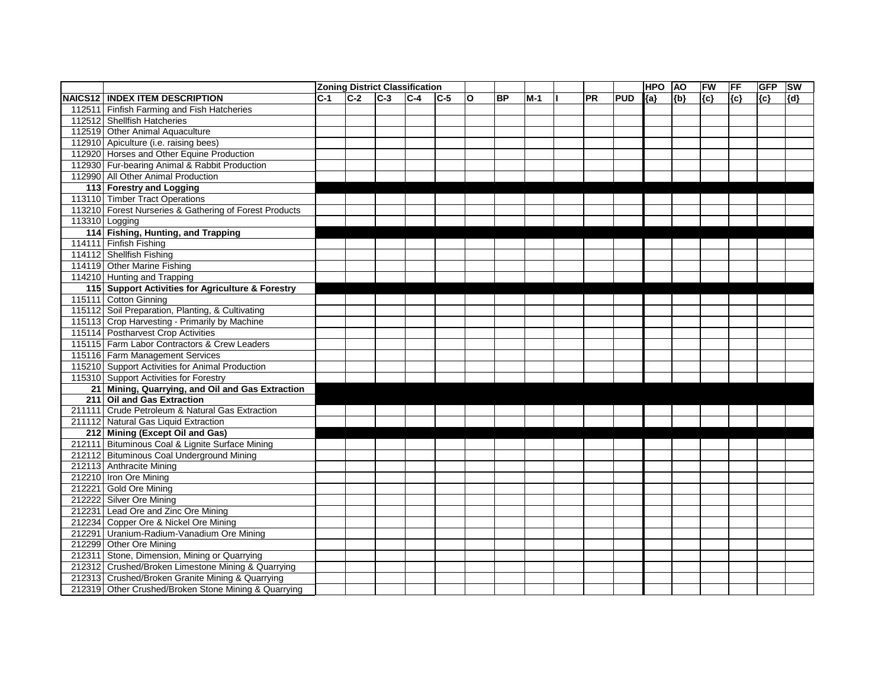|     |                                                        |       |       | <b>Zoning District Classification</b> |         |         |     |           |       |           |            | <b>HPO</b> | <b>AO</b> | FW    | <b>FF</b> | <b>GFP</b> | <b>SW</b> |
|-----|--------------------------------------------------------|-------|-------|---------------------------------------|---------|---------|-----|-----------|-------|-----------|------------|------------|-----------|-------|-----------|------------|-----------|
|     | <b>NAICS12   INDEX ITEM DESCRIPTION</b>                | $C-1$ | $C-2$ | $C-3$                                 | $ C-4 $ | $ C-5 $ | lO. | <b>BP</b> | $M-1$ | <b>PR</b> | <b>PUD</b> | ${a}$      | ${b}$     | ${c}$ | {c}       | ${c}$      | ${d}$     |
|     | 112511 Finfish Farming and Fish Hatcheries             |       |       |                                       |         |         |     |           |       |           |            |            |           |       |           |            |           |
|     | 112512 Shellfish Hatcheries                            |       |       |                                       |         |         |     |           |       |           |            |            |           |       |           |            |           |
|     | 112519 Other Animal Aquaculture                        |       |       |                                       |         |         |     |           |       |           |            |            |           |       |           |            |           |
|     | 112910 Apiculture (i.e. raising bees)                  |       |       |                                       |         |         |     |           |       |           |            |            |           |       |           |            |           |
|     | 112920 Horses and Other Equine Production              |       |       |                                       |         |         |     |           |       |           |            |            |           |       |           |            |           |
|     | 112930 Fur-bearing Animal & Rabbit Production          |       |       |                                       |         |         |     |           |       |           |            |            |           |       |           |            |           |
|     | 112990 All Other Animal Production                     |       |       |                                       |         |         |     |           |       |           |            |            |           |       |           |            |           |
|     | 113 Forestry and Logging                               |       |       |                                       |         |         |     |           |       |           |            |            |           |       |           |            |           |
|     | 113110 Timber Tract Operations                         |       |       |                                       |         |         |     |           |       |           |            |            |           |       |           |            |           |
|     | 113210 Forest Nurseries & Gathering of Forest Products |       |       |                                       |         |         |     |           |       |           |            |            |           |       |           |            |           |
|     | 113310 Logging                                         |       |       |                                       |         |         |     |           |       |           |            |            |           |       |           |            |           |
|     | 114 Fishing, Hunting, and Trapping                     |       |       |                                       |         |         |     |           |       |           |            |            |           |       |           |            |           |
|     | 114111 Finfish Fishing                                 |       |       |                                       |         |         |     |           |       |           |            |            |           |       |           |            |           |
|     | 114112 Shellfish Fishing                               |       |       |                                       |         |         |     |           |       |           |            |            |           |       |           |            |           |
|     | 114119 Other Marine Fishing                            |       |       |                                       |         |         |     |           |       |           |            |            |           |       |           |            |           |
|     | 114210 Hunting and Trapping                            |       |       |                                       |         |         |     |           |       |           |            |            |           |       |           |            |           |
|     | 115 Support Activities for Agriculture & Forestry      |       |       |                                       |         |         |     |           |       |           |            |            |           |       |           |            |           |
|     | 115111 Cotton Ginning                                  |       |       |                                       |         |         |     |           |       |           |            |            |           |       |           |            |           |
|     | 115112 Soil Preparation, Planting, & Cultivating       |       |       |                                       |         |         |     |           |       |           |            |            |           |       |           |            |           |
|     | 115113 Crop Harvesting - Primarily by Machine          |       |       |                                       |         |         |     |           |       |           |            |            |           |       |           |            |           |
|     | 115114 Postharvest Crop Activities                     |       |       |                                       |         |         |     |           |       |           |            |            |           |       |           |            |           |
|     | 115115 Farm Labor Contractors & Crew Leaders           |       |       |                                       |         |         |     |           |       |           |            |            |           |       |           |            |           |
|     | 115116 Farm Management Services                        |       |       |                                       |         |         |     |           |       |           |            |            |           |       |           |            |           |
|     | 115210 Support Activities for Animal Production        |       |       |                                       |         |         |     |           |       |           |            |            |           |       |           |            |           |
|     | 115310 Support Activities for Forestry                 |       |       |                                       |         |         |     |           |       |           |            |            |           |       |           |            |           |
|     | 21 Mining, Quarrying, and Oil and Gas Extraction       |       |       |                                       |         |         |     |           |       |           |            |            |           |       |           |            |           |
| 211 | <b>Oil and Gas Extraction</b>                          |       |       |                                       |         |         |     |           |       |           |            |            |           |       |           |            |           |
|     | 211111 Crude Petroleum & Natural Gas Extraction        |       |       |                                       |         |         |     |           |       |           |            |            |           |       |           |            |           |
|     | 211112 Natural Gas Liquid Extraction                   |       |       |                                       |         |         |     |           |       |           |            |            |           |       |           |            |           |
|     | 212 Mining (Except Oil and Gas)                        |       |       |                                       |         |         |     |           |       |           |            |            |           |       |           |            |           |
|     | 212111 Bituminous Coal & Lignite Surface Mining        |       |       |                                       |         |         |     |           |       |           |            |            |           |       |           |            |           |
|     | 212112 Bituminous Coal Underground Mining              |       |       |                                       |         |         |     |           |       |           |            |            |           |       |           |            |           |
|     | 212113 Anthracite Mining                               |       |       |                                       |         |         |     |           |       |           |            |            |           |       |           |            |           |
|     | 212210 Iron Ore Mining                                 |       |       |                                       |         |         |     |           |       |           |            |            |           |       |           |            |           |
|     | 212221 Gold Ore Mining                                 |       |       |                                       |         |         |     |           |       |           |            |            |           |       |           |            |           |
|     | 212222 Silver Ore Mining                               |       |       |                                       |         |         |     |           |       |           |            |            |           |       |           |            |           |
|     | 212231 Lead Ore and Zinc Ore Mining                    |       |       |                                       |         |         |     |           |       |           |            |            |           |       |           |            |           |
|     | 212234 Copper Ore & Nickel Ore Mining                  |       |       |                                       |         |         |     |           |       |           |            |            |           |       |           |            |           |
|     | 212291 Uranium-Radium-Vanadium Ore Mining              |       |       |                                       |         |         |     |           |       |           |            |            |           |       |           |            |           |
|     | 212299 Other Ore Mining                                |       |       |                                       |         |         |     |           |       |           |            |            |           |       |           |            |           |
|     | 212311 Stone, Dimension, Mining or Quarrying           |       |       |                                       |         |         |     |           |       |           |            |            |           |       |           |            |           |
|     | 212312 Crushed/Broken Limestone Mining & Quarrying     |       |       |                                       |         |         |     |           |       |           |            |            |           |       |           |            |           |
|     | 212313 Crushed/Broken Granite Mining & Quarrying       |       |       |                                       |         |         |     |           |       |           |            |            |           |       |           |            |           |
|     | 212319 Other Crushed/Broken Stone Mining & Quarrying   |       |       |                                       |         |         |     |           |       |           |            |            |           |       |           |            |           |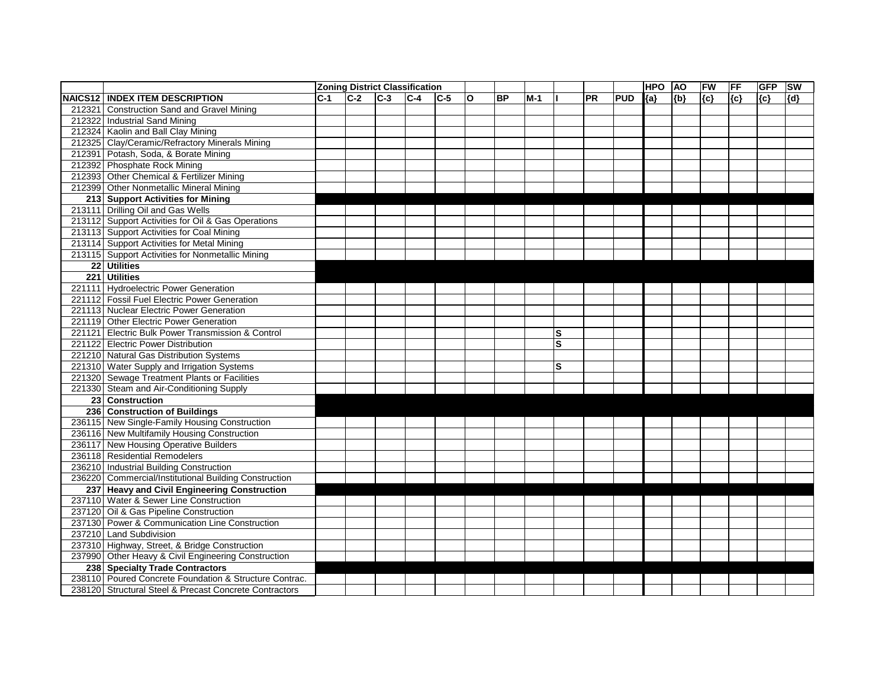|                                                        |       | <b>Zoning District Classification</b> |       |         |       |              |           |       |                         |    |            | <b>HPO</b> | <b>AO</b> | FW    | FF      | <b>GFP</b> | <b>SW</b> |
|--------------------------------------------------------|-------|---------------------------------------|-------|---------|-------|--------------|-----------|-------|-------------------------|----|------------|------------|-----------|-------|---------|------------|-----------|
| <b>NAICS12   INDEX ITEM DESCRIPTION</b>                | $C-1$ | $C-2$                                 | $C-3$ | $ C-4 $ | $C-5$ | $\mathbf{o}$ | <b>BP</b> | $M-1$ |                         | PR | <b>PUD</b> | ${a}$      | ${b}$     | ${c}$ | $\{c\}$ | ${c}$      | {d}       |
| 212321 Construction Sand and Gravel Mining             |       |                                       |       |         |       |              |           |       |                         |    |            |            |           |       |         |            |           |
| 212322 Industrial Sand Mining                          |       |                                       |       |         |       |              |           |       |                         |    |            |            |           |       |         |            |           |
| 212324 Kaolin and Ball Clay Mining                     |       |                                       |       |         |       |              |           |       |                         |    |            |            |           |       |         |            |           |
| 212325 Clay/Ceramic/Refractory Minerals Mining         |       |                                       |       |         |       |              |           |       |                         |    |            |            |           |       |         |            |           |
| 212391 Potash, Soda, & Borate Mining                   |       |                                       |       |         |       |              |           |       |                         |    |            |            |           |       |         |            |           |
| 212392 Phosphate Rock Mining                           |       |                                       |       |         |       |              |           |       |                         |    |            |            |           |       |         |            |           |
| 212393 Other Chemical & Fertilizer Mining              |       |                                       |       |         |       |              |           |       |                         |    |            |            |           |       |         |            |           |
| 212399 Other Nonmetallic Mineral Mining                |       |                                       |       |         |       |              |           |       |                         |    |            |            |           |       |         |            |           |
| 213 Support Activities for Mining                      |       |                                       |       |         |       |              |           |       |                         |    |            |            |           |       |         |            |           |
| 213111 Drilling Oil and Gas Wells                      |       |                                       |       |         |       |              |           |       |                         |    |            |            |           |       |         |            |           |
| 213112 Support Activities for Oil & Gas Operations     |       |                                       |       |         |       |              |           |       |                         |    |            |            |           |       |         |            |           |
| 213113 Support Activities for Coal Mining              |       |                                       |       |         |       |              |           |       |                         |    |            |            |           |       |         |            |           |
| 213114 Support Activities for Metal Mining             |       |                                       |       |         |       |              |           |       |                         |    |            |            |           |       |         |            |           |
| 213115 Support Activities for Nonmetallic Mining       |       |                                       |       |         |       |              |           |       |                         |    |            |            |           |       |         |            |           |
| 22 Utilities                                           |       |                                       |       |         |       |              |           |       |                         |    |            |            |           |       |         |            |           |
| 221 Utilities                                          |       |                                       |       |         |       |              |           |       |                         |    |            |            |           |       |         |            |           |
| 221111 Hydroelectric Power Generation                  |       |                                       |       |         |       |              |           |       |                         |    |            |            |           |       |         |            |           |
| 221112 Fossil Fuel Electric Power Generation           |       |                                       |       |         |       |              |           |       |                         |    |            |            |           |       |         |            |           |
| 221113 Nuclear Electric Power Generation               |       |                                       |       |         |       |              |           |       |                         |    |            |            |           |       |         |            |           |
| 221119 Other Electric Power Generation                 |       |                                       |       |         |       |              |           |       |                         |    |            |            |           |       |         |            |           |
| 221121 Electric Bulk Power Transmission & Control      |       |                                       |       |         |       |              |           |       | $\overline{\mathbf{s}}$ |    |            |            |           |       |         |            |           |
| 221122 Electric Power Distribution                     |       |                                       |       |         |       |              |           |       | S                       |    |            |            |           |       |         |            |           |
| 221210 Natural Gas Distribution Systems                |       |                                       |       |         |       |              |           |       |                         |    |            |            |           |       |         |            |           |
| 221310 Water Supply and Irrigation Systems             |       |                                       |       |         |       |              |           |       | S                       |    |            |            |           |       |         |            |           |
| 221320 Sewage Treatment Plants or Facilities           |       |                                       |       |         |       |              |           |       |                         |    |            |            |           |       |         |            |           |
| 221330 Steam and Air-Conditioning Supply               |       |                                       |       |         |       |              |           |       |                         |    |            |            |           |       |         |            |           |
| 23 Construction                                        |       |                                       |       |         |       |              |           |       |                         |    |            |            |           |       |         |            |           |
| 236 Construction of Buildings                          |       |                                       |       |         |       |              |           |       |                         |    |            |            |           |       |         |            |           |
| 236115 New Single-Family Housing Construction          |       |                                       |       |         |       |              |           |       |                         |    |            |            |           |       |         |            |           |
| 236116 New Multifamily Housing Construction            |       |                                       |       |         |       |              |           |       |                         |    |            |            |           |       |         |            |           |
| 236117 New Housing Operative Builders                  |       |                                       |       |         |       |              |           |       |                         |    |            |            |           |       |         |            |           |
| 236118 Residential Remodelers                          |       |                                       |       |         |       |              |           |       |                         |    |            |            |           |       |         |            |           |
| 236210 Industrial Building Construction                |       |                                       |       |         |       |              |           |       |                         |    |            |            |           |       |         |            |           |
| 236220 Commercial/Institutional Building Construction  |       |                                       |       |         |       |              |           |       |                         |    |            |            |           |       |         |            |           |
| 237 Heavy and Civil Engineering Construction           |       |                                       |       |         |       |              |           |       |                         |    |            |            |           |       |         |            |           |
| 237110 Water & Sewer Line Construction                 |       |                                       |       |         |       |              |           |       |                         |    |            |            |           |       |         |            |           |
| 237120 Oil & Gas Pipeline Construction                 |       |                                       |       |         |       |              |           |       |                         |    |            |            |           |       |         |            |           |
| 237130 Power & Communication Line Construction         |       |                                       |       |         |       |              |           |       |                         |    |            |            |           |       |         |            |           |
| 237210 Land Subdivision                                |       |                                       |       |         |       |              |           |       |                         |    |            |            |           |       |         |            |           |
| 237310 Highway, Street, & Bridge Construction          |       |                                       |       |         |       |              |           |       |                         |    |            |            |           |       |         |            |           |
| 237990 Other Heavy & Civil Engineering Construction    |       |                                       |       |         |       |              |           |       |                         |    |            |            |           |       |         |            |           |
| 238 Specialty Trade Contractors                        |       |                                       |       |         |       |              |           |       |                         |    |            |            |           |       |         |            |           |
| 238110 Poured Concrete Foundation & Structure Contrac. |       |                                       |       |         |       |              |           |       |                         |    |            |            |           |       |         |            |           |
| 238120 Structural Steel & Precast Concrete Contractors |       |                                       |       |         |       |              |           |       |                         |    |            |            |           |       |         |            |           |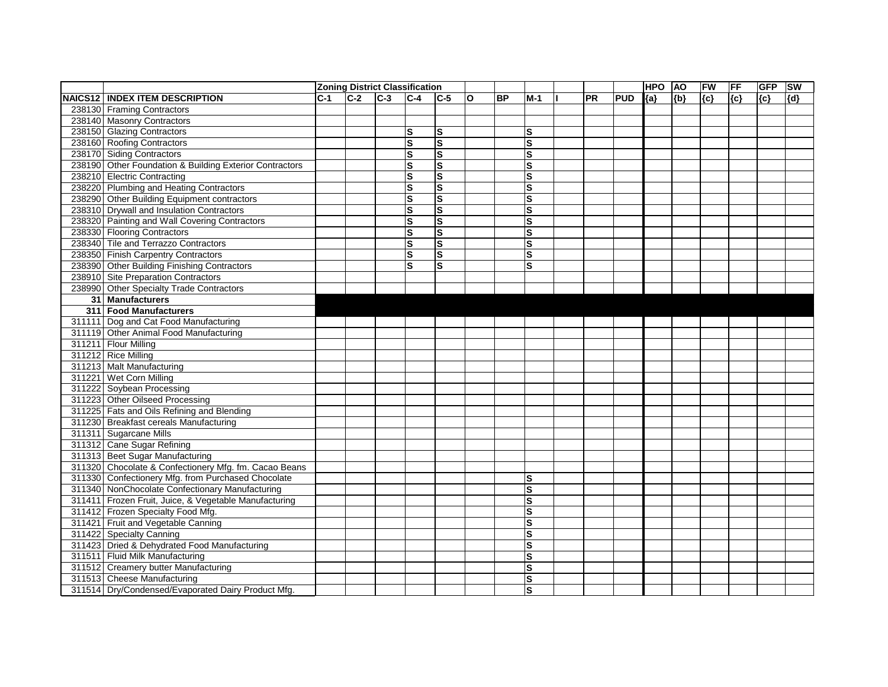|                                                         |       |       |       | <b>Zoning District Classification</b> |              |   |           |                         |    |            | <b>HPO</b> | <b>AO</b> | FW    | FF  | <b>GFP</b> | <b>SW</b> |
|---------------------------------------------------------|-------|-------|-------|---------------------------------------|--------------|---|-----------|-------------------------|----|------------|------------|-----------|-------|-----|------------|-----------|
| <b>NAICS12   INDEX ITEM DESCRIPTION</b>                 | $C-1$ | $C-2$ | $C-3$ | $C-4$                                 | $C-5$        | O | <b>BP</b> | $M-1$                   | PR | <b>PUD</b> | ${a}$      | ${b}$     | ${c}$ | {c} | ${c}$      | ${d}$     |
| 238130 Framing Contractors                              |       |       |       |                                       |              |   |           |                         |    |            |            |           |       |     |            |           |
| 238140 Masonry Contractors                              |       |       |       |                                       |              |   |           |                         |    |            |            |           |       |     |            |           |
| 238150 Glazing Contractors                              |       |       |       | S                                     | $\mathbf s$  |   |           | lS                      |    |            |            |           |       |     |            |           |
| 238160 Roofing Contractors                              |       |       |       | $\overline{\mathbf{s}}$               | $\mathbf{s}$ |   |           | ΙS                      |    |            |            |           |       |     |            |           |
| 238170 Siding Contractors                               |       |       |       | ${\mathbf S}$                         | $\mathbf s$  |   |           | ls                      |    |            |            |           |       |     |            |           |
| 238190 Other Foundation & Building Exterior Contractors |       |       |       | ${\bf S}$                             | $\mathbf{s}$ |   |           | ls                      |    |            |            |           |       |     |            |           |
| 238210 Electric Contracting                             |       |       |       | ${\mathbf S}$                         | S            |   |           | <b>S</b>                |    |            |            |           |       |     |            |           |
| 238220 Plumbing and Heating Contractors                 |       |       |       | ${\mathbf S}$                         | $\mathbf s$  |   |           | s                       |    |            |            |           |       |     |            |           |
| 238290 Other Building Equipment contractors             |       |       |       | $\mathbf s$                           | $\mathbf{s}$ |   |           | ls                      |    |            |            |           |       |     |            |           |
| 238310 Drywall and Insulation Contractors               |       |       |       | ${\mathbf S}$                         | $\mathbf s$  |   |           | ls                      |    |            |            |           |       |     |            |           |
| 238320 Painting and Wall Covering Contractors           |       |       |       | ${\mathbf S}$                         | $\mathbf s$  |   |           | S                       |    |            |            |           |       |     |            |           |
| 238330 Flooring Contractors                             |       |       |       | ${\mathbf S}$                         | $\mathbf{s}$ |   |           | ls                      |    |            |            |           |       |     |            |           |
| 238340 Tile and Terrazzo Contractors                    |       |       |       | ${\mathbf S}$                         | $\mathbf{s}$ |   |           | S                       |    |            |            |           |       |     |            |           |
| 238350 Finish Carpentry Contractors                     |       |       |       | ${\mathbf S}$                         | ${\bf S}$    |   |           | S                       |    |            |            |           |       |     |            |           |
| 238390 Other Building Finishing Contractors             |       |       |       | $\mathbf s$                           | $\mathbf{s}$ |   |           | ΙS                      |    |            |            |           |       |     |            |           |
| 238910 Site Preparation Contractors                     |       |       |       |                                       |              |   |           |                         |    |            |            |           |       |     |            |           |
| 238990 Other Specialty Trade Contractors                |       |       |       |                                       |              |   |           |                         |    |            |            |           |       |     |            |           |
| 31 Manufacturers                                        |       |       |       |                                       |              |   |           |                         |    |            |            |           |       |     |            |           |
| 311 Food Manufacturers                                  |       |       |       |                                       |              |   |           |                         |    |            |            |           |       |     |            |           |
| 311111 Dog and Cat Food Manufacturing                   |       |       |       |                                       |              |   |           |                         |    |            |            |           |       |     |            |           |
| 311119 Other Animal Food Manufacturing                  |       |       |       |                                       |              |   |           |                         |    |            |            |           |       |     |            |           |
| 311211 Flour Milling                                    |       |       |       |                                       |              |   |           |                         |    |            |            |           |       |     |            |           |
| 311212 Rice Milling                                     |       |       |       |                                       |              |   |           |                         |    |            |            |           |       |     |            |           |
| 311213 Malt Manufacturing                               |       |       |       |                                       |              |   |           |                         |    |            |            |           |       |     |            |           |
| 311221 Wet Corn Milling                                 |       |       |       |                                       |              |   |           |                         |    |            |            |           |       |     |            |           |
| 311222 Soybean Processing                               |       |       |       |                                       |              |   |           |                         |    |            |            |           |       |     |            |           |
| 311223 Other Oilseed Processing                         |       |       |       |                                       |              |   |           |                         |    |            |            |           |       |     |            |           |
| 311225 Fats and Oils Refining and Blending              |       |       |       |                                       |              |   |           |                         |    |            |            |           |       |     |            |           |
| 311230 Breakfast cereals Manufacturing                  |       |       |       |                                       |              |   |           |                         |    |            |            |           |       |     |            |           |
| 311311 Sugarcane Mills                                  |       |       |       |                                       |              |   |           |                         |    |            |            |           |       |     |            |           |
| 311312 Cane Sugar Refining                              |       |       |       |                                       |              |   |           |                         |    |            |            |           |       |     |            |           |
| 311313 Beet Sugar Manufacturing                         |       |       |       |                                       |              |   |           |                         |    |            |            |           |       |     |            |           |
| 311320 Chocolate & Confectionery Mfg. fm. Cacao Beans   |       |       |       |                                       |              |   |           |                         |    |            |            |           |       |     |            |           |
| 311330 Confectionery Mfg. from Purchased Chocolate      |       |       |       |                                       |              |   |           | ls                      |    |            |            |           |       |     |            |           |
| 311340 NonChocolate Confectionary Manufacturing         |       |       |       |                                       |              |   |           | ls                      |    |            |            |           |       |     |            |           |
| 311411 Frozen Fruit, Juice, & Vegetable Manufacturing   |       |       |       |                                       |              |   |           | S                       |    |            |            |           |       |     |            |           |
| 311412 Frozen Specialty Food Mfg.                       |       |       |       |                                       |              |   |           | S                       |    |            |            |           |       |     |            |           |
| 311421 Fruit and Vegetable Canning                      |       |       |       |                                       |              |   |           | S                       |    |            |            |           |       |     |            |           |
| 311422 Specialty Canning                                |       |       |       |                                       |              |   |           | S                       |    |            |            |           |       |     |            |           |
| 311423 Dried & Dehydrated Food Manufacturing            |       |       |       |                                       |              |   |           | $\mathbf{s}$            |    |            |            |           |       |     |            |           |
| 311511 Fluid Milk Manufacturing                         |       |       |       |                                       |              |   |           | S                       |    |            |            |           |       |     |            |           |
| 311512 Creamery butter Manufacturing                    |       |       |       |                                       |              |   |           | S                       |    |            |            |           |       |     |            |           |
| 311513 Cheese Manufacturing                             |       |       |       |                                       |              |   |           | $\overline{\mathsf{s}}$ |    |            |            |           |       |     |            |           |
| 311514 Dry/Condensed/Evaporated Dairy Product Mfg.      |       |       |       |                                       |              |   |           | $\overline{\mathbf{s}}$ |    |            |            |           |       |     |            |           |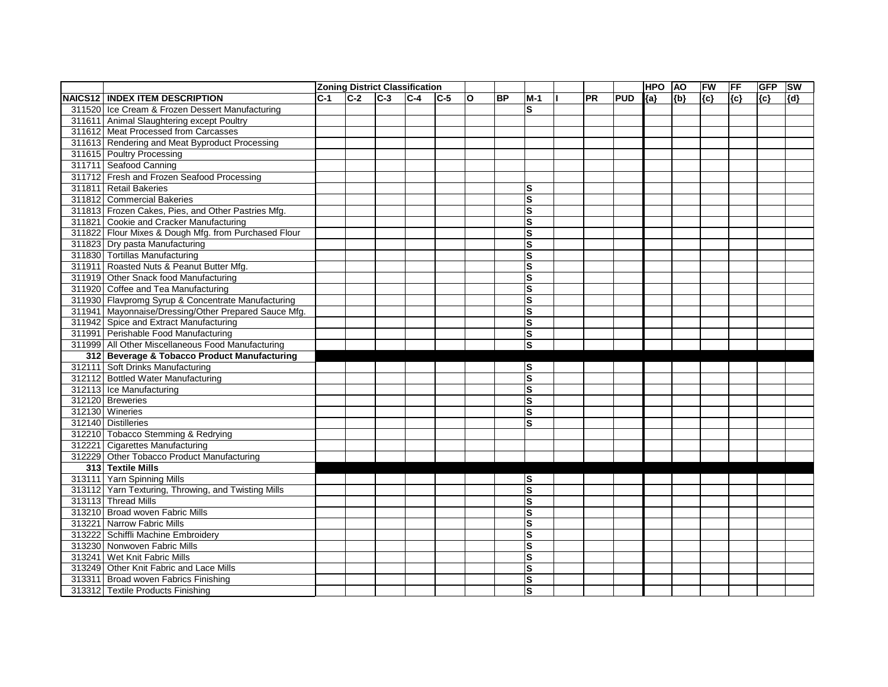|                                                      |         |       |       | <b>Zoning District Classification</b> |       |   |           |                         |    |            | <b>HPO</b> | <b>AO</b> | FW    | FF    | <b>GFP</b> | <b>SW</b> |
|------------------------------------------------------|---------|-------|-------|---------------------------------------|-------|---|-----------|-------------------------|----|------------|------------|-----------|-------|-------|------------|-----------|
| <b>NAICS12   INDEX ITEM DESCRIPTION</b>              | $ C-1 $ | $C-2$ | $C-3$ | $C-4$                                 | $C-5$ | O | <b>BP</b> | $M-1$                   | PR | <b>PUD</b> | ${a}$      | ${b}$     | ${c}$ | ${c}$ | ${c}$      | {d}       |
| 311520 Ice Cream & Frozen Dessert Manufacturing      |         |       |       |                                       |       |   |           | S                       |    |            |            |           |       |       |            |           |
| 311611 Animal Slaughtering except Poultry            |         |       |       |                                       |       |   |           |                         |    |            |            |           |       |       |            |           |
| 311612 Meat Processed from Carcasses                 |         |       |       |                                       |       |   |           |                         |    |            |            |           |       |       |            |           |
| 311613 Rendering and Meat Byproduct Processing       |         |       |       |                                       |       |   |           |                         |    |            |            |           |       |       |            |           |
| 311615 Poultry Processing                            |         |       |       |                                       |       |   |           |                         |    |            |            |           |       |       |            |           |
| 311711 Seafood Canning                               |         |       |       |                                       |       |   |           |                         |    |            |            |           |       |       |            |           |
| 311712 Fresh and Frozen Seafood Processing           |         |       |       |                                       |       |   |           |                         |    |            |            |           |       |       |            |           |
| 311811 Retail Bakeries                               |         |       |       |                                       |       |   |           | S                       |    |            |            |           |       |       |            |           |
| 311812 Commercial Bakeries                           |         |       |       |                                       |       |   |           | $\mathbf{s}$            |    |            |            |           |       |       |            |           |
| 311813 Frozen Cakes, Pies, and Other Pastries Mfg.   |         |       |       |                                       |       |   |           | ${\bf S}$               |    |            |            |           |       |       |            |           |
| 311821 Cookie and Cracker Manufacturing              |         |       |       |                                       |       |   |           | $\mathbf{s}$            |    |            |            |           |       |       |            |           |
| 311822 Flour Mixes & Dough Mfg. from Purchased Flour |         |       |       |                                       |       |   |           | $\mathbf{s}$            |    |            |            |           |       |       |            |           |
| 311823 Dry pasta Manufacturing                       |         |       |       |                                       |       |   |           | $\mathbf s$             |    |            |            |           |       |       |            |           |
| 311830 Tortillas Manufacturing                       |         |       |       |                                       |       |   |           | Ω                       |    |            |            |           |       |       |            |           |
| 311911 Roasted Nuts & Peanut Butter Mfg.             |         |       |       |                                       |       |   |           | $\vert$ S               |    |            |            |           |       |       |            |           |
| 311919 Other Snack food Manufacturing                |         |       |       |                                       |       |   |           | $\mathbf s$             |    |            |            |           |       |       |            |           |
| 311920 Coffee and Tea Manufacturing                  |         |       |       |                                       |       |   |           | $\vert$ S               |    |            |            |           |       |       |            |           |
| 311930 Flavpromg Syrup & Concentrate Manufacturing   |         |       |       |                                       |       |   |           | $\vert$ S               |    |            |            |           |       |       |            |           |
| 311941 Mayonnaise/Dressing/Other Prepared Sauce Mfg. |         |       |       |                                       |       |   |           | $\mathbf{s}$            |    |            |            |           |       |       |            |           |
| 311942 Spice and Extract Manufacturing               |         |       |       |                                       |       |   |           | $\mathbf s$             |    |            |            |           |       |       |            |           |
| 311991 Perishable Food Manufacturing                 |         |       |       |                                       |       |   |           | Ω                       |    |            |            |           |       |       |            |           |
| 311999 All Other Miscellaneous Food Manufacturing    |         |       |       |                                       |       |   |           | $\vert$ S               |    |            |            |           |       |       |            |           |
| 312 Beverage & Tobacco Product Manufacturing         |         |       |       |                                       |       |   |           |                         |    |            |            |           |       |       |            |           |
| 312111 Soft Drinks Manufacturing                     |         |       |       |                                       |       |   |           | lS                      |    |            |            |           |       |       |            |           |
| 312112 Bottled Water Manufacturing                   |         |       |       |                                       |       |   |           | $\vert s$               |    |            |            |           |       |       |            |           |
| 312113 Ice Manufacturing                             |         |       |       |                                       |       |   |           | $\overline{\mathbf{s}}$ |    |            |            |           |       |       |            |           |
| 312120 Breweries                                     |         |       |       |                                       |       |   |           | Ω                       |    |            |            |           |       |       |            |           |
| 312130 Wineries                                      |         |       |       |                                       |       |   |           | $\vert$ S               |    |            |            |           |       |       |            |           |
| 312140 Distilleries                                  |         |       |       |                                       |       |   |           | ls                      |    |            |            |           |       |       |            |           |
| 312210 Tobacco Stemming & Redrying                   |         |       |       |                                       |       |   |           |                         |    |            |            |           |       |       |            |           |
| 312221 Cigarettes Manufacturing                      |         |       |       |                                       |       |   |           |                         |    |            |            |           |       |       |            |           |
| 312229 Other Tobacco Product Manufacturing           |         |       |       |                                       |       |   |           |                         |    |            |            |           |       |       |            |           |
| 313 Textile Mills                                    |         |       |       |                                       |       |   |           |                         |    |            |            |           |       |       |            |           |
| 313111 Yarn Spinning Mills                           |         |       |       |                                       |       |   |           | ls                      |    |            |            |           |       |       |            |           |
| 313112 Yarn Texturing, Throwing, and Twisting Mills  |         |       |       |                                       |       |   |           | ls                      |    |            |            |           |       |       |            |           |
| 313113 Thread Mills                                  |         |       |       |                                       |       |   |           | S)                      |    |            |            |           |       |       |            |           |
| 313210 Broad woven Fabric Mills                      |         |       |       |                                       |       |   |           | S                       |    |            |            |           |       |       |            |           |
| 313221 Narrow Fabric Mills                           |         |       |       |                                       |       |   |           | Ø                       |    |            |            |           |       |       |            |           |
| 313222 Schiffli Machine Embroidery                   |         |       |       |                                       |       |   |           | Ω                       |    |            |            |           |       |       |            |           |
| 313230 Nonwoven Fabric Mills                         |         |       |       |                                       |       |   |           | $\vert$ S               |    |            |            |           |       |       |            |           |
| 313241 Wet Knit Fabric Mills                         |         |       |       |                                       |       |   |           | $\overline{\mathsf{s}}$ |    |            |            |           |       |       |            |           |
| 313249 Other Knit Fabric and Lace Mills              |         |       |       |                                       |       |   |           | ls                      |    |            |            |           |       |       |            |           |
| 313311 Broad woven Fabrics Finishing                 |         |       |       |                                       |       |   |           | $\vert$ S               |    |            |            |           |       |       |            |           |
| 313312 Textile Products Finishing                    |         |       |       |                                       |       |   |           | ls                      |    |            |            |           |       |       |            |           |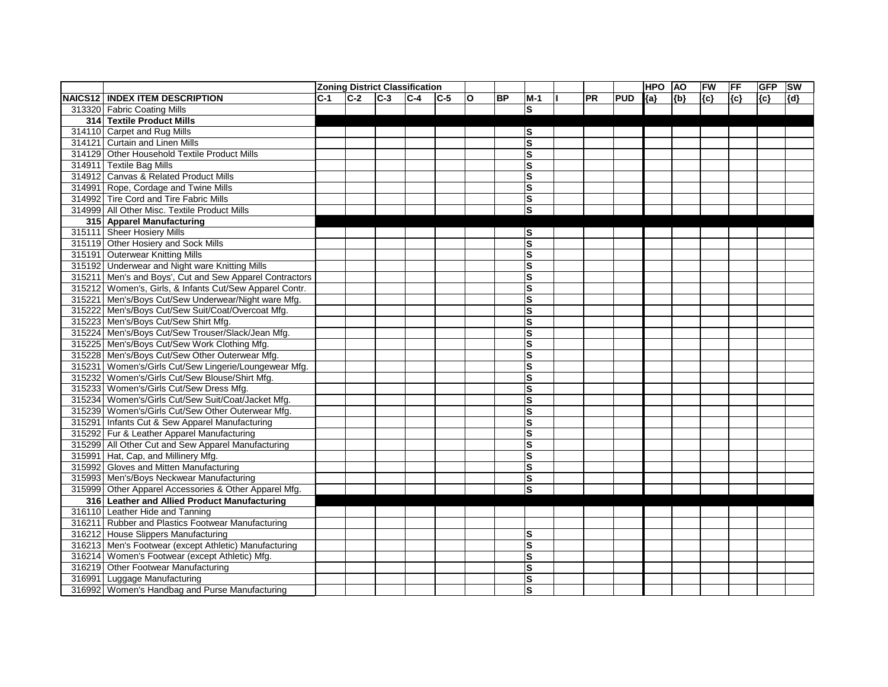|         |                                                         |       |       |       | <b>Zoning District Classification</b> |       |              |           |                         |           |            | <b>HPO</b> | <b>AO</b> | FW    | <b>FF</b> | <b>GFP</b> | <b>SW</b> |
|---------|---------------------------------------------------------|-------|-------|-------|---------------------------------------|-------|--------------|-----------|-------------------------|-----------|------------|------------|-----------|-------|-----------|------------|-----------|
| NAICS12 | <b>INDEX ITEM DESCRIPTION</b>                           | $C-1$ | $C-2$ | $C-3$ | $C-4$                                 | $C-5$ | $\mathbf{o}$ | <b>BP</b> | $M-1$                   | <b>PR</b> | <b>PUD</b> | ${a}$      | ${b}$     | ${c}$ | {c}       | ${c}$      | {d}       |
|         | 313320 Fabric Coating Mills                             |       |       |       |                                       |       |              |           | ls                      |           |            |            |           |       |           |            |           |
|         | 314 Textile Product Mills                               |       |       |       |                                       |       |              |           |                         |           |            |            |           |       |           |            |           |
|         | 314110 Carpet and Rug Mills                             |       |       |       |                                       |       |              |           | S                       |           |            |            |           |       |           |            |           |
|         | 314121 Curtain and Linen Mills                          |       |       |       |                                       |       |              |           | $\mathbf{s}$            |           |            |            |           |       |           |            |           |
|         | 314129 Other Household Textile Product Mills            |       |       |       |                                       |       |              |           | ls                      |           |            |            |           |       |           |            |           |
|         | 314911 Textile Bag Mills                                |       |       |       |                                       |       |              |           | S                       |           |            |            |           |       |           |            |           |
|         | 314912 Canvas & Related Product Mills                   |       |       |       |                                       |       |              |           | $\mathbf{s}$            |           |            |            |           |       |           |            |           |
|         | 314991 Rope, Cordage and Twine Mills                    |       |       |       |                                       |       |              |           | S                       |           |            |            |           |       |           |            |           |
| 314992  | Tire Cord and Tire Fabric Mills                         |       |       |       |                                       |       |              |           | ls                      |           |            |            |           |       |           |            |           |
|         | 314999 All Other Misc. Textile Product Mills            |       |       |       |                                       |       |              |           | S                       |           |            |            |           |       |           |            |           |
|         | 315 Apparel Manufacturing                               |       |       |       |                                       |       |              |           |                         |           |            |            |           |       |           |            |           |
|         | 315111 Sheer Hosiery Mills                              |       |       |       |                                       |       |              |           | lS                      |           |            |            |           |       |           |            |           |
|         | 315119 Other Hosiery and Sock Mills                     |       |       |       |                                       |       |              |           | $\mathbf{s}$            |           |            |            |           |       |           |            |           |
|         | 315191 Outerwear Knitting Mills                         |       |       |       |                                       |       |              |           | $\mathbf{s}$            |           |            |            |           |       |           |            |           |
|         | 315192 Underwear and Night ware Knitting Mills          |       |       |       |                                       |       |              |           | $\mathbf{s}$            |           |            |            |           |       |           |            |           |
|         | 315211 Men's and Boys', Cut and Sew Apparel Contractors |       |       |       |                                       |       |              |           | $\mathbf{s}$            |           |            |            |           |       |           |            |           |
|         | 315212 Women's, Girls, & Infants Cut/Sew Apparel Contr. |       |       |       |                                       |       |              |           | S                       |           |            |            |           |       |           |            |           |
|         | 315221 Men's/Boys Cut/Sew Underwear/Night ware Mfg.     |       |       |       |                                       |       |              |           | $\mathbf{s}$            |           |            |            |           |       |           |            |           |
|         | 315222 Men's/Boys Cut/Sew Suit/Coat/Overcoat Mfg.       |       |       |       |                                       |       |              |           | S                       |           |            |            |           |       |           |            |           |
|         | 315223 Men's/Boys Cut/Sew Shirt Mfg.                    |       |       |       |                                       |       |              |           | $\mathbf{s}$            |           |            |            |           |       |           |            |           |
|         | 315224 Men's/Boys Cut/Sew Trouser/Slack/Jean Mfg.       |       |       |       |                                       |       |              |           | S                       |           |            |            |           |       |           |            |           |
|         | 315225 Men's/Boys Cut/Sew Work Clothing Mfg.            |       |       |       |                                       |       |              |           | $\overline{\mathbf{s}}$ |           |            |            |           |       |           |            |           |
|         | 315228 Men's/Boys Cut/Sew Other Outerwear Mfg.          |       |       |       |                                       |       |              |           | $\mathbf{s}$            |           |            |            |           |       |           |            |           |
|         | 315231 Women's/Girls Cut/Sew Lingerie/Loungewear Mfg.   |       |       |       |                                       |       |              |           | $\mathbf{s}$            |           |            |            |           |       |           |            |           |
|         | 315232 Women's/Girls Cut/Sew Blouse/Shirt Mfg.          |       |       |       |                                       |       |              |           | $\mathbf{s}$            |           |            |            |           |       |           |            |           |
|         | 315233 Women's/Girls Cut/Sew Dress Mfg.                 |       |       |       |                                       |       |              |           | $\mathbf{s}$            |           |            |            |           |       |           |            |           |
|         | 315234 Women's/Girls Cut/Sew Suit/Coat/Jacket Mfg.      |       |       |       |                                       |       |              |           | $\mathbf{s}$            |           |            |            |           |       |           |            |           |
|         | 315239 Women's/Girls Cut/Sew Other Outerwear Mfg.       |       |       |       |                                       |       |              |           | S                       |           |            |            |           |       |           |            |           |
|         | 315291 Infants Cut & Sew Apparel Manufacturing          |       |       |       |                                       |       |              |           | $\mathbf{s}$            |           |            |            |           |       |           |            |           |
|         | 315292 Fur & Leather Apparel Manufacturing              |       |       |       |                                       |       |              |           | $\mathbf{s}$            |           |            |            |           |       |           |            |           |
|         | 315299 All Other Cut and Sew Apparel Manufacturing      |       |       |       |                                       |       |              |           | ls                      |           |            |            |           |       |           |            |           |
|         | 315991 Hat, Cap, and Millinery Mfg.                     |       |       |       |                                       |       |              |           | ls                      |           |            |            |           |       |           |            |           |
|         | 315992 Gloves and Mitten Manufacturing                  |       |       |       |                                       |       |              |           | $\mathbf{s}$            |           |            |            |           |       |           |            |           |
|         | 315993 Men's/Boys Neckwear Manufacturing                |       |       |       |                                       |       |              |           | ls                      |           |            |            |           |       |           |            |           |
|         | 315999 Other Apparel Accessories & Other Apparel Mfg.   |       |       |       |                                       |       |              |           | ls                      |           |            |            |           |       |           |            |           |
|         | 316 Leather and Allied Product Manufacturing            |       |       |       |                                       |       |              |           |                         |           |            |            |           |       |           |            |           |
|         | 316110 Leather Hide and Tanning                         |       |       |       |                                       |       |              |           |                         |           |            |            |           |       |           |            |           |
|         | 316211 Rubber and Plastics Footwear Manufacturing       |       |       |       |                                       |       |              |           |                         |           |            |            |           |       |           |            |           |
|         | 316212 House Slippers Manufacturing                     |       |       |       |                                       |       |              |           | lS                      |           |            |            |           |       |           |            |           |
|         | 316213 Men's Footwear (except Athletic) Manufacturing   |       |       |       |                                       |       |              |           | $\mathbf{s}$            |           |            |            |           |       |           |            |           |
|         | 316214 Women's Footwear (except Athletic) Mfg.          |       |       |       |                                       |       |              |           | S                       |           |            |            |           |       |           |            |           |
|         | 316219 Other Footwear Manufacturing                     |       |       |       |                                       |       |              |           | <b>S</b>                |           |            |            |           |       |           |            |           |
|         | 316991 Luggage Manufacturing                            |       |       |       |                                       |       |              |           | <b>S</b>                |           |            |            |           |       |           |            |           |
|         | 316992 Women's Handbag and Purse Manufacturing          |       |       |       |                                       |       |              |           | <b>S</b>                |           |            |            |           |       |           |            |           |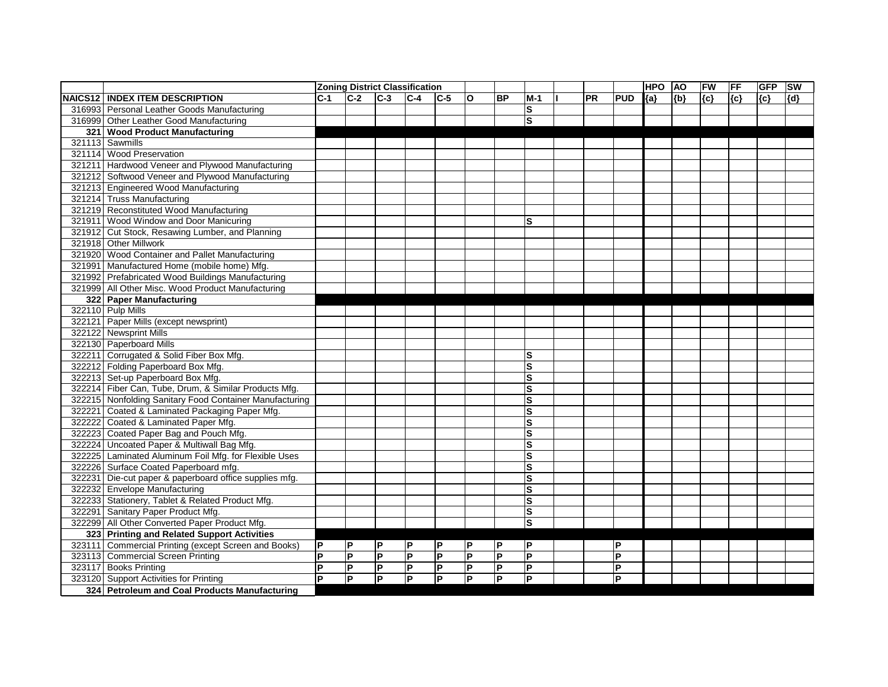|         |                                                         |       |                         | <b>Zoning District Classification</b> |                         |                |                |           |                         |           |            | <b>HPO</b> | <b>AO</b> | FW    | <b>FF</b> | <b>GFP</b> | <b>SW</b> |
|---------|---------------------------------------------------------|-------|-------------------------|---------------------------------------|-------------------------|----------------|----------------|-----------|-------------------------|-----------|------------|------------|-----------|-------|-----------|------------|-----------|
| NAICS12 | <b>INDEX ITEM DESCRIPTION</b>                           | $C-1$ | $C-2$                   | $C-3$                                 | $ C-4 $                 | $C-5$          | O              | <b>BP</b> | M-1                     | <b>PR</b> | <b>PUD</b> | ${a}$      | ${b}$     | ${c}$ | $\{c\}$   | ${c}$      | [{d}      |
|         | 316993 Personal Leather Goods Manufacturing             |       |                         |                                       |                         |                |                |           | ls                      |           |            |            |           |       |           |            |           |
|         | 316999 Other Leather Good Manufacturing                 |       |                         |                                       |                         |                |                |           | l<br>S                  |           |            |            |           |       |           |            |           |
|         | 321 Wood Product Manufacturing                          |       |                         |                                       |                         |                |                |           |                         |           |            |            |           |       |           |            |           |
|         | 321113 Sawmills                                         |       |                         |                                       |                         |                |                |           |                         |           |            |            |           |       |           |            |           |
|         | 321114 Wood Preservation                                |       |                         |                                       |                         |                |                |           |                         |           |            |            |           |       |           |            |           |
|         | 321211 Hardwood Veneer and Plywood Manufacturing        |       |                         |                                       |                         |                |                |           |                         |           |            |            |           |       |           |            |           |
|         | 321212 Softwood Veneer and Plywood Manufacturing        |       |                         |                                       |                         |                |                |           |                         |           |            |            |           |       |           |            |           |
|         | 321213 Engineered Wood Manufacturing                    |       |                         |                                       |                         |                |                |           |                         |           |            |            |           |       |           |            |           |
|         | 321214 Truss Manufacturing                              |       |                         |                                       |                         |                |                |           |                         |           |            |            |           |       |           |            |           |
|         | 321219 Reconstituted Wood Manufacturing                 |       |                         |                                       |                         |                |                |           |                         |           |            |            |           |       |           |            |           |
| 321911  | Wood Window and Door Manicuring                         |       |                         |                                       |                         |                |                |           | lS                      |           |            |            |           |       |           |            |           |
|         | 321912 Cut Stock, Resawing Lumber, and Planning         |       |                         |                                       |                         |                |                |           |                         |           |            |            |           |       |           |            |           |
|         | 321918 Other Millwork                                   |       |                         |                                       |                         |                |                |           |                         |           |            |            |           |       |           |            |           |
|         | 321920 Wood Container and Pallet Manufacturing          |       |                         |                                       |                         |                |                |           |                         |           |            |            |           |       |           |            |           |
|         | 321991 Manufactured Home (mobile home) Mfg.             |       |                         |                                       |                         |                |                |           |                         |           |            |            |           |       |           |            |           |
|         | 321992 Prefabricated Wood Buildings Manufacturing       |       |                         |                                       |                         |                |                |           |                         |           |            |            |           |       |           |            |           |
|         | 321999 All Other Misc. Wood Product Manufacturing       |       |                         |                                       |                         |                |                |           |                         |           |            |            |           |       |           |            |           |
|         | 322 Paper Manufacturing                                 |       |                         |                                       |                         |                |                |           |                         |           |            |            |           |       |           |            |           |
|         | 322110 Pulp Mills                                       |       |                         |                                       |                         |                |                |           |                         |           |            |            |           |       |           |            |           |
|         | 322121 Paper Mills (except newsprint)                   |       |                         |                                       |                         |                |                |           |                         |           |            |            |           |       |           |            |           |
|         | 322122 Newsprint Mills                                  |       |                         |                                       |                         |                |                |           |                         |           |            |            |           |       |           |            |           |
|         | 322130 Paperboard Mills                                 |       |                         |                                       |                         |                |                |           |                         |           |            |            |           |       |           |            |           |
|         | 322211 Corrugated & Solid Fiber Box Mfg.                |       |                         |                                       |                         |                |                |           | ls                      |           |            |            |           |       |           |            |           |
|         | 322212 Folding Paperboard Box Mfg.                      |       |                         |                                       |                         |                |                |           | ls                      |           |            |            |           |       |           |            |           |
|         | 322213 Set-up Paperboard Box Mfg.                       |       |                         |                                       |                         |                |                |           | $\vert$ S               |           |            |            |           |       |           |            |           |
|         | 322214 Fiber Can, Tube, Drum, & Similar Products Mfg.   |       |                         |                                       |                         |                |                |           | S                       |           |            |            |           |       |           |            |           |
|         | 322215 Nonfolding Sanitary Food Container Manufacturing |       |                         |                                       |                         |                |                |           | ls                      |           |            |            |           |       |           |            |           |
|         | 322221 Coated & Laminated Packaging Paper Mfg.          |       |                         |                                       |                         |                |                |           | ls                      |           |            |            |           |       |           |            |           |
|         | 322222 Coated & Laminated Paper Mfg.                    |       |                         |                                       |                         |                |                |           | s                       |           |            |            |           |       |           |            |           |
|         | 322223 Coated Paper Bag and Pouch Mfg.                  |       |                         |                                       |                         |                |                |           | ls                      |           |            |            |           |       |           |            |           |
|         | 322224 Uncoated Paper & Multiwall Bag Mfg.              |       |                         |                                       |                         |                |                |           | ls                      |           |            |            |           |       |           |            |           |
|         | 322225 Laminated Aluminum Foil Mfg. for Flexible Uses   |       |                         |                                       |                         |                |                |           | ls                      |           |            |            |           |       |           |            |           |
|         | 322226 Surface Coated Paperboard mfg.                   |       |                         |                                       |                         |                |                |           | ls                      |           |            |            |           |       |           |            |           |
|         | 322231 Die-cut paper & paperboard office supplies mfg.  |       |                         |                                       |                         |                |                |           | ls                      |           |            |            |           |       |           |            |           |
|         | 322232 Envelope Manufacturing                           |       |                         |                                       |                         |                |                |           | ls                      |           |            |            |           |       |           |            |           |
|         | 322233 Stationery, Tablet & Related Product Mfg.        |       |                         |                                       |                         |                |                |           | $\overline{\mathbf{s}}$ |           |            |            |           |       |           |            |           |
|         | 322291 Sanitary Paper Product Mfg.                      |       |                         |                                       |                         |                |                |           | $\overline{\mathbf{s}}$ |           |            |            |           |       |           |            |           |
|         | 322299 All Other Converted Paper Product Mfg.           |       |                         |                                       |                         |                |                |           | S                       |           |            |            |           |       |           |            |           |
|         | 323 Printing and Related Support Activities             |       |                         |                                       |                         |                |                |           |                         |           |            |            |           |       |           |            |           |
|         | 323111 Commercial Printing (except Screen and Books)    | P     | P                       | P                                     | P                       | P              | P              | P         | P                       |           | P          |            |           |       |           |            |           |
|         | 323113 Commercial Screen Printing                       | lP.   | $\overline{\mathsf{P}}$ | P                                     | $\overline{P}$          | $\mathsf{P}$   | $\overline{P}$ | P         | $\overline{P}$          |           | lР         |            |           |       |           |            |           |
| 323117  | <b>Books Printing</b>                                   | ΙP    | P                       | $\mathsf{P}$                          | <b>P</b>                | $\mathsf{P}$   | IР             | P         | $\overline{\mathsf{P}}$ |           | ΙP         |            |           |       |           |            |           |
|         | 323120 Support Activities for Printing                  | lP.   | P                       | $\overline{\mathsf{P}}$               | $\overline{\mathsf{P}}$ | $\overline{P}$ | P              | P         | $ {\mathsf P} $         |           | P          |            |           |       |           |            |           |
|         | 324 Petroleum and Coal Products Manufacturing           |       |                         |                                       |                         |                |                |           |                         |           |            |            |           |       |           |            |           |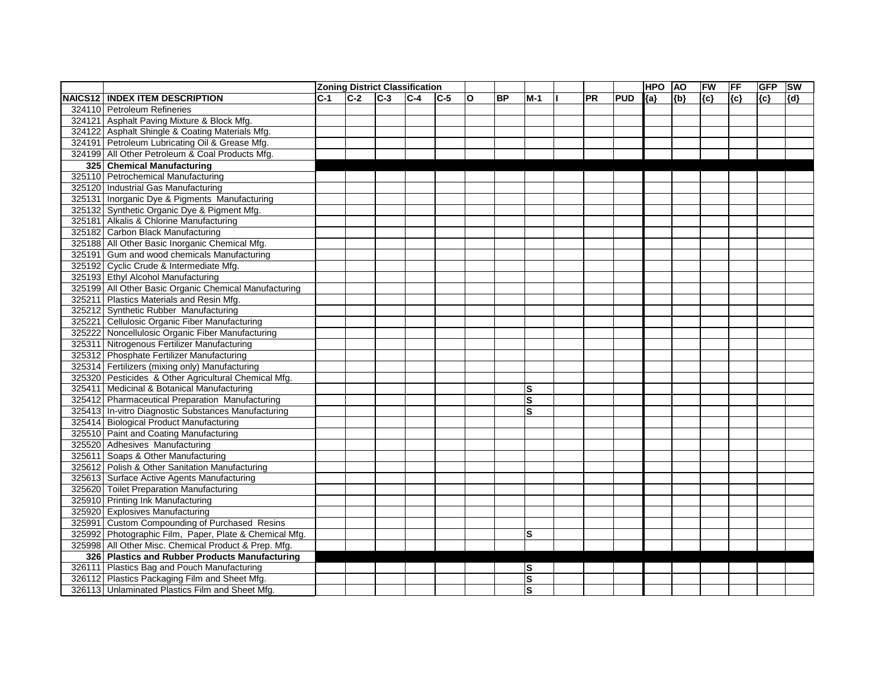|                |                                                        |       |       |       | <b>Zoning District Classification</b> |       |              |           |              |           |            | <b>HPO</b> | <b>AO</b> | FW    | <b>FF</b> | <b>GFP</b> | <b>SW</b> |
|----------------|--------------------------------------------------------|-------|-------|-------|---------------------------------------|-------|--------------|-----------|--------------|-----------|------------|------------|-----------|-------|-----------|------------|-----------|
| <b>NAICS12</b> | <b>INDEX ITEM DESCRIPTION</b>                          | $C-1$ | $C-2$ | $C-3$ | $C-4$                                 | $C-5$ | $\mathbf{o}$ | <b>BP</b> | $M-1$        | <b>PR</b> | <b>PUD</b> | ${a}$      | ${b}$     | ${c}$ | {c}       | ${c}$      | ${d}$     |
|                | 324110 Petroleum Refineries                            |       |       |       |                                       |       |              |           |              |           |            |            |           |       |           |            |           |
|                | 324121 Asphalt Paving Mixture & Block Mfg.             |       |       |       |                                       |       |              |           |              |           |            |            |           |       |           |            |           |
|                | 324122 Asphalt Shingle & Coating Materials Mfg.        |       |       |       |                                       |       |              |           |              |           |            |            |           |       |           |            |           |
|                | 324191 Petroleum Lubricating Oil & Grease Mfg.         |       |       |       |                                       |       |              |           |              |           |            |            |           |       |           |            |           |
|                | 324199 All Other Petroleum & Coal Products Mfg.        |       |       |       |                                       |       |              |           |              |           |            |            |           |       |           |            |           |
|                | 325 Chemical Manufacturing                             |       |       |       |                                       |       |              |           |              |           |            |            |           |       |           |            |           |
|                | 325110 Petrochemical Manufacturing                     |       |       |       |                                       |       |              |           |              |           |            |            |           |       |           |            |           |
|                | 325120 Industrial Gas Manufacturing                    |       |       |       |                                       |       |              |           |              |           |            |            |           |       |           |            |           |
|                | 325131 Inorganic Dye & Pigments Manufacturing          |       |       |       |                                       |       |              |           |              |           |            |            |           |       |           |            |           |
|                | 325132 Synthetic Organic Dye & Pigment Mfg.            |       |       |       |                                       |       |              |           |              |           |            |            |           |       |           |            |           |
|                | 325181 Alkalis & Chlorine Manufacturing                |       |       |       |                                       |       |              |           |              |           |            |            |           |       |           |            |           |
|                | 325182 Carbon Black Manufacturing                      |       |       |       |                                       |       |              |           |              |           |            |            |           |       |           |            |           |
|                | 325188 All Other Basic Inorganic Chemical Mfg.         |       |       |       |                                       |       |              |           |              |           |            |            |           |       |           |            |           |
|                | 325191 Gum and wood chemicals Manufacturing            |       |       |       |                                       |       |              |           |              |           |            |            |           |       |           |            |           |
|                | 325192 Cyclic Crude & Intermediate Mfg.                |       |       |       |                                       |       |              |           |              |           |            |            |           |       |           |            |           |
|                | 325193 Ethyl Alcohol Manufacturing                     |       |       |       |                                       |       |              |           |              |           |            |            |           |       |           |            |           |
|                | 325199 All Other Basic Organic Chemical Manufacturing  |       |       |       |                                       |       |              |           |              |           |            |            |           |       |           |            |           |
|                | 325211 Plastics Materials and Resin Mfg.               |       |       |       |                                       |       |              |           |              |           |            |            |           |       |           |            |           |
|                | 325212 Synthetic Rubber Manufacturing                  |       |       |       |                                       |       |              |           |              |           |            |            |           |       |           |            |           |
|                | 325221 Cellulosic Organic Fiber Manufacturing          |       |       |       |                                       |       |              |           |              |           |            |            |           |       |           |            |           |
|                | 325222 Noncellulosic Organic Fiber Manufacturing       |       |       |       |                                       |       |              |           |              |           |            |            |           |       |           |            |           |
|                | 325311 Nitrogenous Fertilizer Manufacturing            |       |       |       |                                       |       |              |           |              |           |            |            |           |       |           |            |           |
|                | 325312 Phosphate Fertilizer Manufacturing              |       |       |       |                                       |       |              |           |              |           |            |            |           |       |           |            |           |
|                | 325314 Fertilizers (mixing only) Manufacturing         |       |       |       |                                       |       |              |           |              |           |            |            |           |       |           |            |           |
|                | 325320 Pesticides & Other Agricultural Chemical Mfg.   |       |       |       |                                       |       |              |           |              |           |            |            |           |       |           |            |           |
| 325411         | Medicinal & Botanical Manufacturing                    |       |       |       |                                       |       |              |           | S            |           |            |            |           |       |           |            |           |
|                | 325412 Pharmaceutical Preparation Manufacturing        |       |       |       |                                       |       |              |           | $\mathbf{s}$ |           |            |            |           |       |           |            |           |
|                | 325413 In-vitro Diagnostic Substances Manufacturing    |       |       |       |                                       |       |              |           | ls           |           |            |            |           |       |           |            |           |
| 325414         | <b>Biological Product Manufacturing</b>                |       |       |       |                                       |       |              |           |              |           |            |            |           |       |           |            |           |
|                | 325510 Paint and Coating Manufacturing                 |       |       |       |                                       |       |              |           |              |           |            |            |           |       |           |            |           |
|                | 325520 Adhesives Manufacturing                         |       |       |       |                                       |       |              |           |              |           |            |            |           |       |           |            |           |
|                | 325611 Soaps & Other Manufacturing                     |       |       |       |                                       |       |              |           |              |           |            |            |           |       |           |            |           |
|                | 325612 Polish & Other Sanitation Manufacturing         |       |       |       |                                       |       |              |           |              |           |            |            |           |       |           |            |           |
|                | 325613 Surface Active Agents Manufacturing             |       |       |       |                                       |       |              |           |              |           |            |            |           |       |           |            |           |
| 325620         | <b>Toilet Preparation Manufacturing</b>                |       |       |       |                                       |       |              |           |              |           |            |            |           |       |           |            |           |
|                | 325910 Printing Ink Manufacturing                      |       |       |       |                                       |       |              |           |              |           |            |            |           |       |           |            |           |
|                | 325920 Explosives Manufacturing                        |       |       |       |                                       |       |              |           |              |           |            |            |           |       |           |            |           |
|                | 325991 Custom Compounding of Purchased Resins          |       |       |       |                                       |       |              |           |              |           |            |            |           |       |           |            |           |
|                | 325992 Photographic Film, Paper, Plate & Chemical Mfg. |       |       |       |                                       |       |              |           | $\mathbf{s}$ |           |            |            |           |       |           |            |           |
|                | 325998 All Other Misc. Chemical Product & Prep. Mfg.   |       |       |       |                                       |       |              |           |              |           |            |            |           |       |           |            |           |
|                | 326 Plastics and Rubber Products Manufacturing         |       |       |       |                                       |       |              |           |              |           |            |            |           |       |           |            |           |
|                | 326111 Plastics Bag and Pouch Manufacturing            |       |       |       |                                       |       |              |           | <b>S</b>     |           |            |            |           |       |           |            |           |
|                | 326112 Plastics Packaging Film and Sheet Mfg.          |       |       |       |                                       |       |              |           | <b>S</b>     |           |            |            |           |       |           |            |           |
|                | 326113 Unlaminated Plastics Film and Sheet Mfg.        |       |       |       |                                       |       |              |           | <b>S</b>     |           |            |            |           |       |           |            |           |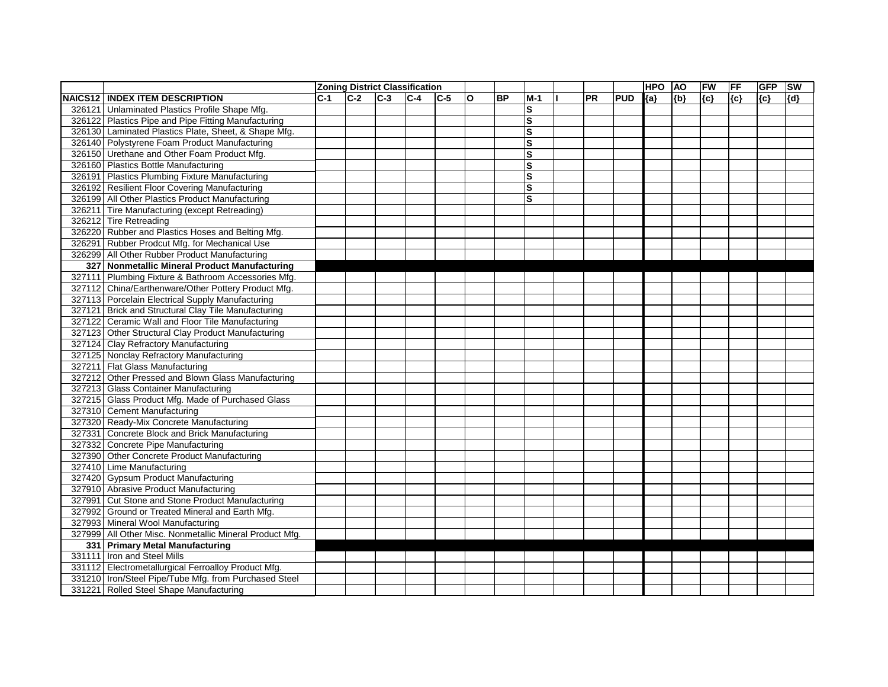|        |                                                         |            |       |       | <b>Zoning District Classification</b> |         |              |           |       |           |            | <b>HPO</b> | <b>AO</b> | FW    | <b>FF</b> | <b>GFP</b> | SW  |
|--------|---------------------------------------------------------|------------|-------|-------|---------------------------------------|---------|--------------|-----------|-------|-----------|------------|------------|-----------|-------|-----------|------------|-----|
|        | <b>NAICS12 INDEX ITEM DESCRIPTION</b>                   | <b>C-1</b> | $C-2$ | $C-3$ | $C-4$                                 | $ C-5 $ | $\mathbf{o}$ | <b>BP</b> | $M-1$ | <b>PR</b> | <b>PUD</b> | ${a}$      | ${b}$     | ${c}$ | {c}       | ${c}$      | {d} |
|        | 326121 Unlaminated Plastics Profile Shape Mfg.          |            |       |       |                                       |         |              |           | lS    |           |            |            |           |       |           |            |     |
|        | 326122 Plastics Pipe and Pipe Fitting Manufacturing     |            |       |       |                                       |         |              |           | ls    |           |            |            |           |       |           |            |     |
|        | 326130 Laminated Plastics Plate, Sheet, & Shape Mfg.    |            |       |       |                                       |         |              |           | ls    |           |            |            |           |       |           |            |     |
|        | 326140 Polystyrene Foam Product Manufacturing           |            |       |       |                                       |         |              |           | lS    |           |            |            |           |       |           |            |     |
|        | 326150 Urethane and Other Foam Product Mfg.             |            |       |       |                                       |         |              |           | lS    |           |            |            |           |       |           |            |     |
|        | 326160 Plastics Bottle Manufacturing                    |            |       |       |                                       |         |              |           | ls    |           |            |            |           |       |           |            |     |
|        | 326191 Plastics Plumbing Fixture Manufacturing          |            |       |       |                                       |         |              |           | ls    |           |            |            |           |       |           |            |     |
|        | 326192 Resilient Floor Covering Manufacturing           |            |       |       |                                       |         |              |           | ls    |           |            |            |           |       |           |            |     |
|        | 326199 All Other Plastics Product Manufacturing         |            |       |       |                                       |         |              |           | S     |           |            |            |           |       |           |            |     |
| 326211 | Tire Manufacturing (except Retreading)                  |            |       |       |                                       |         |              |           |       |           |            |            |           |       |           |            |     |
| 326212 | <b>Tire Retreading</b>                                  |            |       |       |                                       |         |              |           |       |           |            |            |           |       |           |            |     |
|        | 326220 Rubber and Plastics Hoses and Belting Mfg.       |            |       |       |                                       |         |              |           |       |           |            |            |           |       |           |            |     |
|        | 326291 Rubber Prodcut Mfg. for Mechanical Use           |            |       |       |                                       |         |              |           |       |           |            |            |           |       |           |            |     |
|        | 326299 All Other Rubber Product Manufacturing           |            |       |       |                                       |         |              |           |       |           |            |            |           |       |           |            |     |
|        | 327 Nonmetallic Mineral Product Manufacturing           |            |       |       |                                       |         |              |           |       |           |            |            |           |       |           |            |     |
|        | 327111 Plumbing Fixture & Bathroom Accessories Mfg.     |            |       |       |                                       |         |              |           |       |           |            |            |           |       |           |            |     |
|        | 327112 China/Earthenware/Other Pottery Product Mfg.     |            |       |       |                                       |         |              |           |       |           |            |            |           |       |           |            |     |
|        | 327113 Porcelain Electrical Supply Manufacturing        |            |       |       |                                       |         |              |           |       |           |            |            |           |       |           |            |     |
|        | 327121 Brick and Structural Clay Tile Manufacturing     |            |       |       |                                       |         |              |           |       |           |            |            |           |       |           |            |     |
|        | 327122 Ceramic Wall and Floor Tile Manufacturing        |            |       |       |                                       |         |              |           |       |           |            |            |           |       |           |            |     |
|        | 327123 Other Structural Clay Product Manufacturing      |            |       |       |                                       |         |              |           |       |           |            |            |           |       |           |            |     |
|        | 327124 Clay Refractory Manufacturing                    |            |       |       |                                       |         |              |           |       |           |            |            |           |       |           |            |     |
|        | 327125 Nonclay Refractory Manufacturing                 |            |       |       |                                       |         |              |           |       |           |            |            |           |       |           |            |     |
|        | 327211 Flat Glass Manufacturing                         |            |       |       |                                       |         |              |           |       |           |            |            |           |       |           |            |     |
|        | 327212 Other Pressed and Blown Glass Manufacturing      |            |       |       |                                       |         |              |           |       |           |            |            |           |       |           |            |     |
|        | 327213 Glass Container Manufacturing                    |            |       |       |                                       |         |              |           |       |           |            |            |           |       |           |            |     |
|        | 327215 Glass Product Mfg. Made of Purchased Glass       |            |       |       |                                       |         |              |           |       |           |            |            |           |       |           |            |     |
|        | 327310 Cement Manufacturing                             |            |       |       |                                       |         |              |           |       |           |            |            |           |       |           |            |     |
|        | 327320 Ready-Mix Concrete Manufacturing                 |            |       |       |                                       |         |              |           |       |           |            |            |           |       |           |            |     |
|        | 327331 Concrete Block and Brick Manufacturing           |            |       |       |                                       |         |              |           |       |           |            |            |           |       |           |            |     |
|        | 327332 Concrete Pipe Manufacturing                      |            |       |       |                                       |         |              |           |       |           |            |            |           |       |           |            |     |
|        | 327390 Other Concrete Product Manufacturing             |            |       |       |                                       |         |              |           |       |           |            |            |           |       |           |            |     |
|        | 327410 Lime Manufacturing                               |            |       |       |                                       |         |              |           |       |           |            |            |           |       |           |            |     |
|        | 327420 Gypsum Product Manufacturing                     |            |       |       |                                       |         |              |           |       |           |            |            |           |       |           |            |     |
|        | 327910 Abrasive Product Manufacturing                   |            |       |       |                                       |         |              |           |       |           |            |            |           |       |           |            |     |
|        | 327991 Cut Stone and Stone Product Manufacturing        |            |       |       |                                       |         |              |           |       |           |            |            |           |       |           |            |     |
|        | 327992 Ground or Treated Mineral and Earth Mfg.         |            |       |       |                                       |         |              |           |       |           |            |            |           |       |           |            |     |
|        | 327993 Mineral Wool Manufacturing                       |            |       |       |                                       |         |              |           |       |           |            |            |           |       |           |            |     |
|        | 327999 All Other Misc. Nonmetallic Mineral Product Mfg. |            |       |       |                                       |         |              |           |       |           |            |            |           |       |           |            |     |
|        | 331 Primary Metal Manufacturing                         |            |       |       |                                       |         |              |           |       |           |            |            |           |       |           |            |     |
|        | 331111 Iron and Steel Mills                             |            |       |       |                                       |         |              |           |       |           |            |            |           |       |           |            |     |
|        | 331112 Electrometallurgical Ferroalloy Product Mfg.     |            |       |       |                                       |         |              |           |       |           |            |            |           |       |           |            |     |
|        | 331210 Iron/Steel Pipe/Tube Mfg. from Purchased Steel   |            |       |       |                                       |         |              |           |       |           |            |            |           |       |           |            |     |
|        | 331221 Rolled Steel Shape Manufacturing                 |            |       |       |                                       |         |              |           |       |           |            |            |           |       |           |            |     |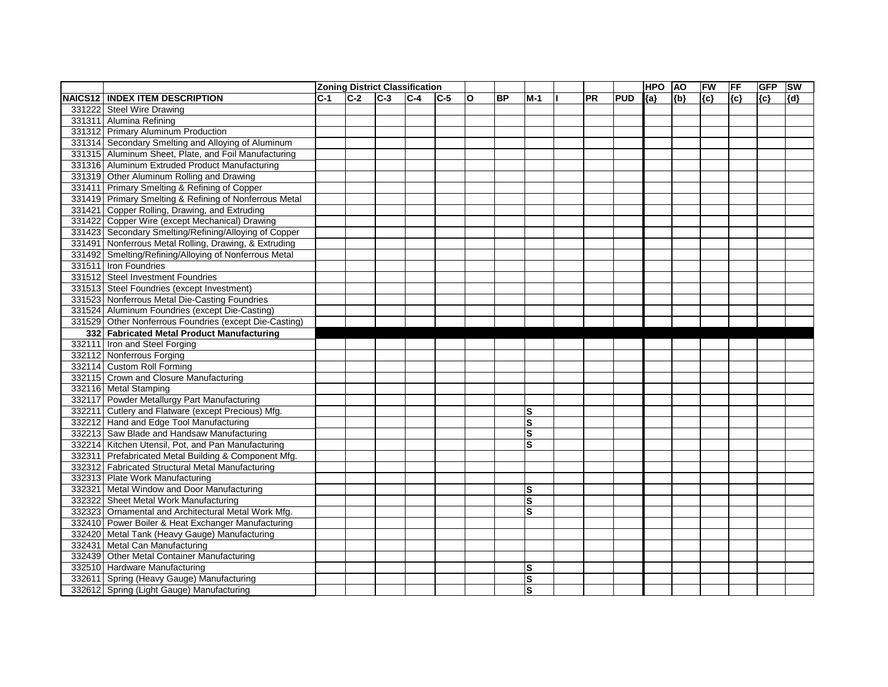|         |                                                        |       |       |       | <b>Zoning District Classification</b> |         |              |           |              |           |            | <b>HPO</b> | <b>AO</b> | FW    | FF  | <b>GFP</b> | SW  |
|---------|--------------------------------------------------------|-------|-------|-------|---------------------------------------|---------|--------------|-----------|--------------|-----------|------------|------------|-----------|-------|-----|------------|-----|
| NAICS12 | <b>INDEX ITEM DESCRIPTION</b>                          | $C-1$ | $C-2$ | $C-3$ | $ C-4 $                               | $ C-5 $ | $\mathbf{o}$ | <b>BP</b> | $M-1$        | <b>PR</b> | <b>PUD</b> | ${a}$      | ${b}$     | ${c}$ | {c} | ${c}$      | {d} |
|         | 331222 Steel Wire Drawing                              |       |       |       |                                       |         |              |           |              |           |            |            |           |       |     |            |     |
|         | 331311 Alumina Refining                                |       |       |       |                                       |         |              |           |              |           |            |            |           |       |     |            |     |
|         | 331312 Primary Aluminum Production                     |       |       |       |                                       |         |              |           |              |           |            |            |           |       |     |            |     |
|         | 331314 Secondary Smelting and Alloying of Aluminum     |       |       |       |                                       |         |              |           |              |           |            |            |           |       |     |            |     |
|         | 331315 Aluminum Sheet, Plate, and Foil Manufacturing   |       |       |       |                                       |         |              |           |              |           |            |            |           |       |     |            |     |
|         | 331316 Aluminum Extruded Product Manufacturing         |       |       |       |                                       |         |              |           |              |           |            |            |           |       |     |            |     |
|         | 331319 Other Aluminum Rolling and Drawing              |       |       |       |                                       |         |              |           |              |           |            |            |           |       |     |            |     |
|         | 331411 Primary Smelting & Refining of Copper           |       |       |       |                                       |         |              |           |              |           |            |            |           |       |     |            |     |
|         | 331419 Primary Smelting & Refining of Nonferrous Metal |       |       |       |                                       |         |              |           |              |           |            |            |           |       |     |            |     |
|         | 331421 Copper Rolling, Drawing, and Extruding          |       |       |       |                                       |         |              |           |              |           |            |            |           |       |     |            |     |
|         | 331422 Copper Wire (except Mechanical) Drawing         |       |       |       |                                       |         |              |           |              |           |            |            |           |       |     |            |     |
|         | 331423 Secondary Smelting/Refining/Alloying of Copper  |       |       |       |                                       |         |              |           |              |           |            |            |           |       |     |            |     |
|         | 331491 Nonferrous Metal Rolling, Drawing, & Extruding  |       |       |       |                                       |         |              |           |              |           |            |            |           |       |     |            |     |
|         | 331492 Smelting/Refining/Alloying of Nonferrous Metal  |       |       |       |                                       |         |              |           |              |           |            |            |           |       |     |            |     |
| 331511  | Iron Foundries                                         |       |       |       |                                       |         |              |           |              |           |            |            |           |       |     |            |     |
|         | 331512 Steel Investment Foundries                      |       |       |       |                                       |         |              |           |              |           |            |            |           |       |     |            |     |
|         | 331513 Steel Foundries (except Investment)             |       |       |       |                                       |         |              |           |              |           |            |            |           |       |     |            |     |
|         | 331523 Nonferrous Metal Die-Casting Foundries          |       |       |       |                                       |         |              |           |              |           |            |            |           |       |     |            |     |
|         | 331524 Aluminum Foundries (except Die-Casting)         |       |       |       |                                       |         |              |           |              |           |            |            |           |       |     |            |     |
|         | 331529 Other Nonferrous Foundries (except Die-Casting) |       |       |       |                                       |         |              |           |              |           |            |            |           |       |     |            |     |
|         | 332 Fabricated Metal Product Manufacturing             |       |       |       |                                       |         |              |           |              |           |            |            |           |       |     |            |     |
|         | 332111 Iron and Steel Forging                          |       |       |       |                                       |         |              |           |              |           |            |            |           |       |     |            |     |
|         | 332112 Nonferrous Forging                              |       |       |       |                                       |         |              |           |              |           |            |            |           |       |     |            |     |
|         | 332114 Custom Roll Forming                             |       |       |       |                                       |         |              |           |              |           |            |            |           |       |     |            |     |
|         | 332115 Crown and Closure Manufacturing                 |       |       |       |                                       |         |              |           |              |           |            |            |           |       |     |            |     |
|         | 332116 Metal Stamping                                  |       |       |       |                                       |         |              |           |              |           |            |            |           |       |     |            |     |
|         | 332117 Powder Metallurgy Part Manufacturing            |       |       |       |                                       |         |              |           |              |           |            |            |           |       |     |            |     |
|         | 332211 Cutlery and Flatware (except Precious) Mfg.     |       |       |       |                                       |         |              |           | S            |           |            |            |           |       |     |            |     |
|         | 332212 Hand and Edge Tool Manufacturing                |       |       |       |                                       |         |              |           | S            |           |            |            |           |       |     |            |     |
|         | 332213 Saw Blade and Handsaw Manufacturing             |       |       |       |                                       |         |              |           | $\mathbf{s}$ |           |            |            |           |       |     |            |     |
|         | 332214 Kitchen Utensil, Pot, and Pan Manufacturing     |       |       |       |                                       |         |              |           | S            |           |            |            |           |       |     |            |     |
|         | 332311 Prefabricated Metal Building & Component Mfg.   |       |       |       |                                       |         |              |           |              |           |            |            |           |       |     |            |     |
|         | 332312 Fabricated Structural Metal Manufacturing       |       |       |       |                                       |         |              |           |              |           |            |            |           |       |     |            |     |
|         | 332313 Plate Work Manufacturing                        |       |       |       |                                       |         |              |           |              |           |            |            |           |       |     |            |     |
|         | 332321 Metal Window and Door Manufacturing             |       |       |       |                                       |         |              |           | lS           |           |            |            |           |       |     |            |     |
|         | 332322 Sheet Metal Work Manufacturing                  |       |       |       |                                       |         |              |           | S            |           |            |            |           |       |     |            |     |
|         | 332323 Ornamental and Architectural Metal Work Mfg.    |       |       |       |                                       |         |              |           | ls           |           |            |            |           |       |     |            |     |
|         | 332410 Power Boiler & Heat Exchanger Manufacturing     |       |       |       |                                       |         |              |           |              |           |            |            |           |       |     |            |     |
|         | 332420 Metal Tank (Heavy Gauge) Manufacturing          |       |       |       |                                       |         |              |           |              |           |            |            |           |       |     |            |     |
|         | 332431 Metal Can Manufacturing                         |       |       |       |                                       |         |              |           |              |           |            |            |           |       |     |            |     |
|         | 332439 Other Metal Container Manufacturing             |       |       |       |                                       |         |              |           |              |           |            |            |           |       |     |            |     |
|         | 332510 Hardware Manufacturing                          |       |       |       |                                       |         |              |           | lS           |           |            |            |           |       |     |            |     |
|         | 332611 Spring (Heavy Gauge) Manufacturing              |       |       |       |                                       |         |              |           | <b>S</b>     |           |            |            |           |       |     |            |     |
|         | 332612 Spring (Light Gauge) Manufacturing              |       |       |       |                                       |         |              |           | ls           |           |            |            |           |       |     |            |     |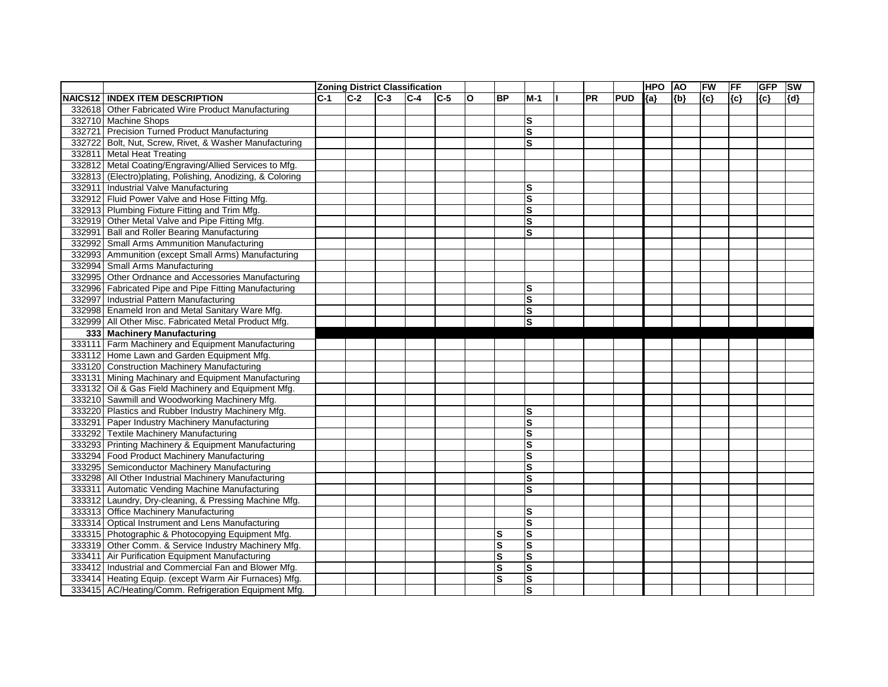|                                                           |      | <b>Zoning District Classification</b> |       |         |         |   |           |                         |           |            | <b>HPO</b> | <b>AO</b> | FW    | FF  | <b>GFP</b> | <b>SW</b> |
|-----------------------------------------------------------|------|---------------------------------------|-------|---------|---------|---|-----------|-------------------------|-----------|------------|------------|-----------|-------|-----|------------|-----------|
| <b>NAICS12 INDEX ITEM DESCRIPTION</b>                     | IC-1 | $C-2$                                 | $C-3$ | $ C-4 $ | $ C-5 $ | O | <b>BP</b> | $M-1$                   | <b>PR</b> | <b>PUD</b> | ${a}$      | ${b}$     | ${c}$ | {c} | ${c}$      | {d}       |
| 332618 Other Fabricated Wire Product Manufacturing        |      |                                       |       |         |         |   |           |                         |           |            |            |           |       |     |            |           |
| 332710 Machine Shops                                      |      |                                       |       |         |         |   |           | ls                      |           |            |            |           |       |     |            |           |
| 332721 Precision Turned Product Manufacturing             |      |                                       |       |         |         |   |           | ls                      |           |            |            |           |       |     |            |           |
| 332722 Bolt, Nut, Screw, Rivet, & Washer Manufacturing    |      |                                       |       |         |         |   |           | ls                      |           |            |            |           |       |     |            |           |
| 332811 Metal Heat Treating                                |      |                                       |       |         |         |   |           |                         |           |            |            |           |       |     |            |           |
| 332812 Metal Coating/Engraving/Allied Services to Mfg.    |      |                                       |       |         |         |   |           |                         |           |            |            |           |       |     |            |           |
| 332813 (Electro)plating, Polishing, Anodizing, & Coloring |      |                                       |       |         |         |   |           |                         |           |            |            |           |       |     |            |           |
| 332911 Industrial Valve Manufacturing                     |      |                                       |       |         |         |   |           | S                       |           |            |            |           |       |     |            |           |
| 332912 Fluid Power Valve and Hose Fitting Mfg.            |      |                                       |       |         |         |   |           | S                       |           |            |            |           |       |     |            |           |
| 332913 Plumbing Fixture Fitting and Trim Mfg.             |      |                                       |       |         |         |   |           | $\mathbf{s}$            |           |            |            |           |       |     |            |           |
| 332919 Other Metal Valve and Pipe Fitting Mfg.            |      |                                       |       |         |         |   |           | $\mathbf{s}$            |           |            |            |           |       |     |            |           |
| 332991 Ball and Roller Bearing Manufacturing              |      |                                       |       |         |         |   |           | S                       |           |            |            |           |       |     |            |           |
| 332992 Small Arms Ammunition Manufacturing                |      |                                       |       |         |         |   |           |                         |           |            |            |           |       |     |            |           |
| 332993 Ammunition (except Small Arms) Manufacturing       |      |                                       |       |         |         |   |           |                         |           |            |            |           |       |     |            |           |
| 332994 Small Arms Manufacturing                           |      |                                       |       |         |         |   |           |                         |           |            |            |           |       |     |            |           |
| 332995 Other Ordnance and Accessories Manufacturing       |      |                                       |       |         |         |   |           |                         |           |            |            |           |       |     |            |           |
| 332996 Fabricated Pipe and Pipe Fitting Manufacturing     |      |                                       |       |         |         |   |           | S                       |           |            |            |           |       |     |            |           |
| 332997 Industrial Pattern Manufacturing                   |      |                                       |       |         |         |   |           | $\mathbf{s}$            |           |            |            |           |       |     |            |           |
| 332998 Enameld Iron and Metal Sanitary Ware Mfg.          |      |                                       |       |         |         |   |           | ls                      |           |            |            |           |       |     |            |           |
| 332999 All Other Misc. Fabricated Metal Product Mfg.      |      |                                       |       |         |         |   |           | ls                      |           |            |            |           |       |     |            |           |
| 333 Machinery Manufacturing                               |      |                                       |       |         |         |   |           |                         |           |            |            |           |       |     |            |           |
| 333111 Farm Machinery and Equipment Manufacturing         |      |                                       |       |         |         |   |           |                         |           |            |            |           |       |     |            |           |
| 333112 Home Lawn and Garden Equipment Mfg.                |      |                                       |       |         |         |   |           |                         |           |            |            |           |       |     |            |           |
| 333120 Construction Machinery Manufacturing               |      |                                       |       |         |         |   |           |                         |           |            |            |           |       |     |            |           |
| 333131 Mining Machinary and Equipment Manufacturing       |      |                                       |       |         |         |   |           |                         |           |            |            |           |       |     |            |           |
| 333132 Oil & Gas Field Machinery and Equipment Mfg.       |      |                                       |       |         |         |   |           |                         |           |            |            |           |       |     |            |           |
| 333210 Sawmill and Woodworking Machinery Mfg.             |      |                                       |       |         |         |   |           |                         |           |            |            |           |       |     |            |           |
| 333220 Plastics and Rubber Industry Machinery Mfg.        |      |                                       |       |         |         |   |           | S                       |           |            |            |           |       |     |            |           |
| 333291 Paper Industry Machinery Manufacturing             |      |                                       |       |         |         |   |           | S                       |           |            |            |           |       |     |            |           |
| 333292 Textile Machinery Manufacturing                    |      |                                       |       |         |         |   |           | $\mathbf{s}$            |           |            |            |           |       |     |            |           |
| 333293 Printing Machinery & Equipment Manufacturing       |      |                                       |       |         |         |   |           | $\mathbf{s}$            |           |            |            |           |       |     |            |           |
| 333294 Food Product Machinery Manufacturing               |      |                                       |       |         |         |   |           | ls                      |           |            |            |           |       |     |            |           |
| 333295 Semiconductor Machinery Manufacturing              |      |                                       |       |         |         |   |           | ls                      |           |            |            |           |       |     |            |           |
| 333298 All Other Industrial Machinery Manufacturing       |      |                                       |       |         |         |   |           | ls                      |           |            |            |           |       |     |            |           |
| 333311 Automatic Vending Machine Manufacturing            |      |                                       |       |         |         |   |           | ls                      |           |            |            |           |       |     |            |           |
| 333312 Laundry, Dry-cleaning, & Pressing Machine Mfg.     |      |                                       |       |         |         |   |           |                         |           |            |            |           |       |     |            |           |
| 333313 Office Machinery Manufacturing                     |      |                                       |       |         |         |   |           | ls                      |           |            |            |           |       |     |            |           |
| 333314 Optical Instrument and Lens Manufacturing          |      |                                       |       |         |         |   |           | S                       |           |            |            |           |       |     |            |           |
| 333315 Photographic & Photocopying Equipment Mfg.         |      |                                       |       |         |         |   | <b>S</b>  | ls                      |           |            |            |           |       |     |            |           |
| 333319 Other Comm. & Service Industry Machinery Mfg.      |      |                                       |       |         |         |   | <b>S</b>  | $\mathbf{s}$            |           |            |            |           |       |     |            |           |
| 333411 Air Purification Equipment Manufacturing           |      |                                       |       |         |         |   | ls.       | S                       |           |            |            |           |       |     |            |           |
| 333412 Industrial and Commercial Fan and Blower Mfg.      |      |                                       |       |         |         |   | ΙS        | $\overline{\mathsf{s}}$ |           |            |            |           |       |     |            |           |
| 333414 Heating Equip. (except Warm Air Furnaces) Mfg.     |      |                                       |       |         |         |   | ls        | $\overline{\mathbf{s}}$ |           |            |            |           |       |     |            |           |
| 333415 AC/Heating/Comm. Refrigeration Equipment Mfg.      |      |                                       |       |         |         |   |           | $\overline{\mathbf{s}}$ |           |            |            |           |       |     |            |           |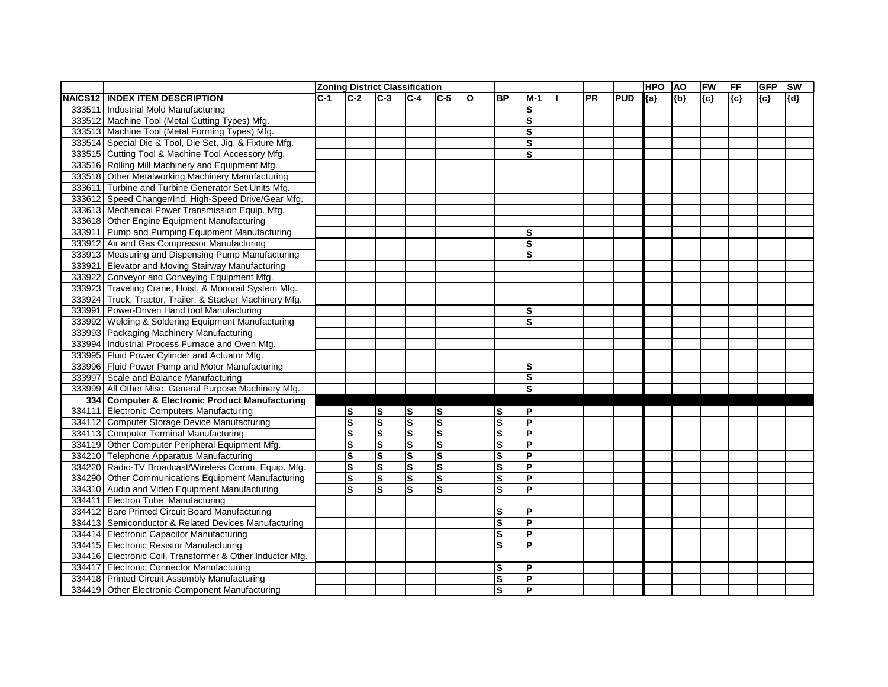|                                                           |       | <b>Zoning District Classification</b> |                         |                         |                         |   |              |                         |           |            | <b>HPO</b> | <b>AO</b> | FW    | FF  | <b>GFP</b> | SW  |
|-----------------------------------------------------------|-------|---------------------------------------|-------------------------|-------------------------|-------------------------|---|--------------|-------------------------|-----------|------------|------------|-----------|-------|-----|------------|-----|
| <b>NAICS12 INDEX ITEM DESCRIPTION</b>                     | $C-1$ | $C-2$                                 | $C-3$                   | $ C-4 $                 | $ C-5 $                 | O | <b>BP</b>    | $M-1$                   | <b>PR</b> | <b>PUD</b> | ${a}$      | ${b}$     | ${c}$ | {c} | ${c}$      | {d} |
| 333511 Industrial Mold Manufacturing                      |       |                                       |                         |                         |                         |   |              | S                       |           |            |            |           |       |     |            |     |
| 333512 Machine Tool (Metal Cutting Types) Mfg.            |       |                                       |                         |                         |                         |   |              | S                       |           |            |            |           |       |     |            |     |
| 333513 Machine Tool (Metal Forming Types) Mfg.            |       |                                       |                         |                         |                         |   |              | ls                      |           |            |            |           |       |     |            |     |
| 333514 Special Die & Tool, Die Set, Jig, & Fixture Mfg.   |       |                                       |                         |                         |                         |   |              | ls                      |           |            |            |           |       |     |            |     |
| 333515 Cutting Tool & Machine Tool Accessory Mfg.         |       |                                       |                         |                         |                         |   |              | S                       |           |            |            |           |       |     |            |     |
| 333516 Rolling Mill Machinery and Equipment Mfg.          |       |                                       |                         |                         |                         |   |              |                         |           |            |            |           |       |     |            |     |
| 333518 Other Metalworking Machinery Manufacturing         |       |                                       |                         |                         |                         |   |              |                         |           |            |            |           |       |     |            |     |
| 333611 Turbine and Turbine Generator Set Units Mfg.       |       |                                       |                         |                         |                         |   |              |                         |           |            |            |           |       |     |            |     |
| 333612 Speed Changer/Ind. High-Speed Drive/Gear Mfg.      |       |                                       |                         |                         |                         |   |              |                         |           |            |            |           |       |     |            |     |
| 333613 Mechanical Power Transmission Equip. Mfg.          |       |                                       |                         |                         |                         |   |              |                         |           |            |            |           |       |     |            |     |
| 333618 Other Engine Equipment Manufacturing               |       |                                       |                         |                         |                         |   |              |                         |           |            |            |           |       |     |            |     |
| 333911 Pump and Pumping Equipment Manufacturing           |       |                                       |                         |                         |                         |   |              | $\mathbf{s}$            |           |            |            |           |       |     |            |     |
| 333912 Air and Gas Compressor Manufacturing               |       |                                       |                         |                         |                         |   |              | $\overline{\mathbf{s}}$ |           |            |            |           |       |     |            |     |
| 333913 Measuring and Dispensing Pump Manufacturing        |       |                                       |                         |                         |                         |   |              | $\mathbf{s}$            |           |            |            |           |       |     |            |     |
| 333921 Elevator and Moving Stairway Manufacturing         |       |                                       |                         |                         |                         |   |              |                         |           |            |            |           |       |     |            |     |
| 333922 Conveyor and Conveying Equipment Mfg.              |       |                                       |                         |                         |                         |   |              |                         |           |            |            |           |       |     |            |     |
| 333923 Traveling Crane, Hoist, & Monorail System Mfg.     |       |                                       |                         |                         |                         |   |              |                         |           |            |            |           |       |     |            |     |
| 333924 Truck, Tractor, Trailer, & Stacker Machinery Mfg.  |       |                                       |                         |                         |                         |   |              |                         |           |            |            |           |       |     |            |     |
| 333991 Power-Driven Hand tool Manufacturing               |       |                                       |                         |                         |                         |   |              | ls                      |           |            |            |           |       |     |            |     |
| 333992 Welding & Soldering Equipment Manufacturing        |       |                                       |                         |                         |                         |   |              | S                       |           |            |            |           |       |     |            |     |
| 333993 Packaging Machinery Manufacturing                  |       |                                       |                         |                         |                         |   |              |                         |           |            |            |           |       |     |            |     |
| 333994 Industrial Process Furnace and Oven Mfg.           |       |                                       |                         |                         |                         |   |              |                         |           |            |            |           |       |     |            |     |
| 333995 Fluid Power Cylinder and Actuator Mfg.             |       |                                       |                         |                         |                         |   |              |                         |           |            |            |           |       |     |            |     |
| 333996 Fluid Power Pump and Motor Manufacturing           |       |                                       |                         |                         |                         |   |              | S                       |           |            |            |           |       |     |            |     |
| 333997 Scale and Balance Manufacturing                    |       |                                       |                         |                         |                         |   |              | S                       |           |            |            |           |       |     |            |     |
| 333999 All Other Misc. General Purpose Machinery Mfg.     |       |                                       |                         |                         |                         |   |              | S                       |           |            |            |           |       |     |            |     |
| 334 Computer & Electronic Product Manufacturing           |       |                                       |                         |                         |                         |   |              |                         |           |            |            |           |       |     |            |     |
| 334111 Electronic Computers Manufacturing                 |       | ${\bf S}$                             | $\vert$ S               | S                       | S                       |   | lS           | P                       |           |            |            |           |       |     |            |     |
| 334112 Computer Storage Device Manufacturing              |       | $\overline{\mathbf{s}}$               | $\overline{\mathbf{s}}$ | $\overline{\mathbf{s}}$ | $\overline{\mathbf{s}}$ |   | S            | $\overline{P}$          |           |            |            |           |       |     |            |     |
| 334113 Computer Terminal Manufacturing                    |       | ${\bf S}$                             | $\vert$ S               | $\mathbf S$             | ${\bf S}$               |   | $\mathbf{s}$ | <b>P</b>                |           |            |            |           |       |     |            |     |
| 334119 Other Computer Peripheral Equipment Mfg.           |       | $\mathbf s$                           | $\vert$ S               | $\overline{\mathbf{s}}$ | ${\bf S}$               |   | s            | $\overline{P}$          |           |            |            |           |       |     |            |     |
| 334210 Telephone Apparatus Manufacturing                  |       | ${\bf S}$                             | Ω                       | $\overline{\mathbf{s}}$ | Ω                       |   | ΙS           | $\overline{P}$          |           |            |            |           |       |     |            |     |
| 334220 Radio-TV Broadcast/Wireless Comm. Equip. Mfg.      |       | ls                                    | $\vert$ S               | ${\bf S}$               | $\vert$ S               |   | <b>S</b>     | $\mathsf{P}$            |           |            |            |           |       |     |            |     |
| 334290 Other Communications Equipment Manufacturing       |       | ${\bf S}$                             | Ω                       | $\overline{\mathbf{s}}$ | Ω                       |   | ΙS           | $\overline{\mathsf{P}}$ |           |            |            |           |       |     |            |     |
| 334310 Audio and Video Equipment Manufacturing            |       | lS                                    | S                       | ls                      | ls                      |   | ls           | P                       |           |            |            |           |       |     |            |     |
| 334411 Electron Tube Manufacturing                        |       |                                       |                         |                         |                         |   |              |                         |           |            |            |           |       |     |            |     |
| 334412 Bare Printed Circuit Board Manufacturing           |       |                                       |                         |                         |                         |   | <b>S</b>     | P                       |           |            |            |           |       |     |            |     |
| 334413 Semiconductor & Related Devices Manufacturing      |       |                                       |                         |                         |                         |   | <b>S</b>     | P                       |           |            |            |           |       |     |            |     |
| 334414 Electronic Capacitor Manufacturing                 |       |                                       |                         |                         |                         |   | <b>S</b>     | $\overline{\mathsf{P}}$ |           |            |            |           |       |     |            |     |
| 334415 Electronic Resistor Manufacturing                  |       |                                       |                         |                         |                         |   | $\mathbf{s}$ | lP.                     |           |            |            |           |       |     |            |     |
| 334416 Electronic Coil, Transformer & Other Inductor Mfg. |       |                                       |                         |                         |                         |   |              |                         |           |            |            |           |       |     |            |     |
| 334417 Electronic Connector Manufacturing                 |       |                                       |                         |                         |                         |   | lS           | P                       |           |            |            |           |       |     |            |     |
| 334418 Printed Circuit Assembly Manufacturing             |       |                                       |                         |                         |                         |   | <b>S</b>     | $\overline{\mathsf{P}}$ |           |            |            |           |       |     |            |     |
| 334419 Other Electronic Component Manufacturing           |       |                                       |                         |                         |                         |   | <b>S</b>     | P                       |           |            |            |           |       |     |            |     |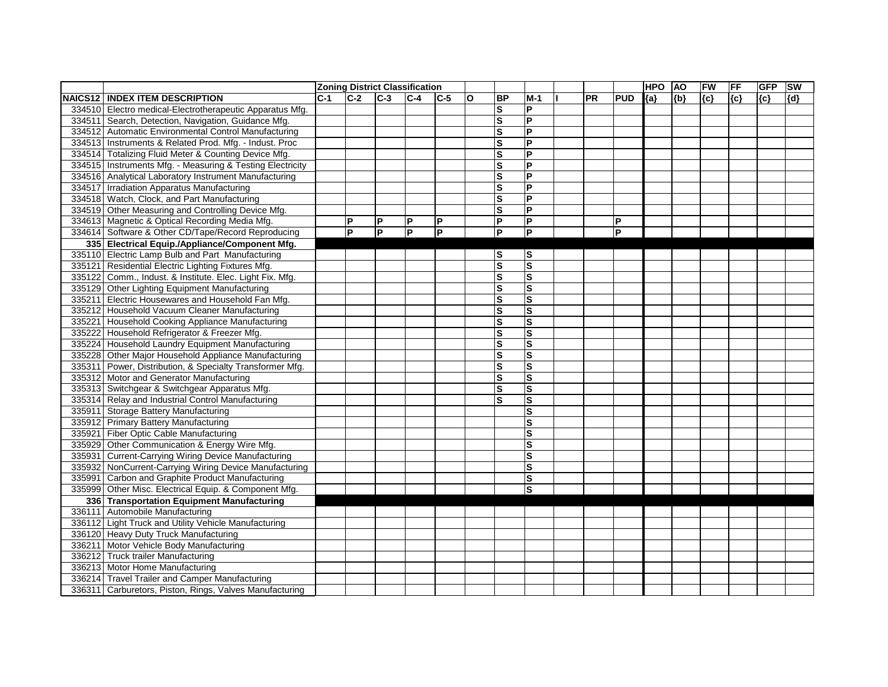|                                                           |       | <b>Zoning District Classification</b> |                |                |              |              |                         |                         |           |            | <b>HPO</b> | <b>AO</b> | FW    | <b>FF</b> | <b>GFP</b> | SW    |
|-----------------------------------------------------------|-------|---------------------------------------|----------------|----------------|--------------|--------------|-------------------------|-------------------------|-----------|------------|------------|-----------|-------|-----------|------------|-------|
| <b>NAICS12 INDEX ITEM DESCRIPTION</b>                     | $C-1$ | $C-2$                                 | $C-3$          | $C-4$          | $C-5$        | $\mathbf{o}$ | <b>BP</b>               | $M-1$                   | <b>PR</b> | <b>PUD</b> | ${a}$      | ${b}$     | ${c}$ | {c}       | ${c}$      | ${d}$ |
| 334510 Electro medical-Electrotherapeutic Apparatus Mfg.  |       |                                       |                |                |              |              | $\mathbf{s}$            | <b>P</b>                |           |            |            |           |       |           |            |       |
| 334511 Search, Detection, Navigation, Guidance Mfg.       |       |                                       |                |                |              |              | $\mathbf{s}$            | $\overline{P}$          |           |            |            |           |       |           |            |       |
| 334512 Automatic Environmental Control Manufacturing      |       |                                       |                |                |              |              | S                       | <b>P</b>                |           |            |            |           |       |           |            |       |
| 334513 Instruments & Related Prod. Mfg. - Indust. Proc    |       |                                       |                |                |              |              | S                       | <b>P</b>                |           |            |            |           |       |           |            |       |
| 334514 Totalizing Fluid Meter & Counting Device Mfg.      |       |                                       |                |                |              |              | ls                      | $\overline{P}$          |           |            |            |           |       |           |            |       |
| 334515 Instruments Mfg. - Measuring & Testing Electricity |       |                                       |                |                |              |              | $\mathbf{s}$            | <b>P</b>                |           |            |            |           |       |           |            |       |
| 334516 Analytical Laboratory Instrument Manufacturing     |       |                                       |                |                |              |              | $\mathbf{s}$            | $\mathsf{P}$            |           |            |            |           |       |           |            |       |
| 334517 Irradiation Apparatus Manufacturing                |       |                                       |                |                |              |              | S                       | $\overline{P}$          |           |            |            |           |       |           |            |       |
| 334518 Watch, Clock, and Part Manufacturing               |       |                                       |                |                |              |              | ls                      | <b>P</b>                |           |            |            |           |       |           |            |       |
| 334519 Other Measuring and Controlling Device Mfg.        |       |                                       |                |                |              |              | $\mathbf S$             | $\mathsf{P}$            |           |            |            |           |       |           |            |       |
| 334613 Magnetic & Optical Recording Media Mfg.            |       | P                                     | P              | P              | $\mathsf{P}$ |              | $\mathsf{P}$            | $\overline{\mathsf{P}}$ |           | Р          |            |           |       |           |            |       |
| 334614 Software & Other CD/Tape/Record Reproducing        |       | P                                     | $\overline{P}$ | $\overline{P}$ | ΙP           |              | $\overline{P}$          | $\overline{\mathsf{P}}$ |           | P          |            |           |       |           |            |       |
| 335 Electrical Equip./Appliance/Component Mfg.            |       |                                       |                |                |              |              |                         |                         |           |            |            |           |       |           |            |       |
| 335110 Electric Lamp Bulb and Part Manufacturing          |       |                                       |                |                |              |              | lS                      | ls                      |           |            |            |           |       |           |            |       |
| 335121 Residential Electric Lighting Fixtures Mfg.        |       |                                       |                |                |              |              | $\overline{\mathbf{s}}$ | S                       |           |            |            |           |       |           |            |       |
| 335122 Comm., Indust. & Institute. Elec. Light Fix. Mfg.  |       |                                       |                |                |              |              | $\mathbf{s}$            | <b>S</b>                |           |            |            |           |       |           |            |       |
| 335129 Other Lighting Equipment Manufacturing             |       |                                       |                |                |              |              | S                       | <b>S</b>                |           |            |            |           |       |           |            |       |
| 335211 Electric Housewares and Household Fan Mfg.         |       |                                       |                |                |              |              | ls                      | S                       |           |            |            |           |       |           |            |       |
| 335212 Household Vacuum Cleaner Manufacturing             |       |                                       |                |                |              |              | $\mathbf{s}$            | ls                      |           |            |            |           |       |           |            |       |
| 335221 Household Cooking Appliance Manufacturing          |       |                                       |                |                |              |              | $\mathbf{s}$            | <b>S</b>                |           |            |            |           |       |           |            |       |
| 335222 Household Refrigerator & Freezer Mfg.              |       |                                       |                |                |              |              | S                       | S                       |           |            |            |           |       |           |            |       |
| 335224 Household Laundry Equipment Manufacturing          |       |                                       |                |                |              |              | ls                      | S                       |           |            |            |           |       |           |            |       |
| 335228 Other Major Household Appliance Manufacturing      |       |                                       |                |                |              |              | S                       | S                       |           |            |            |           |       |           |            |       |
| 335311 Power, Distribution, & Specialty Transformer Mfg.  |       |                                       |                |                |              |              | $\mathbf S$             | S                       |           |            |            |           |       |           |            |       |
| 335312 Motor and Generator Manufacturing                  |       |                                       |                |                |              |              | ls                      | S                       |           |            |            |           |       |           |            |       |
| 335313 Switchgear & Switchgear Apparatus Mfg.             |       |                                       |                |                |              |              | $\mathbf{s}$            | S                       |           |            |            |           |       |           |            |       |
| 335314 Relay and Industrial Control Manufacturing         |       |                                       |                |                |              |              | S                       | <b>S</b>                |           |            |            |           |       |           |            |       |
| 335911 Storage Battery Manufacturing                      |       |                                       |                |                |              |              |                         | S                       |           |            |            |           |       |           |            |       |
| 335912 Primary Battery Manufacturing                      |       |                                       |                |                |              |              |                         | ls                      |           |            |            |           |       |           |            |       |
| 335921 Fiber Optic Cable Manufacturing                    |       |                                       |                |                |              |              |                         | $\mathbf{s}$            |           |            |            |           |       |           |            |       |
| 335929 Other Communication & Energy Wire Mfg.             |       |                                       |                |                |              |              |                         | ls                      |           |            |            |           |       |           |            |       |
| 335931 Current-Carrying Wiring Device Manufacturing       |       |                                       |                |                |              |              |                         | $\mathbf{s}$            |           |            |            |           |       |           |            |       |
| 335932 NonCurrent-Carrying Wiring Device Manufacturing    |       |                                       |                |                |              |              |                         | $\mathbf{s}$            |           |            |            |           |       |           |            |       |
| 335991 Carbon and Graphite Product Manufacturing          |       |                                       |                |                |              |              |                         | ls                      |           |            |            |           |       |           |            |       |
| 335999 Other Misc. Electrical Equip. & Component Mfg.     |       |                                       |                |                |              |              |                         | ls                      |           |            |            |           |       |           |            |       |
| 336 Transportation Equipment Manufacturing                |       |                                       |                |                |              |              |                         |                         |           |            |            |           |       |           |            |       |
| 336111 Automobile Manufacturing                           |       |                                       |                |                |              |              |                         |                         |           |            |            |           |       |           |            |       |
| 336112 Light Truck and Utility Vehicle Manufacturing      |       |                                       |                |                |              |              |                         |                         |           |            |            |           |       |           |            |       |
| 336120 Heavy Duty Truck Manufacturing                     |       |                                       |                |                |              |              |                         |                         |           |            |            |           |       |           |            |       |
| 336211 Motor Vehicle Body Manufacturing                   |       |                                       |                |                |              |              |                         |                         |           |            |            |           |       |           |            |       |
| 336212 Truck trailer Manufacturing                        |       |                                       |                |                |              |              |                         |                         |           |            |            |           |       |           |            |       |
| 336213 Motor Home Manufacturing                           |       |                                       |                |                |              |              |                         |                         |           |            |            |           |       |           |            |       |
| 336214 Travel Trailer and Camper Manufacturing            |       |                                       |                |                |              |              |                         |                         |           |            |            |           |       |           |            |       |
| 336311 Carburetors, Piston, Rings, Valves Manufacturing   |       |                                       |                |                |              |              |                         |                         |           |            |            |           |       |           |            |       |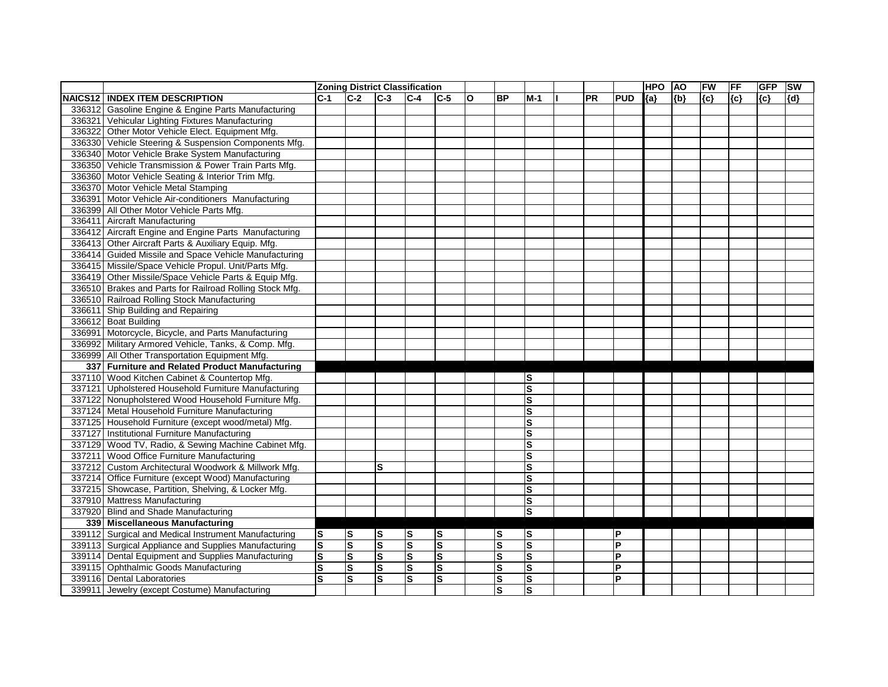|        |                                                         |                         |                         |           | <b>Zoning District Classification</b> |                         |              |           |                         |           |            | <b>HPO</b> | <b>AO</b> | FW    | <b>FF</b> | <b>GFP</b> | <b>SW</b> |
|--------|---------------------------------------------------------|-------------------------|-------------------------|-----------|---------------------------------------|-------------------------|--------------|-----------|-------------------------|-----------|------------|------------|-----------|-------|-----------|------------|-----------|
|        | <b>NAICS12 INDEX ITEM DESCRIPTION</b>                   | $C-1$                   | $C-2$                   | $C-3$     | $C-4$                                 | $C-5$                   | $\mathbf{o}$ | <b>BP</b> | $M-1$                   | <b>PR</b> | <b>PUD</b> | ${a}$      | ${b}$     | ${c}$ | {c}       | ${c}$      | {d}       |
|        | 336312 Gasoline Engine & Engine Parts Manufacturing     |                         |                         |           |                                       |                         |              |           |                         |           |            |            |           |       |           |            |           |
|        | 336321 Vehicular Lighting Fixtures Manufacturing        |                         |                         |           |                                       |                         |              |           |                         |           |            |            |           |       |           |            |           |
|        | 336322 Other Motor Vehicle Elect. Equipment Mfg.        |                         |                         |           |                                       |                         |              |           |                         |           |            |            |           |       |           |            |           |
|        | 336330 Vehicle Steering & Suspension Components Mfg.    |                         |                         |           |                                       |                         |              |           |                         |           |            |            |           |       |           |            |           |
|        | 336340 Motor Vehicle Brake System Manufacturing         |                         |                         |           |                                       |                         |              |           |                         |           |            |            |           |       |           |            |           |
|        | 336350 Vehicle Transmission & Power Train Parts Mfg.    |                         |                         |           |                                       |                         |              |           |                         |           |            |            |           |       |           |            |           |
|        | 336360 Motor Vehicle Seating & Interior Trim Mfg.       |                         |                         |           |                                       |                         |              |           |                         |           |            |            |           |       |           |            |           |
|        | 336370 Motor Vehicle Metal Stamping                     |                         |                         |           |                                       |                         |              |           |                         |           |            |            |           |       |           |            |           |
|        | 336391 Motor Vehicle Air-conditioners Manufacturing     |                         |                         |           |                                       |                         |              |           |                         |           |            |            |           |       |           |            |           |
|        | 336399 All Other Motor Vehicle Parts Mfg.               |                         |                         |           |                                       |                         |              |           |                         |           |            |            |           |       |           |            |           |
| 336411 | Aircraft Manufacturing                                  |                         |                         |           |                                       |                         |              |           |                         |           |            |            |           |       |           |            |           |
|        | 336412 Aircraft Engine and Engine Parts Manufacturing   |                         |                         |           |                                       |                         |              |           |                         |           |            |            |           |       |           |            |           |
|        | 336413 Other Aircraft Parts & Auxiliary Equip. Mfg.     |                         |                         |           |                                       |                         |              |           |                         |           |            |            |           |       |           |            |           |
|        | 336414 Guided Missile and Space Vehicle Manufacturing   |                         |                         |           |                                       |                         |              |           |                         |           |            |            |           |       |           |            |           |
|        | 336415 Missile/Space Vehicle Propul. Unit/Parts Mfg.    |                         |                         |           |                                       |                         |              |           |                         |           |            |            |           |       |           |            |           |
|        | 336419 Other Missile/Space Vehicle Parts & Equip Mfg.   |                         |                         |           |                                       |                         |              |           |                         |           |            |            |           |       |           |            |           |
|        | 336510 Brakes and Parts for Railroad Rolling Stock Mfg. |                         |                         |           |                                       |                         |              |           |                         |           |            |            |           |       |           |            |           |
|        | 336510 Railroad Rolling Stock Manufacturing             |                         |                         |           |                                       |                         |              |           |                         |           |            |            |           |       |           |            |           |
|        | 336611 Ship Building and Repairing                      |                         |                         |           |                                       |                         |              |           |                         |           |            |            |           |       |           |            |           |
|        | 336612 Boat Building                                    |                         |                         |           |                                       |                         |              |           |                         |           |            |            |           |       |           |            |           |
|        | 336991 Motorcycle, Bicycle, and Parts Manufacturing     |                         |                         |           |                                       |                         |              |           |                         |           |            |            |           |       |           |            |           |
|        | 336992 Military Armored Vehicle, Tanks, & Comp. Mfg.    |                         |                         |           |                                       |                         |              |           |                         |           |            |            |           |       |           |            |           |
|        | 336999 All Other Transportation Equipment Mfg.          |                         |                         |           |                                       |                         |              |           |                         |           |            |            |           |       |           |            |           |
|        | 337 Furniture and Related Product Manufacturing         |                         |                         |           |                                       |                         |              |           |                         |           |            |            |           |       |           |            |           |
|        | 337110 Wood Kitchen Cabinet & Countertop Mfg.           |                         |                         |           |                                       |                         |              |           | lS                      |           |            |            |           |       |           |            |           |
|        | 337121 Upholstered Household Furniture Manufacturing    |                         |                         |           |                                       |                         |              |           | $\overline{\mathbf{s}}$ |           |            |            |           |       |           |            |           |
|        | 337122 Nonupholstered Wood Household Furniture Mfg.     |                         |                         |           |                                       |                         |              |           | $\mathbf{s}$            |           |            |            |           |       |           |            |           |
|        | 337124 Metal Household Furniture Manufacturing          |                         |                         |           |                                       |                         |              |           | S                       |           |            |            |           |       |           |            |           |
|        | 337125 Household Furniture (except wood/metal) Mfg.     |                         |                         |           |                                       |                         |              |           | $\mathbf{s}$            |           |            |            |           |       |           |            |           |
|        | 337127 Institutional Furniture Manufacturing            |                         |                         |           |                                       |                         |              |           | $\mathbf{s}$            |           |            |            |           |       |           |            |           |
|        | 337129 Wood TV, Radio, & Sewing Machine Cabinet Mfg.    |                         |                         |           |                                       |                         |              |           | ls                      |           |            |            |           |       |           |            |           |
|        | 337211 Wood Office Furniture Manufacturing              |                         |                         |           |                                       |                         |              |           | $\mathbf{s}$            |           |            |            |           |       |           |            |           |
|        | 337212 Custom Architectural Woodwork & Millwork Mfg.    |                         |                         | S         |                                       |                         |              |           | $\mathbf{s}$            |           |            |            |           |       |           |            |           |
|        | 337214 Office Furniture (except Wood) Manufacturing     |                         |                         |           |                                       |                         |              |           | ls                      |           |            |            |           |       |           |            |           |
|        | 337215 Showcase, Partition, Shelving, & Locker Mfg.     |                         |                         |           |                                       |                         |              |           | S                       |           |            |            |           |       |           |            |           |
|        | 337910 Mattress Manufacturing                           |                         |                         |           |                                       |                         |              |           | S                       |           |            |            |           |       |           |            |           |
|        | 337920 Blind and Shade Manufacturing                    |                         |                         |           |                                       |                         |              |           | S                       |           |            |            |           |       |           |            |           |
|        | 339 Miscellaneous Manufacturing                         |                         |                         |           |                                       |                         |              |           |                         |           |            |            |           |       |           |            |           |
|        | 339112 Surgical and Medical Instrument Manufacturing    | ls                      | <b>S</b>                | $\vert$ S | $\mathbf{s}$                          | $\vert$ S               |              | lS        | ls                      |           | P          |            |           |       |           |            |           |
|        | 339113 Surgical Appliance and Supplies Manufacturing    | $ \mathsf{s} $          | $\mathbf{s}$            | $\vert$ S | $\mathbf s$                           | Ω                       |              | S         | S                       |           | P          |            |           |       |           |            |           |
|        | 339114 Dental Equipment and Supplies Manufacturing      | $\overline{\mathsf{s}}$ | $\overline{\mathbf{s}}$ | Ω         | $\overline{\mathbf{s}}$               | Ω                       |              | ΙS        | $\overline{\mathsf{s}}$ |           | P          |            |           |       |           |            |           |
|        | 339115 Ophthalmic Goods Manufacturing                   | $\overline{\mathbf{s}}$ | $\overline{\mathbf{s}}$ | $\vert$ S | $\overline{\mathbf{s}}$               | Ø                       |              | ls        | S                       |           | P          |            |           |       |           |            |           |
|        | 339116 Dental Laboratories                              | Ω                       | ls.                     | lS.       | $\mathbf s$                           | $\overline{\mathbf{s}}$ |              | <b>S</b>  | S                       |           | P          |            |           |       |           |            |           |
|        | 339911 Jewelry (except Costume) Manufacturing           |                         |                         |           |                                       |                         |              | <b>S</b>  | ls                      |           |            |            |           |       |           |            |           |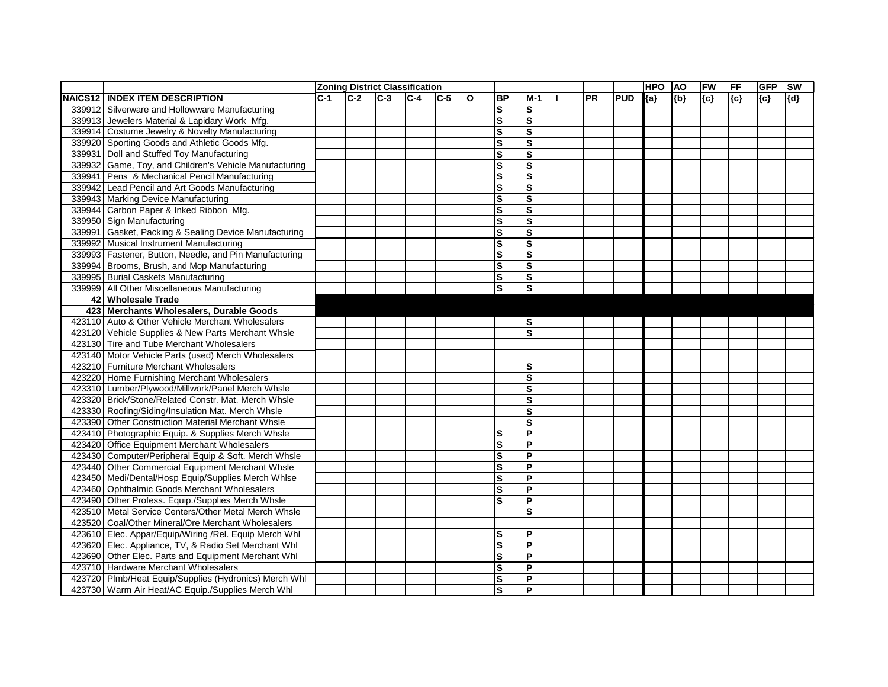|         |                                                        |       |       |       | <b>Zoning District Classification</b> |         |              |                         |                         |           |            | <b>HPO</b> | <b>AO</b> | FW    | <b>FF</b> | <b>GFP</b> | <b>SW</b> |
|---------|--------------------------------------------------------|-------|-------|-------|---------------------------------------|---------|--------------|-------------------------|-------------------------|-----------|------------|------------|-----------|-------|-----------|------------|-----------|
| NAICS12 | <b>INDEX ITEM DESCRIPTION</b>                          | $C-1$ | $C-2$ | $C-3$ | $ C-4 $                               | $ C-5 $ | $\mathbf{o}$ | <b>BP</b>               | $M-1$                   | <b>PR</b> | <b>PUD</b> | ${a}$      | ${b}$     | ${c}$ | $\{c\}$   | ${c}$      | [{d}      |
| 339912  | Silverware and Hollowware Manufacturing                |       |       |       |                                       |         |              | ls                      | ls                      |           |            |            |           |       |           |            |           |
| 339913  | Jewelers Material & Lapidary Work Mfg.                 |       |       |       |                                       |         |              | $\overline{\mathbf{s}}$ | ΙS                      |           |            |            |           |       |           |            |           |
| 339914  | Costume Jewelry & Novelty Manufacturing                |       |       |       |                                       |         |              | Ω                       | S                       |           |            |            |           |       |           |            |           |
|         | 339920 Sporting Goods and Athletic Goods Mfg.          |       |       |       |                                       |         |              | $\overline{\mathbf{s}}$ | S                       |           |            |            |           |       |           |            |           |
| 339931  | Doll and Stuffed Toy Manufacturing                     |       |       |       |                                       |         |              | $\overline{\mathbf{s}}$ | ls                      |           |            |            |           |       |           |            |           |
|         | 339932 Game, Toy, and Children's Vehicle Manufacturing |       |       |       |                                       |         |              | $\vert$ S               | ls                      |           |            |            |           |       |           |            |           |
| 339941  | Pens & Mechanical Pencil Manufacturing                 |       |       |       |                                       |         |              | $\overline{\mathbf{s}}$ | ls                      |           |            |            |           |       |           |            |           |
| 339942  | Lead Pencil and Art Goods Manufacturing                |       |       |       |                                       |         |              | ls                      | ls                      |           |            |            |           |       |           |            |           |
|         | 339943 Marking Device Manufacturing                    |       |       |       |                                       |         |              | $\overline{\mathbf{s}}$ | ls                      |           |            |            |           |       |           |            |           |
| 339944  | Carbon Paper & Inked Ribbon Mfg.                       |       |       |       |                                       |         |              | $\vert s$               | S                       |           |            |            |           |       |           |            |           |
| 339950  | Sign Manufacturing                                     |       |       |       |                                       |         |              | $\overline{\mathbf{s}}$ | ls                      |           |            |            |           |       |           |            |           |
| 339991  | Gasket, Packing & Sealing Device Manufacturing         |       |       |       |                                       |         |              | $\vert$ S               | ls                      |           |            |            |           |       |           |            |           |
| 339992  | <b>Musical Instrument Manufacturing</b>                |       |       |       |                                       |         |              | $\vert$ S               | S                       |           |            |            |           |       |           |            |           |
| 339993  | Fastener, Button, Needle, and Pin Manufacturing        |       |       |       |                                       |         |              | $\vert$ S               | ΙS                      |           |            |            |           |       |           |            |           |
| 339994  | Brooms, Brush, and Mop Manufacturing                   |       |       |       |                                       |         |              | $\vert$ S               | $\mathbf{s}$            |           |            |            |           |       |           |            |           |
| 339995  | <b>Burial Caskets Manufacturing</b>                    |       |       |       |                                       |         |              | ls                      | ls                      |           |            |            |           |       |           |            |           |
|         | 339999 All Other Miscellaneous Manufacturing           |       |       |       |                                       |         |              | ls                      | ls                      |           |            |            |           |       |           |            |           |
|         | 42 Wholesale Trade                                     |       |       |       |                                       |         |              |                         |                         |           |            |            |           |       |           |            |           |
| 423     | <b>Merchants Wholesalers, Durable Goods</b>            |       |       |       |                                       |         |              |                         |                         |           |            |            |           |       |           |            |           |
|         | 423110 Auto & Other Vehicle Merchant Wholesalers       |       |       |       |                                       |         |              |                         | ls                      |           |            |            |           |       |           |            |           |
|         | 423120 Vehicle Supplies & New Parts Merchant Whsle     |       |       |       |                                       |         |              |                         | S                       |           |            |            |           |       |           |            |           |
|         | 423130 Tire and Tube Merchant Wholesalers              |       |       |       |                                       |         |              |                         |                         |           |            |            |           |       |           |            |           |
|         | 423140 Motor Vehicle Parts (used) Merch Wholesalers    |       |       |       |                                       |         |              |                         |                         |           |            |            |           |       |           |            |           |
| 423210  | <b>Furniture Merchant Wholesalers</b>                  |       |       |       |                                       |         |              |                         | S                       |           |            |            |           |       |           |            |           |
| 423220  | Home Furnishing Merchant Wholesalers                   |       |       |       |                                       |         |              |                         | $\mathbf{s}$            |           |            |            |           |       |           |            |           |
| 423310  | Lumber/Plywood/Millwork/Panel Merch Whsle              |       |       |       |                                       |         |              |                         | S                       |           |            |            |           |       |           |            |           |
| 423320  | Brick/Stone/Related Constr. Mat. Merch Whsle           |       |       |       |                                       |         |              |                         | $\mathbf{s}$            |           |            |            |           |       |           |            |           |
|         | 423330 Roofing/Siding/Insulation Mat. Merch Whsle      |       |       |       |                                       |         |              |                         | $\mathbf{s}$            |           |            |            |           |       |           |            |           |
|         | 423390 Other Construction Material Merchant Whsle      |       |       |       |                                       |         |              |                         | $\overline{\mathbf{s}}$ |           |            |            |           |       |           |            |           |
|         | 423410 Photographic Equip. & Supplies Merch Whsle      |       |       |       |                                       |         |              | lS                      | $\overline{P}$          |           |            |            |           |       |           |            |           |
|         | 423420 Office Equipment Merchant Wholesalers           |       |       |       |                                       |         |              | $\overline{\mathbf{s}}$ | <b>P</b>                |           |            |            |           |       |           |            |           |
|         | 423430 Computer/Peripheral Equip & Soft. Merch Whsle   |       |       |       |                                       |         |              | lS                      | $\mathsf{P}$            |           |            |            |           |       |           |            |           |
|         | 423440 Other Commercial Equipment Merchant Whsle       |       |       |       |                                       |         |              | $\vert$ S               | $\overline{P}$          |           |            |            |           |       |           |            |           |
|         | 423450 Medi/Dental/Hosp Equip/Supplies Merch Whlse     |       |       |       |                                       |         |              | $\vert$ S               | <b>P</b>                |           |            |            |           |       |           |            |           |
|         | 423460 Ophthalmic Goods Merchant Wholesalers           |       |       |       |                                       |         |              | ls                      | P                       |           |            |            |           |       |           |            |           |
|         | 423490 Other Profess. Equip./Supplies Merch Whsle      |       |       |       |                                       |         |              | $\overline{\mathsf{s}}$ | $\overline{P}$          |           |            |            |           |       |           |            |           |
|         | 423510 Metal Service Centers/Other Metal Merch Whsle   |       |       |       |                                       |         |              |                         | S                       |           |            |            |           |       |           |            |           |
|         | 423520 Coal/Other Mineral/Ore Merchant Wholesalers     |       |       |       |                                       |         |              |                         |                         |           |            |            |           |       |           |            |           |
|         | 423610 Elec. Appar/Equip/Wiring /Rel. Equip Merch Whl  |       |       |       |                                       |         |              | $\vert$ S               | P                       |           |            |            |           |       |           |            |           |
|         | 423620 Elec. Appliance, TV, & Radio Set Merchant Whl   |       |       |       |                                       |         |              | ls                      | $\overline{P}$          |           |            |            |           |       |           |            |           |
|         | 423690 Other Elec. Parts and Equipment Merchant Whl    |       |       |       |                                       |         |              | $\vert$ S               | $\overline{P}$          |           |            |            |           |       |           |            |           |
|         | 423710 Hardware Merchant Wholesalers                   |       |       |       |                                       |         |              | $\vert$ S               | $\overline{\mathsf{P}}$ |           |            |            |           |       |           |            |           |
|         | 423720 Plmb/Heat Equip/Supplies (Hydronics) Merch Whl  |       |       |       |                                       |         |              | $\overline{\mathsf{s}}$ | $\overline{P}$          |           |            |            |           |       |           |            |           |
|         | 423730 Warm Air Heat/AC Equip./Supplies Merch Whl      |       |       |       |                                       |         |              | ls                      | $\overline{P}$          |           |            |            |           |       |           |            |           |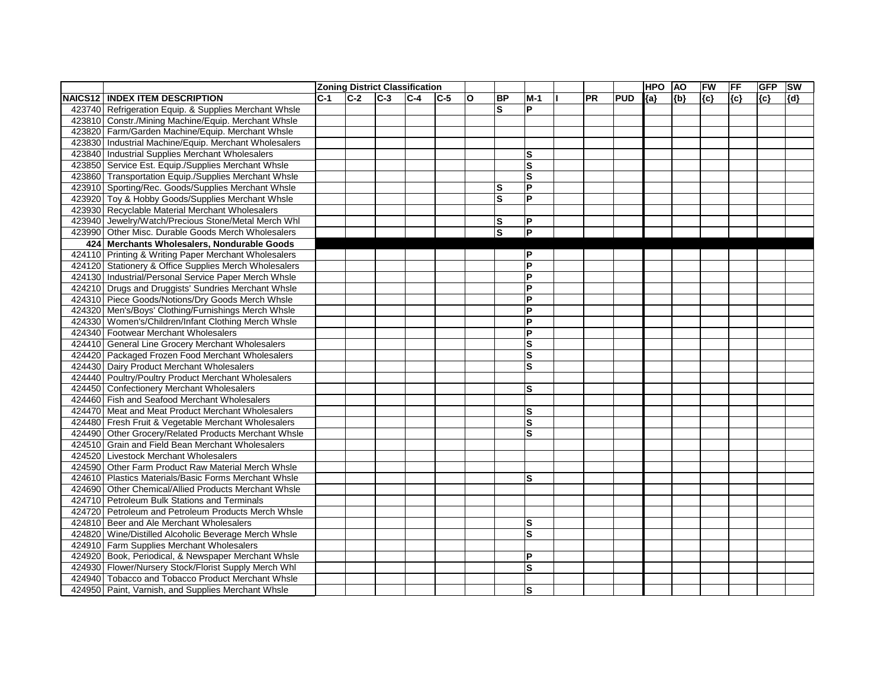|         |                                                       |       |       |         | <b>Zoning District Classification</b> |       |              |                         |                |           |            | <b>HPO</b> | <b>AO</b> | FW    | FF  | <b>GFP</b> | <b>SW</b> |
|---------|-------------------------------------------------------|-------|-------|---------|---------------------------------------|-------|--------------|-------------------------|----------------|-----------|------------|------------|-----------|-------|-----|------------|-----------|
| NAICS12 | <b>INDEX ITEM DESCRIPTION</b>                         | $C-1$ | $C-2$ | $ C-3 $ | $C-4$                                 | $C-5$ | $\mathbf{o}$ | <b>BP</b>               | $M-1$          | <b>PR</b> | <b>PUD</b> | ${a}$      | ${b}$     | ${c}$ | {c} | ${c}$      | {d}       |
|         | 423740 Refrigeration Equip. & Supplies Merchant Whsle |       |       |         |                                       |       |              | S                       | P              |           |            |            |           |       |     |            |           |
|         | 423810 Constr./Mining Machine/Equip. Merchant Whsle   |       |       |         |                                       |       |              |                         |                |           |            |            |           |       |     |            |           |
|         | 423820 Farm/Garden Machine/Equip. Merchant Whsle      |       |       |         |                                       |       |              |                         |                |           |            |            |           |       |     |            |           |
|         | 423830 Industrial Machine/Equip. Merchant Wholesalers |       |       |         |                                       |       |              |                         |                |           |            |            |           |       |     |            |           |
|         | 423840 Industrial Supplies Merchant Wholesalers       |       |       |         |                                       |       |              |                         | ls             |           |            |            |           |       |     |            |           |
|         | 423850 Service Est. Equip./Supplies Merchant Whsle    |       |       |         |                                       |       |              |                         | S              |           |            |            |           |       |     |            |           |
|         | 423860 Transportation Equip./Supplies Merchant Whsle  |       |       |         |                                       |       |              |                         | $\mathbf{s}$   |           |            |            |           |       |     |            |           |
|         | 423910 Sporting/Rec. Goods/Supplies Merchant Whsle    |       |       |         |                                       |       |              | lS                      | $\overline{P}$ |           |            |            |           |       |     |            |           |
| 423920  | Toy & Hobby Goods/Supplies Merchant Whsle             |       |       |         |                                       |       |              | $\overline{\mathbf{s}}$ | <b>P</b>       |           |            |            |           |       |     |            |           |
|         | 423930 Recyclable Material Merchant Wholesalers       |       |       |         |                                       |       |              |                         |                |           |            |            |           |       |     |            |           |
| 423940  | Jewelry/Watch/Precious Stone/Metal Merch Whl          |       |       |         |                                       |       |              | ls                      | P              |           |            |            |           |       |     |            |           |
| 423990  | Other Misc. Durable Goods Merch Wholesalers           |       |       |         |                                       |       |              | $ \mathsf{s} $          | $\overline{P}$ |           |            |            |           |       |     |            |           |
| 424     | Merchants Wholesalers, Nondurable Goods               |       |       |         |                                       |       |              |                         |                |           |            |            |           |       |     |            |           |
|         | 424110 Printing & Writing Paper Merchant Wholesalers  |       |       |         |                                       |       |              |                         | P              |           |            |            |           |       |     |            |           |
|         | 424120 Stationery & Office Supplies Merch Wholesalers |       |       |         |                                       |       |              |                         | <b>P</b>       |           |            |            |           |       |     |            |           |
|         | 424130 Industrial/Personal Service Paper Merch Whsle  |       |       |         |                                       |       |              |                         | <b>P</b>       |           |            |            |           |       |     |            |           |
|         | 424210 Drugs and Druggists' Sundries Merchant Whsle   |       |       |         |                                       |       |              |                         | <b>P</b>       |           |            |            |           |       |     |            |           |
|         | 424310 Piece Goods/Notions/Dry Goods Merch Whsle      |       |       |         |                                       |       |              |                         | $\overline{P}$ |           |            |            |           |       |     |            |           |
|         | 424320 Men's/Boys' Clothing/Furnishings Merch Whsle   |       |       |         |                                       |       |              |                         | P              |           |            |            |           |       |     |            |           |
|         | 424330 Women's/Children/Infant Clothing Merch Whsle   |       |       |         |                                       |       |              |                         | P              |           |            |            |           |       |     |            |           |
|         | 424340 Footwear Merchant Wholesalers                  |       |       |         |                                       |       |              |                         | <b>P</b>       |           |            |            |           |       |     |            |           |
|         | 424410 General Line Grocery Merchant Wholesalers      |       |       |         |                                       |       |              |                         | ls             |           |            |            |           |       |     |            |           |
|         | 424420 Packaged Frozen Food Merchant Wholesalers      |       |       |         |                                       |       |              |                         | $\mathbf{s}$   |           |            |            |           |       |     |            |           |
|         | 424430 Dairy Product Merchant Wholesalers             |       |       |         |                                       |       |              |                         | $\mathbf{s}$   |           |            |            |           |       |     |            |           |
|         | 424440 Poultry/Poultry Product Merchant Wholesalers   |       |       |         |                                       |       |              |                         |                |           |            |            |           |       |     |            |           |
| 424450  | <b>Confectionery Merchant Wholesalers</b>             |       |       |         |                                       |       |              |                         | S              |           |            |            |           |       |     |            |           |
|         | 424460 Fish and Seafood Merchant Wholesalers          |       |       |         |                                       |       |              |                         |                |           |            |            |           |       |     |            |           |
|         | 424470 Meat and Meat Product Merchant Wholesalers     |       |       |         |                                       |       |              |                         | ls             |           |            |            |           |       |     |            |           |
|         | 424480 Fresh Fruit & Vegetable Merchant Wholesalers   |       |       |         |                                       |       |              |                         | ls             |           |            |            |           |       |     |            |           |
|         | 424490 Other Grocery/Related Products Merchant Whsle  |       |       |         |                                       |       |              |                         | $\mathbf{s}$   |           |            |            |           |       |     |            |           |
|         | 424510 Grain and Field Bean Merchant Wholesalers      |       |       |         |                                       |       |              |                         |                |           |            |            |           |       |     |            |           |
|         | 424520 Livestock Merchant Wholesalers                 |       |       |         |                                       |       |              |                         |                |           |            |            |           |       |     |            |           |
|         | 424590 Other Farm Product Raw Material Merch Whsle    |       |       |         |                                       |       |              |                         |                |           |            |            |           |       |     |            |           |
|         | 424610 Plastics Materials/Basic Forms Merchant Whsle  |       |       |         |                                       |       |              |                         | ls             |           |            |            |           |       |     |            |           |
|         | 424690 Other Chemical/Allied Products Merchant Whsle  |       |       |         |                                       |       |              |                         |                |           |            |            |           |       |     |            |           |
|         | 424710 Petroleum Bulk Stations and Terminals          |       |       |         |                                       |       |              |                         |                |           |            |            |           |       |     |            |           |
|         | 424720 Petroleum and Petroleum Products Merch Whsle   |       |       |         |                                       |       |              |                         |                |           |            |            |           |       |     |            |           |
|         | 424810 Beer and Ale Merchant Wholesalers              |       |       |         |                                       |       |              |                         | ls             |           |            |            |           |       |     |            |           |
|         | 424820 Wine/Distilled Alcoholic Beverage Merch Whsle  |       |       |         |                                       |       |              |                         | ΙS             |           |            |            |           |       |     |            |           |
|         | 424910 Farm Supplies Merchant Wholesalers             |       |       |         |                                       |       |              |                         |                |           |            |            |           |       |     |            |           |
|         | 424920 Book, Periodical, & Newspaper Merchant Whsle   |       |       |         |                                       |       |              |                         | $\mathsf{P}$   |           |            |            |           |       |     |            |           |
|         | 424930 Flower/Nursery Stock/Florist Supply Merch Whl  |       |       |         |                                       |       |              |                         | ls             |           |            |            |           |       |     |            |           |
|         | 424940 Tobacco and Tobacco Product Merchant Whsle     |       |       |         |                                       |       |              |                         |                |           |            |            |           |       |     |            |           |
|         | 424950 Paint, Varnish, and Supplies Merchant Whsle    |       |       |         |                                       |       |              |                         | <b>S</b>       |           |            |            |           |       |     |            |           |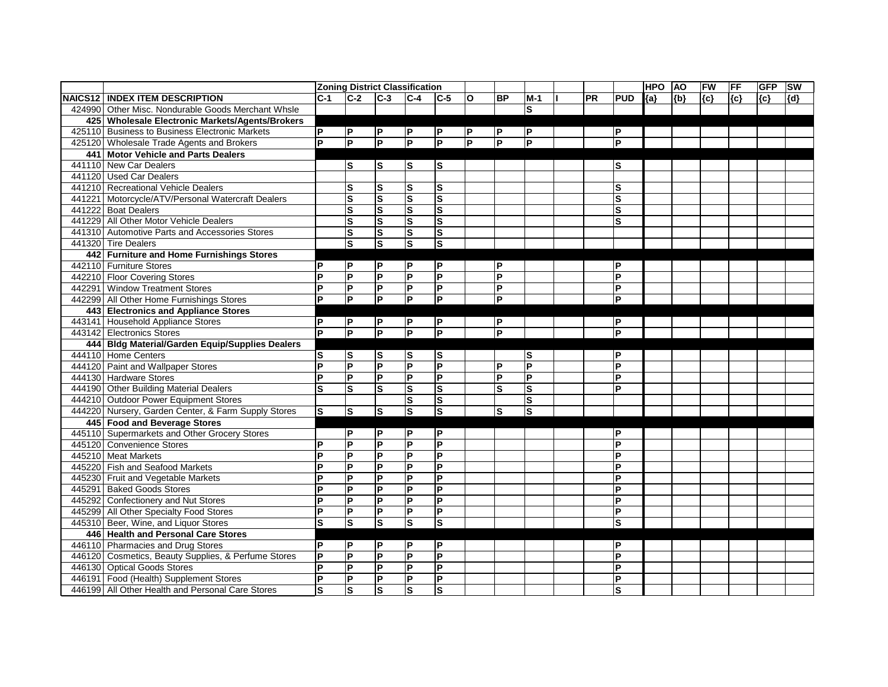|                                                     |                | <b>Zoning District Classification</b> |                         |                         |                         |                         |                         |                |           |                         | <b>HPO</b> | <b>AO</b> | FW    | FF    | <b>GFP</b> | <b>SW</b> |
|-----------------------------------------------------|----------------|---------------------------------------|-------------------------|-------------------------|-------------------------|-------------------------|-------------------------|----------------|-----------|-------------------------|------------|-----------|-------|-------|------------|-----------|
| <b>NAICS12   INDEX ITEM DESCRIPTION</b>             | $C-1$          | $C-2$                                 | $C-3$                   | $C-4$                   | $C-5$                   | $\mathbf{o}$            | <b>BP</b>               | $M-1$          | <b>PR</b> | <b>PUD</b>              | ${a}$      | ${b}$     | ${c}$ | ${c}$ | ${c}$      | ${d}$     |
| 424990 Other Misc. Nondurable Goods Merchant Whsle  |                |                                       |                         |                         |                         |                         |                         | ls             |           |                         |            |           |       |       |            |           |
| 425 Wholesale Electronic Markets/Agents/Brokers     |                |                                       |                         |                         |                         |                         |                         |                |           |                         |            |           |       |       |            |           |
| 425110 Business to Business Electronic Markets      | <b>P</b>       | P                                     | $\mathsf{P}$            | P                       | P                       | P                       | ΙP                      | ΙP             |           | P                       |            |           |       |       |            |           |
| 425120 Wholesale Trade Agents and Brokers           | <b>P</b>       | $\overline{P}$                        | $\overline{P}$          | $\overline{P}$          | $\overline{\mathsf{P}}$ | $\overline{\mathsf{P}}$ | $\overline{P}$          | $\overline{P}$ |           | P                       |            |           |       |       |            |           |
| 441 Motor Vehicle and Parts Dealers                 |                |                                       |                         |                         |                         |                         |                         |                |           |                         |            |           |       |       |            |           |
| 441110 New Car Dealers                              |                | lS                                    | lS                      | lS.                     | S                       |                         |                         |                |           | S                       |            |           |       |       |            |           |
| 441120 Used Car Dealers                             |                |                                       |                         |                         |                         |                         |                         |                |           |                         |            |           |       |       |            |           |
| 441210 Recreational Vehicle Dealers                 |                | lS                                    | S                       | S                       | $\mathbf s$             |                         |                         |                |           | S                       |            |           |       |       |            |           |
| 441221 Motorcycle/ATV/Personal Watercraft Dealers   |                | $\overline{\mathbf{s}}$               | $\overline{\mathbf{s}}$ | $\overline{\mathbf{s}}$ | $\overline{\mathbf{s}}$ |                         |                         |                |           | $\overline{\mathbf{s}}$ |            |           |       |       |            |           |
| 441222 Boat Dealers                                 |                | $\vert s$                             | <b>S</b>                | Ω                       | $\mathbf{s}$            |                         |                         |                |           | S                       |            |           |       |       |            |           |
| 441229 All Other Motor Vehicle Dealers              |                | $\vert$ S                             | ${\bf S}$               | s)                      | $\mathbf s$             |                         |                         |                |           | S                       |            |           |       |       |            |           |
| 441310 Automotive Parts and Accessories Stores      |                | Ø                                     | S                       | s)                      | S                       |                         |                         |                |           |                         |            |           |       |       |            |           |
| 441320 Tire Dealers                                 |                | $\overline{\mathbf{s}}$               | S                       | $\overline{\mathbf{s}}$ | S                       |                         |                         |                |           |                         |            |           |       |       |            |           |
| 442 Furniture and Home Furnishings Stores           |                |                                       |                         |                         |                         |                         |                         |                |           |                         |            |           |       |       |            |           |
| 442110 Furniture Stores                             | ΙP             | $\mathsf{P}$                          | P                       | P                       | ΙP                      |                         | P                       |                |           | P                       |            |           |       |       |            |           |
| 442210 Floor Covering Stores                        | Þ              | Ιd                                    | P                       | $\overline{\mathsf{d}}$ | $\overline{\mathsf{P}}$ |                         | $\overline{\mathsf{P}}$ |                |           | P                       |            |           |       |       |            |           |
| 442291 Window Treatment Stores                      | P              | $\overline{P}$                        | <b>P</b>                | $\overline{P}$          | P                       |                         | lP.                     |                |           | D                       |            |           |       |       |            |           |
| 442299 All Other Home Furnishings Stores            | IP.            | <b>P</b>                              | <b>P</b>                | <b>P</b>                | lP.                     |                         | $\overline{\mathsf{P}}$ |                |           | P                       |            |           |       |       |            |           |
| 443 Electronics and Appliance Stores                |                |                                       |                         |                         |                         |                         |                         |                |           |                         |            |           |       |       |            |           |
| 443141 Household Appliance Stores                   | ΙP             | P                                     | $\mathsf{P}$            | P                       | P                       |                         | P                       |                |           | P                       |            |           |       |       |            |           |
| 443142 Electronics Stores                           | l P            | $\overline{P}$                        | <b>P</b>                | $\overline{P}$          | ΙP                      |                         | $\overline{\mathsf{P}}$ |                |           | D                       |            |           |       |       |            |           |
| 444 Bldg Material/Garden Equip/Supplies Dealers     |                |                                       |                         |                         |                         |                         |                         |                |           |                         |            |           |       |       |            |           |
| 444110 Home Centers                                 | ls             | ls                                    | ls                      | <b>S</b>                | lS                      |                         |                         | ls             |           | P                       |            |           |       |       |            |           |
| 444120 Paint and Wallpaper Stores                   | P              | $\overline{P}$                        | $\overline{P}$          | $\overline{P}$          | $\overline{P}$          |                         | lP.                     | $\overline{P}$ |           | D                       |            |           |       |       |            |           |
| 444130 Hardware Stores                              | P              | P                                     | P                       | $\mathsf{P}$            | P                       |                         | $\overline{\mathsf{P}}$ | $\overline{P}$ |           | P                       |            |           |       |       |            |           |
| 444190 Other Building Material Dealers              | ls             | Ω                                     | $\mathbf s$             | Ω                       | $\mathbf{s}$            |                         | ls                      | S              |           | D                       |            |           |       |       |            |           |
| 444210 Outdoor Power Equipment Stores               |                |                                       |                         | $\vert$ S               | $\overline{\mathbf{s}}$ |                         |                         | S              |           |                         |            |           |       |       |            |           |
| 444220 Nursery, Garden Center, & Farm Supply Stores | ls.            | ls.                                   | lS.                     | Ω                       | $\mathbf{s}$            |                         | ls                      | S              |           |                         |            |           |       |       |            |           |
| 445 Food and Beverage Stores                        |                |                                       |                         |                         |                         |                         |                         |                |           |                         |            |           |       |       |            |           |
| 445110 Supermarkets and Other Grocery Stores        |                | $\mathsf{P}$                          | P                       | P                       | P                       |                         |                         |                |           | P                       |            |           |       |       |            |           |
| 445120 Convenience Stores                           | P              | $\mathsf{P}$                          | $\mathsf{P}$            | L                       | $\overline{\mathsf{P}}$ |                         |                         |                |           | Þ                       |            |           |       |       |            |           |
| 445210 Meat Markets                                 | <b>P</b>       | $\overline{P}$                        | $\overline{P}$          | $\overline{P}$          | $\overline{P}$          |                         |                         |                |           | P                       |            |           |       |       |            |           |
| 445220 Fish and Seafood Markets                     | P              | $\mathsf{P}$                          | $\mathsf P$             | P                       | P                       |                         |                         |                |           | Þ                       |            |           |       |       |            |           |
| 445230 Fruit and Vegetable Markets                  | P              | L                                     | $\overline{P}$          | E                       | $\overline{P}$          |                         |                         |                |           | P                       |            |           |       |       |            |           |
| 445291 Baked Goods Stores                           | P              | P                                     | P                       | P                       | P                       |                         |                         |                |           | P                       |            |           |       |       |            |           |
| 445292 Confectionery and Nut Stores                 | P              | $\overline{P}$                        | P                       | $\overline{P}$          | $\overline{P}$          |                         |                         |                |           | P                       |            |           |       |       |            |           |
| 445299 All Other Specialty Food Stores              | ΙP             | P                                     | P                       | P                       | P                       |                         |                         |                |           | P                       |            |           |       |       |            |           |
| 445310 Beer, Wine, and Liquor Stores                | S              | ls.                                   | ls                      | $\overline{\mathsf{s}}$ | $ \mathsf{s} $          |                         |                         |                |           | $\mathbf S$             |            |           |       |       |            |           |
| 446 Health and Personal Care Stores                 |                |                                       |                         |                         |                         |                         |                         |                |           |                         |            |           |       |       |            |           |
| 446110 Pharmacies and Drug Stores                   | P              | P                                     | <b>P</b>                | <b>P</b>                | P                       |                         |                         |                |           | P                       |            |           |       |       |            |           |
| 446120 Cosmetics, Beauty Supplies, & Perfume Stores | P              | $\overline{P}$                        | <b>P</b>                | L                       | $\overline{\mathsf{P}}$ |                         |                         |                |           | P                       |            |           |       |       |            |           |
| 446130 Optical Goods Stores                         | $\overline{P}$ | $\overline{P}$                        | $\overline{P}$          | L                       | $\overline{\mathsf{P}}$ |                         |                         |                |           | P                       |            |           |       |       |            |           |
| 446191 Food (Health) Supplement Stores              | <b>P</b>       | $\overline{P}$                        | P                       | P                       | $ {\mathsf P} $         |                         |                         |                |           | P                       |            |           |       |       |            |           |
| 446199 All Other Health and Personal Care Stores    | ls             | $\vert$ S                             | ls.                     | $\vert$ S               | ls.                     |                         |                         |                |           | S                       |            |           |       |       |            |           |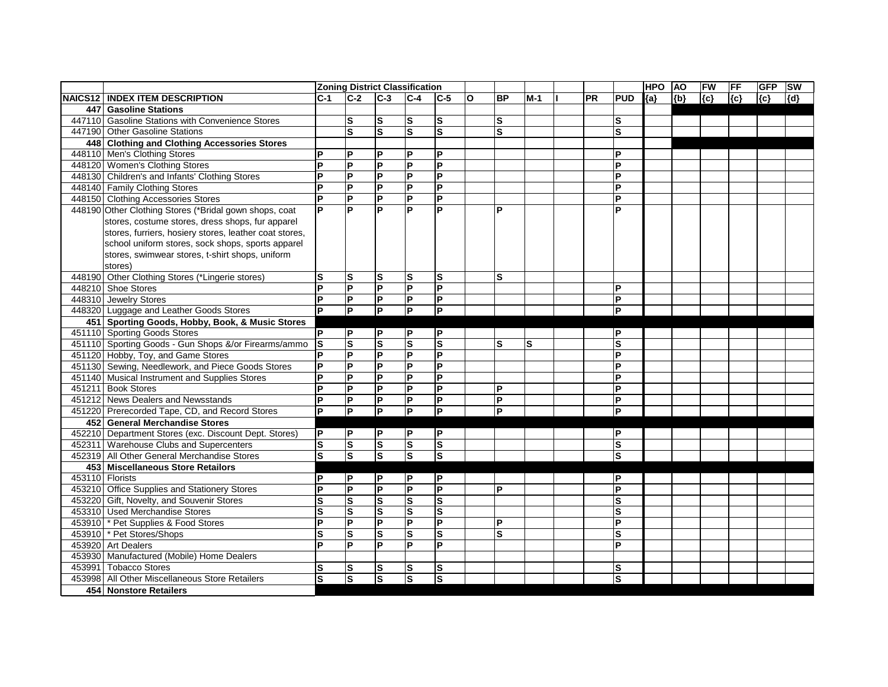|                 |                                                        |           |                         |                         | <b>Zoning District Classification</b> |                           |   |               |       |    |                | <b>HPO</b> | <b>AO</b> | FW    | <b>FF</b> | <b>GFP</b> | <b>SW</b> |
|-----------------|--------------------------------------------------------|-----------|-------------------------|-------------------------|---------------------------------------|---------------------------|---|---------------|-------|----|----------------|------------|-----------|-------|-----------|------------|-----------|
|                 | NAICS12   INDEX ITEM DESCRIPTION                       | IC-1      | $C-2$                   | $C-3$                   | $C-4$                                 | $ C-5 $                   | O | <b>BP</b>     | $M-1$ | PR | <b>PUD</b>     | ${a}$      | ${b}$     | ${c}$ | $\{c\}$   | ${c}$      | [{d}      |
|                 | 447 Gasoline Stations                                  |           |                         |                         |                                       |                           |   |               |       |    |                |            |           |       |           |            |           |
|                 | 447110 Gasoline Stations with Convenience Stores       |           | $\vert$ S               | ls                      | $\vert$ S                             | ${\bf S}$                 |   | ${\bf S}$     |       |    | S              |            |           |       |           |            |           |
|                 | 447190 Other Gasoline Stations                         |           | Ω                       | $\overline{\mathbf{s}}$ | $\overline{\mathbf{s}}$               | $\mathbf{s}$              |   | S             |       |    | S              |            |           |       |           |            |           |
|                 | 448 Clothing and Clothing Accessories Stores           |           |                         |                         |                                       |                           |   |               |       |    |                |            |           |       |           |            |           |
|                 | 448110 Men's Clothing Stores                           | D         | $\mathsf{P}$            | P                       | P                                     | $\mathsf{P}$              |   |               |       |    | P              |            |           |       |           |            |           |
|                 | 448120 Women's Clothing Stores                         | P         | $\overline{\mathsf{d}}$ | P                       | $\overline{P}$                        | $\overline{P}$            |   |               |       |    | P              |            |           |       |           |            |           |
|                 | 448130 Children's and Infants' Clothing Stores         | P         | lд                      | P                       | $\overline{P}$                        | $\overline{P}$            |   |               |       |    | P              |            |           |       |           |            |           |
|                 | 448140 Family Clothing Stores                          | ΙP        | Ιd                      | P                       | $\mathsf{P}$                          | P                         |   |               |       |    | P              |            |           |       |           |            |           |
|                 | 448150 Clothing Accessories Stores                     | E         | $\overline{\mathsf{P}}$ | $\overline{P}$          | $\overline{P}$                        | $\overline{P}$            |   |               |       |    | P              |            |           |       |           |            |           |
|                 | 448190 Other Clothing Stores (*Bridal gown shops, coat | P         | <b>P</b>                | P                       | <b>P</b>                              | ΙP                        |   | P             |       |    | Þ              |            |           |       |           |            |           |
|                 | stores, costume stores, dress shops, fur apparel       |           |                         |                         |                                       |                           |   |               |       |    |                |            |           |       |           |            |           |
|                 | stores, furriers, hosiery stores, leather coat stores, |           |                         |                         |                                       |                           |   |               |       |    |                |            |           |       |           |            |           |
|                 | school uniform stores, sock shops, sports apparel      |           |                         |                         |                                       |                           |   |               |       |    |                |            |           |       |           |            |           |
|                 | stores, swimwear stores, t-shirt shops, uniform        |           |                         |                         |                                       |                           |   |               |       |    |                |            |           |       |           |            |           |
|                 | stores)                                                |           |                         |                         |                                       |                           |   |               |       |    |                |            |           |       |           |            |           |
|                 | 448190 Other Clothing Stores (*Lingerie stores)        | lS        | ls                      | ls                      | $\vert$ S                             | ${\bf S}$                 |   | S             |       |    |                |            |           |       |           |            |           |
|                 | 448210 Shoe Stores                                     | P         | $\overline{P}$          | $\overline{P}$          | E                                     | $\overline{P}$            |   |               |       |    | D              |            |           |       |           |            |           |
|                 | 448310 Jewelry Stores                                  | ΙP        | P                       | $\mathsf{P}$            | P                                     | P                         |   |               |       |    | P              |            |           |       |           |            |           |
|                 | 448320 Luggage and Leather Goods Stores                | ΙP        | $\overline{P}$          | $\overline{P}$          | Þ                                     | $\overline{P}$            |   |               |       |    | Þ              |            |           |       |           |            |           |
|                 | 451 Sporting Goods, Hobby, Book, & Music Stores        |           |                         |                         |                                       |                           |   |               |       |    |                |            |           |       |           |            |           |
|                 | 451110 Sporting Goods Stores                           | ΙP        | P                       | P                       | $\mathsf P$                           | P                         |   |               |       |    | ΙP             |            |           |       |           |            |           |
|                 | 451110 Sporting Goods - Gun Shops &/or Firearms/ammo   | ls        | $\overline{\mathsf{s}}$ | $\overline{\mathbf{s}}$ | $\overline{\mathbf{s}}$               | S                         |   | S             | ls    |    | $\bar{s}$      |            |           |       |           |            |           |
|                 | 451120 Hobby, Toy, and Game Stores                     | ΙP        | $\overline{\mathsf{P}}$ | $\overline{P}$          | E                                     | $\overline{P}$            |   |               |       |    | P              |            |           |       |           |            |           |
|                 | 451130 Sewing, Needlework, and Piece Goods Stores      | P         | l۵                      | P                       | $\mathsf{P}$                          | P                         |   |               |       |    | D              |            |           |       |           |            |           |
|                 | 451140 Musical Instrument and Supplies Stores          | P         | $\mathsf{P}$            | $\mathsf{P}$            | $\mathsf{P}$                          | $\boldsymbol{\mathsf{P}}$ |   |               |       |    | P              |            |           |       |           |            |           |
|                 | 451211 Book Stores                                     | ΙP        | L                       | P                       | L                                     | $\overline{P}$            |   | P             |       |    | P              |            |           |       |           |            |           |
|                 | 451212 News Dealers and Newsstands                     | lP.       | L                       | P                       | P                                     | P                         |   | P             |       |    | ΙP             |            |           |       |           |            |           |
|                 | 451220 Prerecorded Tape, CD, and Record Stores         | lP.       | E                       | P                       | $\mathsf{P}$                          | $\overline{\mathsf{P}}$   |   | P             |       |    | ΙP             |            |           |       |           |            |           |
|                 | 452 General Merchandise Stores                         |           |                         |                         |                                       |                           |   |               |       |    |                |            |           |       |           |            |           |
|                 | 452210 Department Stores (exc. Discount Dept. Stores)  | P         | P                       | P                       | P                                     | İΡ                        |   |               |       |    | lP.            |            |           |       |           |            |           |
|                 | 452311 Warehouse Clubs and Supercenters                | $\vert$ S | $\vert$ S               | S                       | $\vert$ S                             | S                         |   |               |       |    | S              |            |           |       |           |            |           |
|                 | 452319 All Other General Merchandise Stores            | ls        | ls                      | Ω                       | Ω                                     | Ω                         |   |               |       |    | $\mathbf{s}$   |            |           |       |           |            |           |
|                 | 453 Miscellaneous Store Retailors                      |           |                         |                         |                                       |                           |   |               |       |    |                |            |           |       |           |            |           |
| 453110 Florists |                                                        | P         | P                       | P                       | P                                     | P                         |   |               |       |    | ΙP             |            |           |       |           |            |           |
|                 | 453210 Office Supplies and Stationery Stores           | P         | P                       | P                       | P                                     | <b>P</b>                  |   | P             |       |    | P              |            |           |       |           |            |           |
|                 | 453220 Gift, Novelty, and Souvenir Stores              | lS        | Ω                       | ${\bf S}$               | $\overline{\mathbf{s}}$               | $\overline{\mathbf{s}}$   |   |               |       |    | ls             |            |           |       |           |            |           |
|                 | 453310 Used Merchandise Stores                         | $\vert$ S | S                       | <b>S</b>                | Ω                                     | S                         |   |               |       |    | $\mathbf{s}$   |            |           |       |           |            |           |
|                 | 453910 * Pet Supplies & Food Stores                    | P         | $\overline{\mathbf{P}}$ | P                       | L                                     | P                         |   | $\mathsf{P}$  |       |    | ΙP             |            |           |       |           |            |           |
|                 | 453910 * Pet Stores/Shops                              | ls        | $\overline{\mathbf{s}}$ | S                       | $\overline{\mathbf{s}}$               | S                         |   | ${\mathbf S}$ |       |    | $\mathbf{s}$   |            |           |       |           |            |           |
|                 | 453920 Art Dealers                                     | Þ         | <b>P</b>                | P                       | <b>P</b>                              | <b>P</b>                  |   |               |       |    | <b>P</b>       |            |           |       |           |            |           |
|                 | 453930 Manufactured (Mobile) Home Dealers              |           |                         |                         |                                       |                           |   |               |       |    |                |            |           |       |           |            |           |
|                 | 453991 Tobacco Stores                                  | s         | <b>S</b>                | <b>S</b>                | S                                     | ls                        |   |               |       |    | ls             |            |           |       |           |            |           |
|                 | 453998 All Other Miscellaneous Store Retailers         | ls        | $\overline{\mathsf{s}}$ | $\overline{\mathbf{s}}$ | $\overline{s}$                        | $\overline{\mathsf{s}}$   |   |               |       |    | $ \mathsf{s} $ |            |           |       |           |            |           |
|                 | 454 Nonstore Retailers                                 |           |                         |                         |                                       |                           |   |               |       |    |                |            |           |       |           |            |           |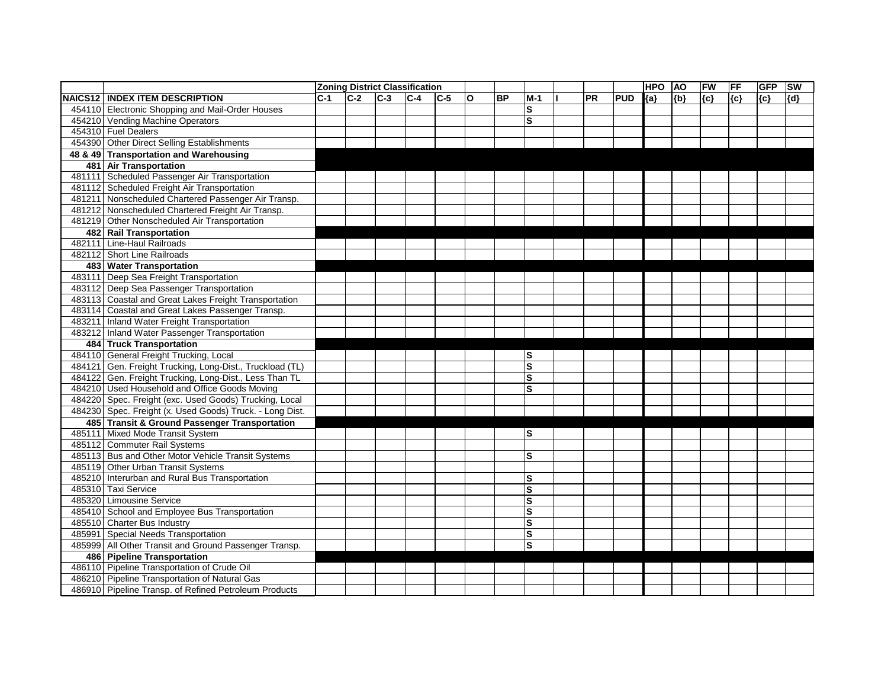|        |                                                          |       |       | <b>Zoning District Classification</b> |         |       |              |           |                         |           |            | <b>HPO</b> | <b>AO</b> | FW    | FF    | <b>GFP</b> | <b>SW</b> |
|--------|----------------------------------------------------------|-------|-------|---------------------------------------|---------|-------|--------------|-----------|-------------------------|-----------|------------|------------|-----------|-------|-------|------------|-----------|
|        | <b>NAICS12   INDEX ITEM DESCRIPTION</b>                  | $C-1$ | $C-2$ | $C-3$                                 | $ C-4 $ | $C-5$ | $\mathbf{o}$ | <b>BP</b> | $M-1$                   | <b>PR</b> | <b>PUD</b> | ${a}$      | ${b}$     | ${c}$ | ${c}$ | ${c}$      | ${d}$     |
|        | 454110 Electronic Shopping and Mail-Order Houses         |       |       |                                       |         |       |              |           | S                       |           |            |            |           |       |       |            |           |
|        | 454210 Vending Machine Operators                         |       |       |                                       |         |       |              |           | $\overline{\mathbf{s}}$ |           |            |            |           |       |       |            |           |
|        | 454310 Fuel Dealers                                      |       |       |                                       |         |       |              |           |                         |           |            |            |           |       |       |            |           |
|        | 454390 Other Direct Selling Establishments               |       |       |                                       |         |       |              |           |                         |           |            |            |           |       |       |            |           |
|        | 48 & 49 Transportation and Warehousing                   |       |       |                                       |         |       |              |           |                         |           |            |            |           |       |       |            |           |
|        | 481 Air Transportation                                   |       |       |                                       |         |       |              |           |                         |           |            |            |           |       |       |            |           |
|        | 481111 Scheduled Passenger Air Transportation            |       |       |                                       |         |       |              |           |                         |           |            |            |           |       |       |            |           |
|        | 481112 Scheduled Freight Air Transportation              |       |       |                                       |         |       |              |           |                         |           |            |            |           |       |       |            |           |
|        | 481211 Nonscheduled Chartered Passenger Air Transp.      |       |       |                                       |         |       |              |           |                         |           |            |            |           |       |       |            |           |
|        | 481212 Nonscheduled Chartered Freight Air Transp.        |       |       |                                       |         |       |              |           |                         |           |            |            |           |       |       |            |           |
|        | 481219 Other Nonscheduled Air Transportation             |       |       |                                       |         |       |              |           |                         |           |            |            |           |       |       |            |           |
|        | 482 Rail Transportation                                  |       |       |                                       |         |       |              |           |                         |           |            |            |           |       |       |            |           |
| 482111 | <b>Line-Haul Railroads</b>                               |       |       |                                       |         |       |              |           |                         |           |            |            |           |       |       |            |           |
|        | 482112 Short Line Railroads                              |       |       |                                       |         |       |              |           |                         |           |            |            |           |       |       |            |           |
|        | 483 Water Transportation                                 |       |       |                                       |         |       |              |           |                         |           |            |            |           |       |       |            |           |
|        | 483111 Deep Sea Freight Transportation                   |       |       |                                       |         |       |              |           |                         |           |            |            |           |       |       |            |           |
|        | 483112 Deep Sea Passenger Transportation                 |       |       |                                       |         |       |              |           |                         |           |            |            |           |       |       |            |           |
|        | 483113 Coastal and Great Lakes Freight Transportation    |       |       |                                       |         |       |              |           |                         |           |            |            |           |       |       |            |           |
|        | 483114 Coastal and Great Lakes Passenger Transp.         |       |       |                                       |         |       |              |           |                         |           |            |            |           |       |       |            |           |
|        | 483211 Inland Water Freight Transportation               |       |       |                                       |         |       |              |           |                         |           |            |            |           |       |       |            |           |
|        | 483212 Inland Water Passenger Transportation             |       |       |                                       |         |       |              |           |                         |           |            |            |           |       |       |            |           |
|        | 484 Truck Transportation                                 |       |       |                                       |         |       |              |           |                         |           |            |            |           |       |       |            |           |
|        | 484110 General Freight Trucking, Local                   |       |       |                                       |         |       |              |           | ls                      |           |            |            |           |       |       |            |           |
|        | 484121 Gen. Freight Trucking, Long-Dist., Truckload (TL) |       |       |                                       |         |       |              |           | $\overline{\mathbf{s}}$ |           |            |            |           |       |       |            |           |
|        | 484122 Gen. Freight Trucking, Long-Dist., Less Than TL   |       |       |                                       |         |       |              |           | $\mathbf{s}$            |           |            |            |           |       |       |            |           |
|        | 484210 Used Household and Office Goods Moving            |       |       |                                       |         |       |              |           | S                       |           |            |            |           |       |       |            |           |
|        | 484220 Spec. Freight (exc. Used Goods) Trucking, Local   |       |       |                                       |         |       |              |           |                         |           |            |            |           |       |       |            |           |
|        | 484230 Spec. Freight (x. Used Goods) Truck. - Long Dist. |       |       |                                       |         |       |              |           |                         |           |            |            |           |       |       |            |           |
|        | 485 Transit & Ground Passenger Transportation            |       |       |                                       |         |       |              |           |                         |           |            |            |           |       |       |            |           |
|        | 485111 Mixed Mode Transit System                         |       |       |                                       |         |       |              |           | lS                      |           |            |            |           |       |       |            |           |
|        | 485112 Commuter Rail Systems                             |       |       |                                       |         |       |              |           |                         |           |            |            |           |       |       |            |           |
|        | 485113 Bus and Other Motor Vehicle Transit Systems       |       |       |                                       |         |       |              |           | S                       |           |            |            |           |       |       |            |           |
|        | 485119 Other Urban Transit Systems                       |       |       |                                       |         |       |              |           |                         |           |            |            |           |       |       |            |           |
|        | 485210 Interurban and Rural Bus Transportation           |       |       |                                       |         |       |              |           | S                       |           |            |            |           |       |       |            |           |
|        | 485310 Taxi Service                                      |       |       |                                       |         |       |              |           | lS                      |           |            |            |           |       |       |            |           |
|        | 485320 Limousine Service                                 |       |       |                                       |         |       |              |           | S                       |           |            |            |           |       |       |            |           |
|        | 485410 School and Employee Bus Transportation            |       |       |                                       |         |       |              |           | <b>S</b>                |           |            |            |           |       |       |            |           |
|        | 485510 Charter Bus Industry                              |       |       |                                       |         |       |              |           | $\mathbf{s}$            |           |            |            |           |       |       |            |           |
|        | 485991 Special Needs Transportation                      |       |       |                                       |         |       |              |           | S                       |           |            |            |           |       |       |            |           |
|        | 485999 All Other Transit and Ground Passenger Transp.    |       |       |                                       |         |       |              |           | S                       |           |            |            |           |       |       |            |           |
|        | 486 Pipeline Transportation                              |       |       |                                       |         |       |              |           |                         |           |            |            |           |       |       |            |           |
|        | 486110 Pipeline Transportation of Crude Oil              |       |       |                                       |         |       |              |           |                         |           |            |            |           |       |       |            |           |
|        | 486210 Pipeline Transportation of Natural Gas            |       |       |                                       |         |       |              |           |                         |           |            |            |           |       |       |            |           |
|        | 486910 Pipeline Transp. of Refined Petroleum Products    |       |       |                                       |         |       |              |           |                         |           |            |            |           |       |       |            |           |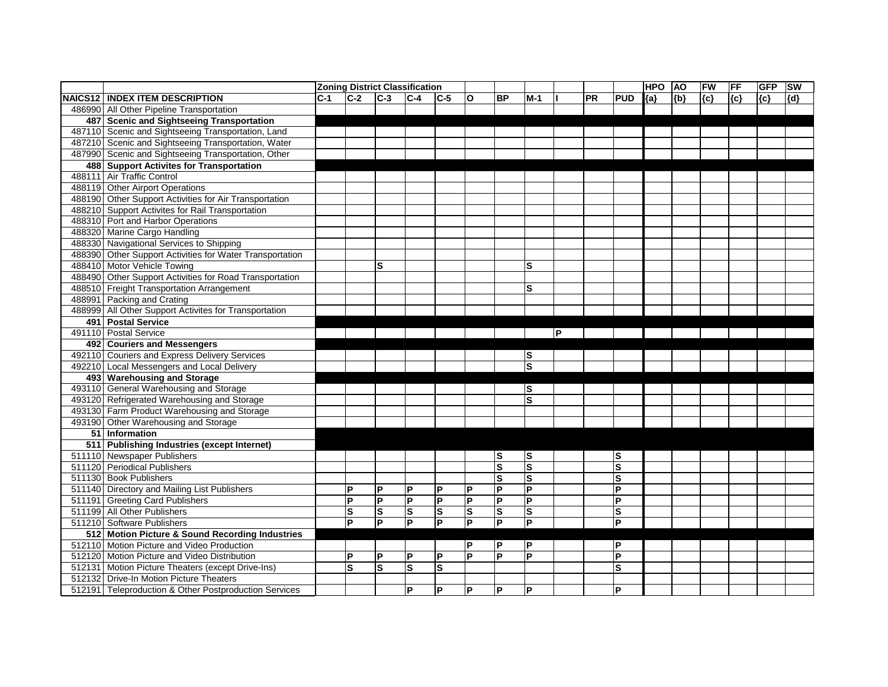|                                                          |       |              |                | <b>Zoning District Classification</b> |                |                         |                         |                         |     |           |                | <b>HPO</b> | <b>AO</b> | <b>FW</b> | <b>FF</b> | <b>GFP</b> | <b>SW</b> |
|----------------------------------------------------------|-------|--------------|----------------|---------------------------------------|----------------|-------------------------|-------------------------|-------------------------|-----|-----------|----------------|------------|-----------|-----------|-----------|------------|-----------|
| <b>NAICS12 INDEX ITEM DESCRIPTION</b>                    | $C-1$ | $C-2$        | $C-3$          | $C-4$                                 | $C-5$          | $\mathbf{o}$            | <b>BP</b>               | $M-1$                   |     | <b>PR</b> | <b>PUD</b>     | ${a}$      | ${b}$     | ${c}$     | ${c}$     | ${c}$      | ${d}$     |
| 486990 All Other Pipeline Transportation                 |       |              |                |                                       |                |                         |                         |                         |     |           |                |            |           |           |           |            |           |
| 487 Scenic and Sightseeing Transportation                |       |              |                |                                       |                |                         |                         |                         |     |           |                |            |           |           |           |            |           |
| 487110 Scenic and Sightseeing Transportation, Land       |       |              |                |                                       |                |                         |                         |                         |     |           |                |            |           |           |           |            |           |
| 487210 Scenic and Sightseeing Transportation, Water      |       |              |                |                                       |                |                         |                         |                         |     |           |                |            |           |           |           |            |           |
| 487990 Scenic and Sightseeing Transportation, Other      |       |              |                |                                       |                |                         |                         |                         |     |           |                |            |           |           |           |            |           |
| 488 Support Activites for Transportation                 |       |              |                |                                       |                |                         |                         |                         |     |           |                |            |           |           |           |            |           |
| 488111 Air Traffic Control                               |       |              |                |                                       |                |                         |                         |                         |     |           |                |            |           |           |           |            |           |
| 488119 Other Airport Operations                          |       |              |                |                                       |                |                         |                         |                         |     |           |                |            |           |           |           |            |           |
| 488190 Other Support Activities for Air Transportation   |       |              |                |                                       |                |                         |                         |                         |     |           |                |            |           |           |           |            |           |
| 488210 Support Activites for Rail Transportation         |       |              |                |                                       |                |                         |                         |                         |     |           |                |            |           |           |           |            |           |
| 488310 Port and Harbor Operations                        |       |              |                |                                       |                |                         |                         |                         |     |           |                |            |           |           |           |            |           |
| 488320 Marine Cargo Handling                             |       |              |                |                                       |                |                         |                         |                         |     |           |                |            |           |           |           |            |           |
| 488330 Navigational Services to Shipping                 |       |              |                |                                       |                |                         |                         |                         |     |           |                |            |           |           |           |            |           |
| 488390 Other Support Activities for Water Transportation |       |              |                |                                       |                |                         |                         |                         |     |           |                |            |           |           |           |            |           |
| 488410 Motor Vehicle Towing                              |       |              | S              |                                       |                |                         |                         | S                       |     |           |                |            |           |           |           |            |           |
| 488490 Other Support Activities for Road Transportation  |       |              |                |                                       |                |                         |                         |                         |     |           |                |            |           |           |           |            |           |
| 488510 Freight Transportation Arrangement                |       |              |                |                                       |                |                         |                         | S                       |     |           |                |            |           |           |           |            |           |
| 488991 Packing and Crating                               |       |              |                |                                       |                |                         |                         |                         |     |           |                |            |           |           |           |            |           |
| 488999 All Other Support Activites for Transportation    |       |              |                |                                       |                |                         |                         |                         |     |           |                |            |           |           |           |            |           |
| 491 Postal Service                                       |       |              |                |                                       |                |                         |                         |                         |     |           |                |            |           |           |           |            |           |
| 491110 Postal Service                                    |       |              |                |                                       |                |                         |                         |                         | lP. |           |                |            |           |           |           |            |           |
| 492 Couriers and Messengers                              |       |              |                |                                       |                |                         |                         |                         |     |           |                |            |           |           |           |            |           |
| 492110 Couriers and Express Delivery Services            |       |              |                |                                       |                |                         |                         | lS                      |     |           |                |            |           |           |           |            |           |
| 492210 Local Messengers and Local Delivery               |       |              |                |                                       |                |                         |                         | S                       |     |           |                |            |           |           |           |            |           |
| 493 Warehousing and Storage                              |       |              |                |                                       |                |                         |                         |                         |     |           |                |            |           |           |           |            |           |
| 493110 General Warehousing and Storage                   |       |              |                |                                       |                |                         |                         | lS                      |     |           |                |            |           |           |           |            |           |
| 493120 Refrigerated Warehousing and Storage              |       |              |                |                                       |                |                         |                         | $\overline{\mathbf{s}}$ |     |           |                |            |           |           |           |            |           |
| 493130 Farm Product Warehousing and Storage              |       |              |                |                                       |                |                         |                         |                         |     |           |                |            |           |           |           |            |           |
| 493190 Other Warehousing and Storage                     |       |              |                |                                       |                |                         |                         |                         |     |           |                |            |           |           |           |            |           |
| 51 Information                                           |       |              |                |                                       |                |                         |                         |                         |     |           |                |            |           |           |           |            |           |
| 511 Publishing Industries (except Internet)              |       |              |                |                                       |                |                         |                         |                         |     |           |                |            |           |           |           |            |           |
| 511110 Newspaper Publishers                              |       |              |                |                                       |                |                         | ls                      | lS                      |     |           | S              |            |           |           |           |            |           |
| 511120 Periodical Publishers                             |       |              |                |                                       |                |                         | Ω                       | ls                      |     |           | S              |            |           |           |           |            |           |
| 511130 Book Publishers                                   |       |              |                |                                       |                |                         | $\overline{\mathbf{s}}$ | S                       |     |           | S              |            |           |           |           |            |           |
| 511140 Directory and Mailing List Publishers             |       | $\mathsf{P}$ | $\mathsf{P}$   | P                                     | ΙP             | P                       | P                       | P                       |     |           | P              |            |           |           |           |            |           |
| 511191 Greeting Card Publishers                          |       | E            | $\overline{P}$ | $\overline{P}$                        | $\overline{P}$ | $\overline{\mathsf{P}}$ | $\overline{\mathsf{P}}$ | $\overline{P}$          |     |           | $\overline{P}$ |            |           |           |           |            |           |
| 511199 All Other Publishers                              |       | ls           | <b>S</b>       | ls                                    | ls             | S                       | ls                      | $ \mathsf{s} $          |     |           | ${\bf S}$      |            |           |           |           |            |           |
| 511210 Software Publishers                               |       | $\mathsf{P}$ | <b>P</b>       | $\overline{P}$                        | ΙP             | $\overline{\mathsf{P}}$ | $\overline{P}$          | $\overline{\mathsf{P}}$ |     |           | P              |            |           |           |           |            |           |
| 512 Motion Picture & Sound Recording Industries          |       |              |                |                                       |                |                         |                         |                         |     |           |                |            |           |           |           |            |           |
| 512110 Motion Picture and Video Production               |       |              |                |                                       |                | P                       | P                       | P                       |     |           | P              |            |           |           |           |            |           |
| 512120 Motion Picture and Video Distribution             |       | $\mathsf{P}$ | P              | P                                     | ΙP             | $\overline{P}$          | ΙP                      | $\overline{P}$          |     |           | P              |            |           |           |           |            |           |
| 512131 Motion Picture Theaters (except Drive-Ins)        |       | ls           | $\mathbf{s}$   | lS.                                   | S              |                         |                         |                         |     |           | S              |            |           |           |           |            |           |
| 512132 Drive-In Motion Picture Theaters                  |       |              |                |                                       |                |                         |                         |                         |     |           |                |            |           |           |           |            |           |
| 512191 Teleproduction & Other Postproduction Services    |       |              |                | P                                     | <b>P</b>       | $\mathsf{P}$            | P                       | P                       |     |           | P              |            |           |           |           |            |           |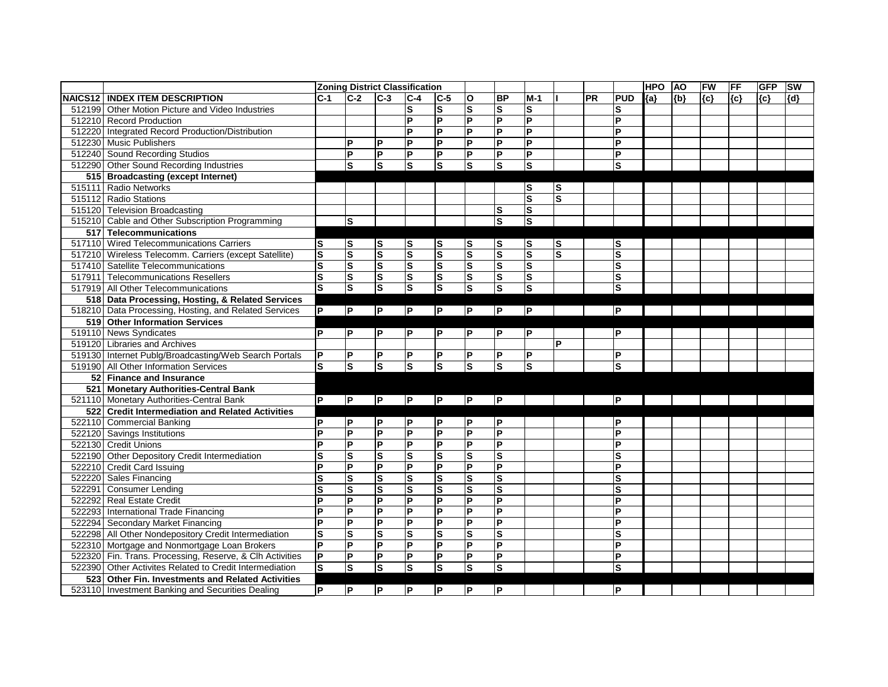|                |                                                          |                         |                         | <b>Zoning District Classification</b> |                         |                         |                         |                         |                         |                         |    |              | <b>HPO</b> | <b>AO</b> | FW    | FF  | <b>GFP</b> | <b>SW</b> |
|----------------|----------------------------------------------------------|-------------------------|-------------------------|---------------------------------------|-------------------------|-------------------------|-------------------------|-------------------------|-------------------------|-------------------------|----|--------------|------------|-----------|-------|-----|------------|-----------|
| <b>NAICS12</b> | <b>INDEX ITEM DESCRIPTION</b>                            | $C-1$                   | $C-2$                   | $C-3$                                 | $C-4$                   | $C-5$                   | O                       | <b>BP</b>               | $M-1$                   |                         | PR | <b>PUD</b>   | ${a}$      | ${b}$     | ${c}$ | {c} | ${c}$      | ${d}$     |
| 512199         | Other Motion Picture and Video Industries                |                         |                         |                                       | $\mathbf{s}$            | ${\mathsf S}$           | $\mathbf s$             | $\mathbf s$             | $\vert$ S               |                         |    | S            |            |           |       |     |            |           |
| 512210         | <b>Record Production</b>                                 |                         |                         |                                       | P                       | P                       | $\overline{P}$          | $\overline{\mathsf{P}}$ | lд                      |                         |    | ΙP           |            |           |       |     |            |           |
| 512220         | Integrated Record Production/Distribution                |                         |                         |                                       | P                       | P                       | <b>P</b>                | P                       | $\mathsf{P}$            |                         |    | ΙP           |            |           |       |     |            |           |
|                | 512230 Music Publishers                                  |                         | <b>P</b>                | $\mathsf{P}$                          | $\mathsf{P}$            | $\overline{P}$          | $\overline{P}$          | $\overline{\mathsf{P}}$ | l۵                      |                         |    | ΙP           |            |           |       |     |            |           |
|                | 512240 Sound Recording Studios                           |                         | <b>P</b>                | <b>P</b>                              | P                       | $\mathsf{P}$            | $ {\mathsf P} $         | P                       | P                       |                         |    | ΙP           |            |           |       |     |            |           |
|                | 512290 Other Sound Recording Industries                  |                         | <b>S</b>                | ls                                    | <b>S</b>                | $\vert$ S               | ls                      | $\mathbf s$             | ls                      |                         |    | ls.          |            |           |       |     |            |           |
|                | 515 Broadcasting (except Internet)                       |                         |                         |                                       |                         |                         |                         |                         |                         |                         |    |              |            |           |       |     |            |           |
|                | 515111 Radio Networks                                    |                         |                         |                                       |                         |                         |                         |                         | lS                      | ls                      |    |              |            |           |       |     |            |           |
|                | 515112 Radio Stations                                    |                         |                         |                                       |                         |                         |                         |                         | Ω                       | $\overline{\mathbf{s}}$ |    |              |            |           |       |     |            |           |
|                | 515120 Television Broadcasting                           |                         |                         |                                       |                         |                         |                         | S                       | $\vert$ S               |                         |    |              |            |           |       |     |            |           |
|                | 515210 Cable and Other Subscription Programming          |                         | <b>S</b>                |                                       |                         |                         |                         | $\overline{\mathbf{s}}$ | $\overline{\mathsf{s}}$ |                         |    |              |            |           |       |     |            |           |
| 517            | <b>Telecommunications</b>                                |                         |                         |                                       |                         |                         |                         |                         |                         |                         |    |              |            |           |       |     |            |           |
| 517110         | <b>Wired Telecommunications Carriers</b>                 | S                       | S                       | ls                                    | S                       | $\vert$ S               | S                       | S                       | $\vert$ S               | S                       |    | S            |            |           |       |     |            |           |
|                | 517210 Wireless Telecomm. Carriers (except Satellite)    | $\mathbf s$             | $\overline{\mathbf{s}}$ | $\overline{\mathbf{s}}$               | S                       | $\overline{\mathbf{s}}$ | $\overline{\mathbf{s}}$ | $\overline{\mathbf{s}}$ | $\overline{\mathbf{s}}$ | S                       |    | $\mathbf{s}$ |            |           |       |     |            |           |
| 517410         | <b>Satellite Telecommunications</b>                      | $\overline{\mathbf{s}}$ | $\overline{\mathbf{s}}$ | $\overline{\mathbf{s}}$               | S                       | $\overline{\mathbf{s}}$ | $\overline{\mathbf{s}}$ | $\overline{\mathbf{s}}$ | S                       |                         |    | $\mathbf s$  |            |           |       |     |            |           |
| 517911         | <b>Telecommunications Resellers</b>                      | $\overline{\mathbf{s}}$ | S                       | $\overline{\mathbf{s}}$               | $\mathbf{s}$            | $\vert$ S               | S                       | S                       | $\vert$ S               |                         |    | $\mathbf{s}$ |            |           |       |     |            |           |
|                | 517919 All Other Telecommunications                      | $\overline{\mathbf{s}}$ | $\overline{\mathbf{s}}$ | $\overline{\mathsf{s}}$               | S                       | $\overline{\mathbf{s}}$ | S                       | $\overline{\mathbf{s}}$ | $\overline{\mathbf{s}}$ |                         |    | S            |            |           |       |     |            |           |
|                | 518 Data Processing, Hosting, & Related Services         |                         |                         |                                       |                         |                         |                         |                         |                         |                         |    |              |            |           |       |     |            |           |
|                | 518210 Data Processing, Hosting, and Related Services    | P                       | $\overline{P}$          | $\overline{P}$                        | P                       | P                       | P                       | $\mathsf{P}$            | P                       |                         |    | IР.          |            |           |       |     |            |           |
|                | 519 Other Information Services                           |                         |                         |                                       |                         |                         |                         |                         |                         |                         |    |              |            |           |       |     |            |           |
|                | 519110 News Syndicates                                   | Þ                       | <b>P</b>                | P                                     | P                       | P                       | ΙP                      | P                       | lP.                     |                         |    | ΙP           |            |           |       |     |            |           |
|                | 519120 Libraries and Archives                            |                         |                         |                                       |                         |                         |                         |                         |                         | P                       |    |              |            |           |       |     |            |           |
|                | 519130 Internet Publg/Broadcasting/Web Search Portals    | P                       | P                       | P                                     | $\mathsf{P}$            | $\mathsf{P}$            | P                       | P                       | P                       |                         |    | ΙP           |            |           |       |     |            |           |
|                | 519190 All Other Information Services                    | $\bar{s}$               | ΙS                      | ls                                    | Ω                       | $\overline{\mathbf{s}}$ | S                       | $\overline{\mathbf{s}}$ | $\overline{\mathbf{s}}$ |                         |    | ls           |            |           |       |     |            |           |
|                | 52 Finance and Insurance                                 |                         |                         |                                       |                         |                         |                         |                         |                         |                         |    |              |            |           |       |     |            |           |
| 521            | <b>Monetary Authorities-Central Bank</b>                 |                         |                         |                                       |                         |                         |                         |                         |                         |                         |    |              |            |           |       |     |            |           |
| 521110         | Monetary Authorities-Central Bank                        | P                       | $\overline{P}$          | $\overline{\mathbf{P}}$               | P                       | P                       | $\overline{P}$          | P                       |                         |                         |    | P            |            |           |       |     |            |           |
|                | 522 Credit Intermediation and Related Activities         |                         |                         |                                       |                         |                         |                         |                         |                         |                         |    |              |            |           |       |     |            |           |
| 522110         | <b>Commercial Banking</b>                                | P                       | $\mathsf{P}$            | $\mathsf{P}$                          | $\mathsf{P}$            | P                       | P                       | P                       |                         |                         |    | ΙP           |            |           |       |     |            |           |
| 522120         | Savings Institutions                                     | P                       | P                       | P                                     | $\mathsf{P}$            | P                       | $\overline{\mathsf{P}}$ | P                       |                         |                         |    | ΙP           |            |           |       |     |            |           |
| 522130         | <b>Credit Unions</b>                                     | P                       | $\mathsf{P}$            | Δ                                     | $\overline{P}$          | P                       | $\overline{P}$          | P                       |                         |                         |    | ΙP           |            |           |       |     |            |           |
| 522190         | <b>Other Depository Credit Intermediation</b>            | S                       | <b>S</b>                | $\vert$ S                             | <b>S</b>                | $\vert$ S               | S                       | S                       |                         |                         |    | S            |            |           |       |     |            |           |
|                | 522210 Credit Card Issuing                               | P                       | P                       | P                                     | $\mathsf P$             | P                       | P                       | P                       |                         |                         |    | IP           |            |           |       |     |            |           |
|                | 522220 Sales Financing                                   | S                       | S                       | $\overline{\mathbf{s}}$               | $\overline{\mathbf{s}}$ | $\overline{\mathbf{s}}$ | $\mathbf{s}$            | $\overline{\mathbf{s}}$ |                         |                         |    | $\mathbf s$  |            |           |       |     |            |           |
|                | 522291 Consumer Lending                                  | S                       | ls                      | ls                                    | <b>S</b>                | ls                      | ls                      | S                       |                         |                         |    | lS           |            |           |       |     |            |           |
|                | 522292 Real Estate Credit                                | P                       | $\overline{P}$          | Δ                                     | $\overline{P}$          | $\overline{P}$          | $\overline{P}$          | $\overline{P}$          |                         |                         |    | ΙP           |            |           |       |     |            |           |
|                | 522293 International Trade Financing                     | P                       | $\overline{P}$          | L                                     | $\overline{P}$          | E                       | $ {\mathsf P} $         | $\overline{P}$          |                         |                         |    | lР           |            |           |       |     |            |           |
|                | 522294 Secondary Market Financing                        | P                       | P                       | <b>P</b>                              | P                       | P                       | P                       | P                       |                         |                         |    | ΙP           |            |           |       |     |            |           |
|                | 522298 All Other Nondepository Credit Intermediation     | ${\bf S}$               | <b>S</b>                | $\vert$ S                             | S                       | $\vert$ S               | S                       | ${\bf S}$               |                         |                         |    | S            |            |           |       |     |            |           |
|                | 522310 Mortgage and Nonmortgage Loan Brokers             | $\mathsf{P}$            | P                       | P                                     | P                       | P                       | P                       | P                       |                         |                         |    | IP           |            |           |       |     |            |           |
|                | 522320 Fin. Trans. Processing, Reserve, & Clh Activities | $\overline{P}$          | P                       | $\overline{\mathbf{P}}$               | $\overline{P}$          | P                       | $\overline{P}$          | $\overline{\mathsf{P}}$ |                         |                         |    | P            |            |           |       |     |            |           |
|                | 522390 Other Activites Related to Credit Intermediation  | ls.                     | lS                      | ິ<br>(                                | S                       | ິ<br>(                  | $ \mathsf{s} $          | $\mathbf s$             |                         |                         |    | ls           |            |           |       |     |            |           |
|                | 523 Other Fin. Investments and Related Activities        |                         |                         |                                       |                         |                         |                         |                         |                         |                         |    |              |            |           |       |     |            |           |
|                | 523110 Investment Banking and Securities Dealing         | <b>P</b>                | P                       | P                                     | P                       | P                       | P                       | $\mathsf P$             |                         |                         |    | P            |            |           |       |     |            |           |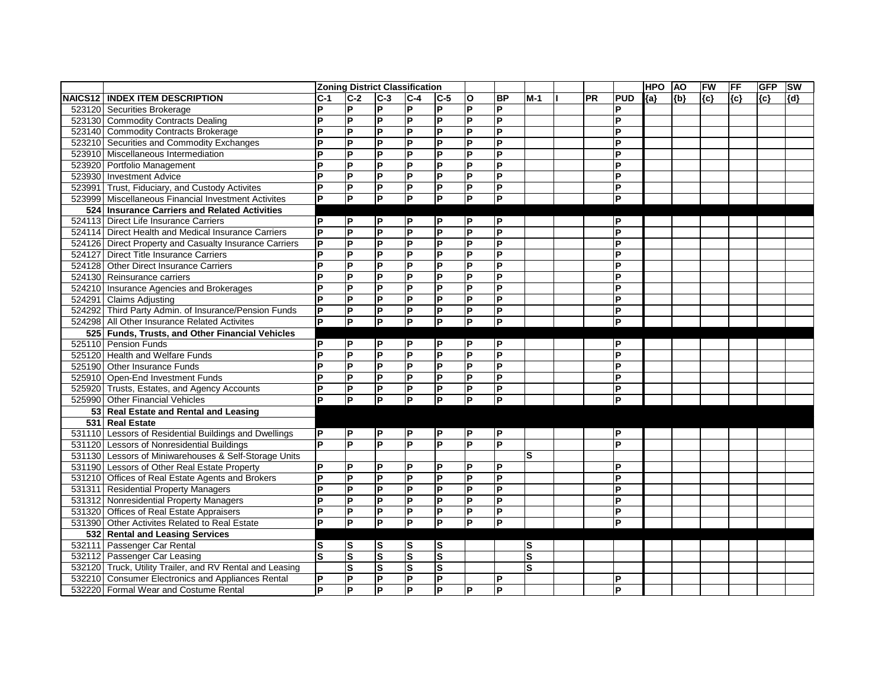|        |                                                          |                         |                         | <b>Zoning District Classification</b> |                         |                         |                         |                         |       |    |            | <b>HPO</b> | <b>AO</b> | FW    | FF  | <b>GFP</b> | <b>SW</b> |
|--------|----------------------------------------------------------|-------------------------|-------------------------|---------------------------------------|-------------------------|-------------------------|-------------------------|-------------------------|-------|----|------------|------------|-----------|-------|-----|------------|-----------|
|        | <b>NAICS12   INDEX ITEM DESCRIPTION</b>                  | <b>C-1</b>              | $C-2$                   | $C-3$                                 | $C-4$                   | $ C-5 $                 | O                       | <b>BP</b>               | $M-1$ | PR | <b>PUD</b> | ${a}$      | ${b}$     | ${c}$ | {c} | ${c}$      | ${d}$     |
|        | 523120 Securities Brokerage                              | P                       | $\mathsf{P}$            | P                                     | P                       | P                       | $\mathsf{P}$            | P                       |       |    | D          |            |           |       |     |            |           |
|        | 523130 Commodity Contracts Dealing                       | P                       | lд                      | P                                     | $\overline{P}$          | $\overline{P}$          | $\overline{\mathsf{P}}$ | $\overline{P}$          |       |    | P          |            |           |       |     |            |           |
|        | 523140 Commodity Contracts Brokerage                     | P                       | l۵                      | P                                     | $\mathsf{P}$            | P                       | Δ                       | P                       |       |    | P          |            |           |       |     |            |           |
|        | 523210 Securities and Commodity Exchanges                | Þ                       | E                       | P                                     | P                       | P                       | P                       | P                       |       |    | D          |            |           |       |     |            |           |
|        | 523910 Miscellaneous Intermediation                      | Þ                       | l۵                      | P                                     | $\mathsf{P}$            | P                       | $\mathsf{P}$            | P                       |       |    | P          |            |           |       |     |            |           |
|        | 523920 Portfolio Management                              | P                       | E                       | P                                     | $\overline{P}$          | P                       | L                       | $\overline{P}$          |       |    | P          |            |           |       |     |            |           |
|        | 523930 Investment Advice                                 | P                       | lд                      | P                                     | $\overline{P}$          | P                       | E                       | P                       |       |    | P          |            |           |       |     |            |           |
|        | 523991 Trust, Fiduciary, and Custody Activites           | ΙP                      | $\overline{P}$          | P                                     | P                       | P                       | $ {\mathsf P} $         | P                       |       |    | ΙP         |            |           |       |     |            |           |
| 523999 | Miscellaneous Financial Investment Activites             | ĪР                      | $\overline{P}$          | $\overline{P}$                        | $\overline{P}$          | $\overline{P}$          | ΙP                      | $\overline{\mathsf{P}}$ |       |    | <b>P</b>   |            |           |       |     |            |           |
| 524    | <b>Insurance Carriers and Related Activities</b>         |                         |                         |                                       |                         |                         |                         |                         |       |    |            |            |           |       |     |            |           |
|        | 524113 Direct Life Insurance Carriers                    | l P                     | P                       | P                                     | $\mathsf{P}$            | ΙP                      | P                       | $\mathsf{P}$            |       |    | ΙP         |            |           |       |     |            |           |
|        | 524114 Direct Health and Medical Insurance Carriers      | P                       | L                       | $\mathsf{P}$                          | L                       | $\overline{P}$          | $\overline{P}$          | $\overline{\mathsf{P}}$ |       |    | P          |            |           |       |     |            |           |
|        | 524126 Direct Property and Casualty Insurance Carriers   | lР.                     | E                       | P                                     | $\overline{\mathsf{P}}$ | P                       | E                       | $\overline{P}$          |       |    | P          |            |           |       |     |            |           |
|        | 524127 Direct Title Insurance Carriers                   | lP.                     | $\mathsf{P}$            | P                                     | P                       | P                       | $\overline{P}$          | P                       |       |    | Þ          |            |           |       |     |            |           |
|        | 524128 Other Direct Insurance Carriers                   | P                       | $\mathsf{P}$            | P                                     | P                       | P                       | P                       | P                       |       |    | P          |            |           |       |     |            |           |
|        | 524130 Reinsurance carriers                              | P                       | P                       | P                                     | P                       | P                       | P                       | P                       |       |    | P          |            |           |       |     |            |           |
|        | 524210 Insurance Agencies and Brokerages                 | Þ                       | L                       | P                                     | P                       | P                       | Δ                       | P                       |       |    | D          |            |           |       |     |            |           |
|        | 524291 Claims Adjusting                                  | ΙP                      | P                       | P                                     | P                       | P                       | $\mathsf{P}$            | P                       |       |    | P          |            |           |       |     |            |           |
|        | 524292 Third Party Admin. of Insurance/Pension Funds     | $\overline{\mathsf{P}}$ | P                       | $\boldsymbol{\mathsf{P}}$             | P                       | $\overline{P}$          | $\overline{P}$          | l۵                      |       |    | P          |            |           |       |     |            |           |
|        | 524298 All Other Insurance Related Activites             | P                       | E                       | $\overline{P}$                        | Δ                       | $\overline{\mathsf{P}}$ | ĪР                      | $\overline{P}$          |       |    | D          |            |           |       |     |            |           |
|        | 525 Funds, Trusts, and Other Financial Vehicles          |                         |                         |                                       |                         |                         |                         |                         |       |    |            |            |           |       |     |            |           |
|        | 525110 Pension Funds                                     | P                       | P                       | P                                     | $\mathsf{P}$            | ΙP                      | P                       | P                       |       |    | ΙP         |            |           |       |     |            |           |
|        | 525120 Health and Welfare Funds                          | ΙP                      | $\mathsf{P}$            | P                                     | P                       | P                       | ΙP                      | lд                      |       |    | P          |            |           |       |     |            |           |
|        | 525190 Other Insurance Funds                             | Þ                       | $\mathsf{P}$            | P                                     | $\mathsf{P}$            | P                       | $\overline{\mathsf{P}}$ | lд                      |       |    | Þ          |            |           |       |     |            |           |
|        | 525910 Open-End Investment Funds                         | $\mathsf{P}$            | $\mathsf{P}$            | $\mathsf{P}$                          | $\mathsf{P}$            | $\mathsf{P}$            | İР.                     | $\overline{P}$          |       |    | P          |            |           |       |     |            |           |
|        | 525920 Trusts, Estates, and Agency Accounts              | P                       | L                       | $\mathsf{P}$                          | P                       | $\mathsf{P}$            | $ {\mathsf P} $         | l۵                      |       |    | ΙP         |            |           |       |     |            |           |
|        | 525990 Other Financial Vehicles                          | lP.                     | L                       | $\overline{P}$                        | L                       | $\overline{P}$          | $\overline{\mathsf{P}}$ | lд                      |       |    | ΙP         |            |           |       |     |            |           |
|        | 53 Real Estate and Rental and Leasing                    |                         |                         |                                       |                         |                         |                         |                         |       |    |            |            |           |       |     |            |           |
|        | 531 Real Estate                                          |                         |                         |                                       |                         |                         |                         |                         |       |    |            |            |           |       |     |            |           |
|        | 531110 Lessors of Residential Buildings and Dwellings    | lP.                     | P                       | <b>P</b>                              | P                       | P                       | P                       | $\mathsf{P}$            |       |    | ΙP         |            |           |       |     |            |           |
|        | 531120 Lessors of Nonresidential Buildings               | lP.                     | E                       | P                                     | P                       | P                       | Δ                       | P                       |       |    | D          |            |           |       |     |            |           |
|        | 531130 Lessors of Miniwarehouses & Self-Storage Units    |                         |                         |                                       |                         |                         |                         |                         | lS    |    |            |            |           |       |     |            |           |
|        | 531190 Lessors of Other Real Estate Property             | $\mathsf{P}$            | $\mathsf{P}$            | P                                     | P                       | $\mathsf{P}$            | P                       | P                       |       |    | P          |            |           |       |     |            |           |
|        | 531210 Offices of Real Estate Agents and Brokers         | P                       | Ιd                      | P                                     | E                       | $\overline{\mathsf{P}}$ | Δ                       | $\overline{P}$          |       |    | ΙP         |            |           |       |     |            |           |
|        | 531311 Residential Property Managers                     | P                       | P                       | $\mathsf{P}$                          | P                       | P                       | P                       | P                       |       |    | P          |            |           |       |     |            |           |
|        | 531312 Nonresidential Property Managers                  | P                       | $\overline{\mathsf{P}}$ | P                                     | E                       | $\overline{\mathsf{P}}$ | ΙP                      | $\overline{\mathsf{P}}$ |       |    | l P        |            |           |       |     |            |           |
|        | 531320 Offices of Real Estate Appraisers                 | $\mathsf{P}$            | P                       | P                                     | P                       | P                       | P                       | P                       |       |    | ΙP         |            |           |       |     |            |           |
|        | 531390 Other Activites Related to Real Estate            | ΙP                      | $\overline{\mathbf{P}}$ | P                                     | P.                      | $\overline{P}$          | $\overline{P}$          | P                       |       |    | lP.        |            |           |       |     |            |           |
|        | 532 Rental and Leasing Services                          |                         |                         |                                       |                         |                         |                         |                         |       |    |            |            |           |       |     |            |           |
|        | 532111 Passenger Car Rental                              | ls                      | ls                      | <b>S</b>                              | ls                      | S                       |                         |                         | ls    |    |            |            |           |       |     |            |           |
|        | 532112 Passenger Car Leasing                             | ls                      | $\overline{\mathbf{s}}$ | S                                     | $\overline{\mathbf{s}}$ | S                       |                         |                         | S     |    |            |            |           |       |     |            |           |
|        | 532120 Truck, Utility Trailer, and RV Rental and Leasing |                         | $\overline{\mathbf{s}}$ | $\overline{\mathbf{s}}$               | $\overline{\mathbf{s}}$ | S                       |                         |                         | S     |    |            |            |           |       |     |            |           |
|        | 532210 Consumer Electronics and Appliances Rental        | $\overline{P}$          | $\overline{\mathbf{P}}$ | $\overline{P}$                        | L                       | P                       |                         | P                       |       |    | ΙP         |            |           |       |     |            |           |
|        | 532220 Formal Wear and Costume Rental                    | lP.                     | P                       | <b>P</b>                              | $\mathsf{P}$            | P                       | P                       | P                       |       |    | <b>P</b>   |            |           |       |     |            |           |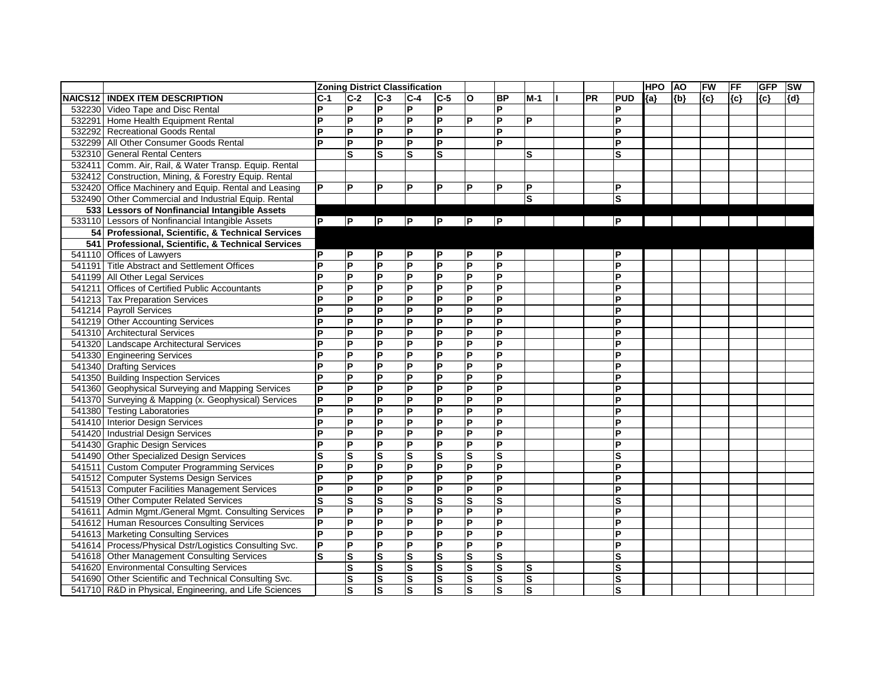|                |                                                        |                         |                         | <b>Zoning District Classification</b> |                         |                         |                         |                         |                         |    |                | <b>HPO</b> | <b>AO</b> | FW    | <b>FF</b> | <b>GFP</b> | <b>SW</b> |
|----------------|--------------------------------------------------------|-------------------------|-------------------------|---------------------------------------|-------------------------|-------------------------|-------------------------|-------------------------|-------------------------|----|----------------|------------|-----------|-------|-----------|------------|-----------|
| <b>NAICS12</b> | <b>INDEX ITEM DESCRIPTION</b>                          | $C-1$                   | $C-2$                   | $C-3$                                 | $C-4$                   | $ C-5 $                 | O                       | <b>BP</b>               | $M-1$                   | PR | <b>PUD</b>     | ${a}$      | ${b}$     | ${c}$ | $\{c\}$   | ${c}$      | {d}       |
|                | 532230 Video Tape and Disc Rental                      | P                       | <b>P</b>                | P                                     | P                       | $\mathsf{P}$            |                         | P                       |                         |    | P              |            |           |       |           |            |           |
| 532291         | Home Health Equipment Rental                           | P                       | P                       | P                                     | P                       | P                       | P                       | P                       | lP.                     |    | ΙP             |            |           |       |           |            |           |
|                | 532292 Recreational Goods Rental                       | <b>P</b>                | $\overline{P}$          | E                                     | $\overline{P}$          | P                       |                         | P                       |                         |    | l P            |            |           |       |           |            |           |
|                | 532299 All Other Consumer Goods Rental                 | D                       | $\overline{P}$          | P                                     | P                       | $\mathsf{P}$            |                         | P                       |                         |    | P              |            |           |       |           |            |           |
|                | 532310 General Rental Centers                          |                         | $\mathbf{s}$            | ls                                    | $\mathbf{s}$            | $\mathbf{s}$            |                         |                         | ls                      |    | S              |            |           |       |           |            |           |
|                | 532411 Comm. Air, Rail, & Water Transp. Equip. Rental  |                         |                         |                                       |                         |                         |                         |                         |                         |    |                |            |           |       |           |            |           |
|                | 532412 Construction, Mining, & Forestry Equip. Rental  |                         |                         |                                       |                         |                         |                         |                         |                         |    |                |            |           |       |           |            |           |
|                | 532420 Office Machinery and Equip. Rental and Leasing  | lP.                     | l P                     | P                                     | P                       | P                       | P                       | P                       | P                       |    | ΙP             |            |           |       |           |            |           |
|                | 532490 Other Commercial and Industrial Equip. Rental   |                         |                         |                                       |                         |                         |                         |                         | S                       |    | ls             |            |           |       |           |            |           |
| 533            | <b>Lessors of Nonfinancial Intangible Assets</b>       |                         |                         |                                       |                         |                         |                         |                         |                         |    |                |            |           |       |           |            |           |
| 533110         | Lessors of Nonfinancial Intangible Assets              | lP.                     | P                       | P                                     | P                       | <b>P</b>                | P                       | $\mathsf{P}$            |                         |    | IР.            |            |           |       |           |            |           |
| 54             | Professional, Scientific, & Technical Services         |                         |                         |                                       |                         |                         |                         |                         |                         |    |                |            |           |       |           |            |           |
| 541            | Professional, Scientific, & Technical Services         |                         |                         |                                       |                         |                         |                         |                         |                         |    |                |            |           |       |           |            |           |
|                | 541110 Offices of Lawyers                              | lP.                     | P                       | P                                     | P                       | P                       | P                       | P                       |                         |    | ΙP             |            |           |       |           |            |           |
| 541191         | <b>Title Abstract and Settlement Offices</b>           | D                       | <b>P</b>                | <b>P</b>                              | P                       | P                       | $\overline{P}$          | P                       |                         |    | ΙP             |            |           |       |           |            |           |
|                | 541199 All Other Legal Services                        | <b>P</b>                | P                       | P                                     | P                       | P                       | P                       | P                       |                         |    | P              |            |           |       |           |            |           |
| 541211         | <b>Offices of Certified Public Accountants</b>         | l P                     | <b>P</b>                | P                                     | P                       | $\mathsf{P}$            | $\overline{\mathsf{P}}$ | P                       |                         |    | P              |            |           |       |           |            |           |
|                | 541213 Tax Preparation Services                        | D                       | <b>P</b>                | P                                     | P                       | P                       | $\overline{P}$          | P                       |                         |    | Þ              |            |           |       |           |            |           |
|                | 541214 Payroll Services                                | P                       | P                       | P                                     | P                       | P                       | P                       | P                       |                         |    | P              |            |           |       |           |            |           |
|                | 541219 Other Accounting Services                       | P                       | $\overline{P}$          | P                                     | P                       | <b>P</b>                | $\overline{P}$          | $\overline{P}$          |                         |    | P              |            |           |       |           |            |           |
|                | 541310 Architectural Services                          | P                       | <b>P</b>                | P                                     | P                       | $\mathsf{P}$            | $\overline{\mathsf{P}}$ | P                       |                         |    | P              |            |           |       |           |            |           |
|                | 541320 Landscape Architectural Services                | P                       | <b>P</b>                | P                                     | P                       | $\mathsf{P}$            | $\overline{\mathsf{P}}$ | P                       |                         |    | P              |            |           |       |           |            |           |
|                | 541330 Engineering Services                            | ΙP                      | $\overline{P}$          | E                                     | $\overline{P}$          | Δ                       | $\overline{P}$          | $\overline{P}$          |                         |    | P              |            |           |       |           |            |           |
|                | 541340 Drafting Services                               | ΙP                      | <b>P</b>                | P                                     | <b>P</b>                | $\mathsf{P}$            | $\overline{\mathsf{P}}$ | P                       |                         |    | IP             |            |           |       |           |            |           |
|                | 541350 Building Inspection Services                    | <b>P</b>                | $\mathsf{P}$            | $\mathsf{P}$                          | P                       | $\mathsf{P}$            | P                       | P                       |                         |    | P              |            |           |       |           |            |           |
|                | 541360 Geophysical Surveying and Mapping Services      | $\overline{P}$          | $\overline{\mathsf{P}}$ | E                                     | $\overline{P}$          | L                       | $\overline{P}$          | $\overline{P}$          |                         |    | l P            |            |           |       |           |            |           |
|                | 541370 Surveying & Mapping (x. Geophysical) Services   | $\overline{P}$          | $\overline{P}$          | $\mathsf{P}$                          | $\mathsf{P}$            | $\mathsf{P}$            | $\overline{P}$          | $\overline{P}$          |                         |    | P              |            |           |       |           |            |           |
|                | 541380 Testing Laboratories                            | <b>P</b>                | <b>P</b>                | P                                     | P                       | $\mathsf{P}$            | $\overline{P}$          | P                       |                         |    | ΙP             |            |           |       |           |            |           |
|                | 541410 Interior Design Services                        | ΙP                      | <b>P</b>                | P                                     | P                       | $\mathsf{P}$            | $\overline{P}$          | P                       |                         |    | ΙP             |            |           |       |           |            |           |
|                | 541420 Industrial Design Services                      | P                       | $\overline{P}$          | P                                     | P                       | $\mathsf{P}$            | $\overline{P}$          | P                       |                         |    | P              |            |           |       |           |            |           |
|                | 541430 Graphic Design Services                         | l P                     | <b>P</b>                | P                                     | P                       | P                       | $\overline{P}$          | P                       |                         |    | P              |            |           |       |           |            |           |
|                | 541490 Other Specialized Design Services               | lS                      | <b>S</b>                | ls                                    | S                       | $\vert$ S               | ${\bf S}$               | S                       |                         |    | S              |            |           |       |           |            |           |
|                | 541511 Custom Computer Programming Services            | <b>P</b>                | $\overline{P}$          | L                                     | P                       | Δ                       | $\overline{P}$          | $\overline{P}$          |                         |    | P              |            |           |       |           |            |           |
|                | 541512 Computer Systems Design Services                | <b>P</b>                | $\overline{P}$          | L                                     | P                       | l۵                      | $\overline{\mathsf{P}}$ | P                       |                         |    | ΙP             |            |           |       |           |            |           |
|                | 541513 Computer Facilities Management Services         | P                       | P                       | P                                     | $\mathsf{P}$            | P                       | P                       | P                       |                         |    | ΙP             |            |           |       |           |            |           |
|                | 541519 Other Computer Related Services                 | ΓS                      | $\overline{\mathbf{s}}$ | Ø                                     | S                       | Ø                       | $\overline{\mathbf{s}}$ | $\overline{\mathbf{s}}$ |                         |    | $ \mathsf{s} $ |            |           |       |           |            |           |
| 541611         | Admin Mgmt./General Mgmt. Consulting Services          | $\overline{\mathsf{P}}$ | $\overline{\mathsf{P}}$ | E                                     | $\overline{P}$          | $\mathsf{P}$            | $\overline{\mathsf{P}}$ | $\overline{P}$          |                         |    | ΙP             |            |           |       |           |            |           |
|                | 541612 Human Resources Consulting Services             | lP.                     | P                       | $\mathsf{P}$                          | <b>P</b>                | $\mathsf{P}$            | P                       | P                       |                         |    | ΙP             |            |           |       |           |            |           |
|                | 541613 Marketing Consulting Services                   | P                       | $\overline{\mathbf{P}}$ | P                                     | P                       | P                       | P                       | P                       |                         |    | ΙP             |            |           |       |           |            |           |
|                | 541614 Process/Physical Dstr/Logistics Consulting Svc. | P                       | $\overline{\mathsf{P}}$ | $\mathsf{P}$                          | P                       | P                       | P                       | $\overline{\mathsf{P}}$ |                         |    | P              |            |           |       |           |            |           |
|                | 541618 Other Management Consulting Services            | ls                      | $\overline{\mathbf{s}}$ | $\vert$ S                             | S                       | $\vert$ S               | S                       | $\overline{\mathbf{s}}$ |                         |    | ls.            |            |           |       |           |            |           |
|                | 541620 Environmental Consulting Services               |                         | S                       | $\vert$ S                             | S                       | $\vert$ S               | S                       | $\overline{\mathbf{s}}$ | ls                      |    | <b>S</b>       |            |           |       |           |            |           |
|                | 541690 Other Scientific and Technical Consulting Svc.  |                         | $\overline{\mathbf{s}}$ | $\overline{\mathbf{s}}$               | $\overline{\mathbf{s}}$ | $\overline{\mathbf{s}}$ | $\overline{\mathsf{s}}$ | S                       | $\overline{\mathsf{s}}$ |    | S              |            |           |       |           |            |           |
|                | 541710 R&D in Physical, Engineering, and Life Sciences |                         | ls.                     | Ω                                     | Ω                       | $\overline{\mathbf{s}}$ | S                       | $\mathbf s$             | $\overline{s}$          |    | ls.            |            |           |       |           |            |           |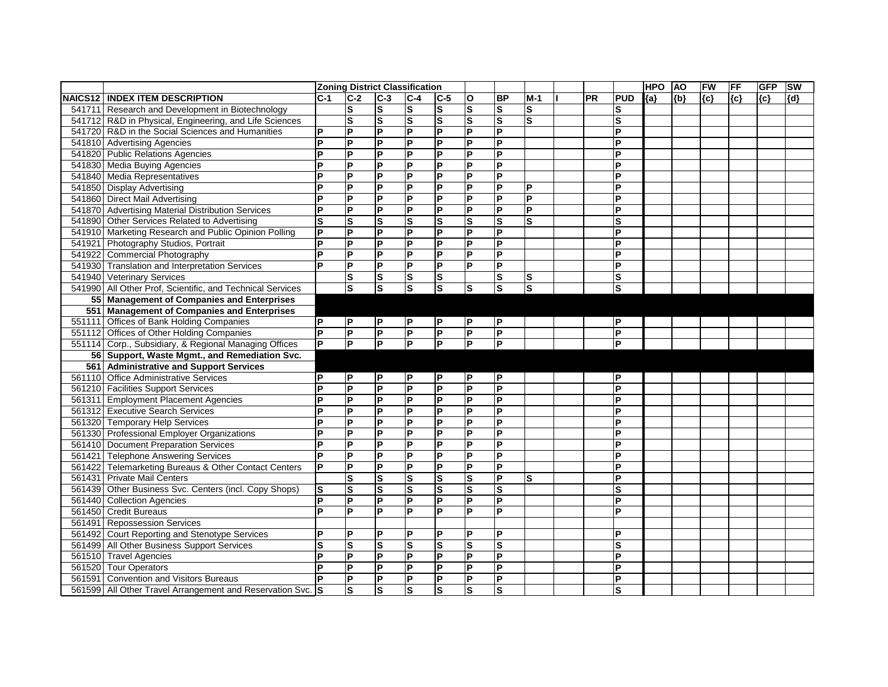|                |                                                            |                         | <b>Zoning District Classification</b> |                         |                         |                         |                         |                         |                         |           |                         | <b>HPO</b> | <b>AO</b> | FW    | <b>FF</b> | <b>GFP</b> | <b>SW</b> |
|----------------|------------------------------------------------------------|-------------------------|---------------------------------------|-------------------------|-------------------------|-------------------------|-------------------------|-------------------------|-------------------------|-----------|-------------------------|------------|-----------|-------|-----------|------------|-----------|
| <b>NAICS12</b> | <b>INDEX ITEM DESCRIPTION</b>                              | $C-1$                   | $C-2$                                 | $C-3$                   | $C-4$                   | $ C-5 $                 | $\mathbf O$             | <b>BP</b>               | $M-1$                   | <b>PR</b> | <b>PUD</b>              | ${a}$      | ${b}$     | ${c}$ | (c)       | ${c}$      | ${d}$     |
| 541711         | Research and Development in Biotechnology                  |                         | $\mathbf{s}$                          | ${\mathbf S}$           | $\vert$ S               | ${\bf S}$               | $\mathbf s$             | ls                      | ls                      |           |                         |            |           |       |           |            |           |
|                | 541712 R&D in Physical, Engineering, and Life Sciences     |                         | $\mathbf{s}$                          | $\mathbf s$             | lS.                     | $\mathbf{s}$            | $\overline{\mathbf{s}}$ | ls                      | S                       |           | S                       |            |           |       |           |            |           |
|                | 541720 R&D in the Social Sciences and Humanities           | ΙP                      | P                                     | P                       | E                       | P                       | P                       | $\mathsf{P}$            |                         |           | P                       |            |           |       |           |            |           |
|                | 541810 Advertising Agencies                                | l P                     | $\overline{P}$                        | P                       | P                       | $\overline{P}$          | $\overline{\mathsf{P}}$ | $\overline{\mathsf{P}}$ |                         |           | P                       |            |           |       |           |            |           |
|                | 541820 Public Relations Agencies                           | P                       | P                                     | P                       | $\mathsf{P}$            | P                       | P                       | lP.                     |                         |           | Þ                       |            |           |       |           |            |           |
|                | 541830 Media Buying Agencies                               | IP                      | P                                     | P                       | $\mathsf{P}$            | P                       | P                       | P                       |                         |           | P                       |            |           |       |           |            |           |
|                | 541840 Media Representatives                               | ΙP                      | $\mathsf{P}$                          | P                       | L                       | $\overline{P}$          | $\overline{P}$          | $\overline{\mathsf{P}}$ |                         |           | P                       |            |           |       |           |            |           |
|                | 541850 Display Advertising                                 | P                       | P                                     | P                       | L                       | P                       | $\overline{P}$          | $\overline{\mathsf{P}}$ | <b>P</b>                |           | P                       |            |           |       |           |            |           |
|                | 541860 Direct Mail Advertising                             | P                       | P                                     | P                       | P                       | P                       | P                       | ΙA                      | $\overline{P}$          |           | D                       |            |           |       |           |            |           |
|                | 541870 Advertising Material Distribution Services          | ΙP                      | P                                     | P                       | $\mathsf{P}$            | P                       | P                       | P                       | <b>P</b>                |           | P                       |            |           |       |           |            |           |
|                | 541890 Other Services Related to Advertising               | <b>S</b>                | $\mathbf{s}$                          | $\mathbf s$             | $\vert$ S               | $\mathbf{s}$            | S                       | S                       | $\overline{\mathbf{s}}$ |           | $\mathbf{s}$            |            |           |       |           |            |           |
| 541910         | Marketing Research and Public Opinion Polling              | $\overline{P}$          | $\overline{P}$                        | P                       | E                       | P                       | $\overline{P}$          | $\mathsf{P}$            |                         |           | Þ                       |            |           |       |           |            |           |
| 541921         | Photography Studios, Portrait                              | ΙP                      | P                                     | P                       | $\mathsf{P}$            | P                       | P                       | P                       |                         |           | Þ                       |            |           |       |           |            |           |
| 541922         | <b>Commercial Photography</b>                              | <b>P</b>                | P                                     | P                       | L                       | $\overline{P}$          | $\overline{P}$          | $\overline{\mathsf{P}}$ |                         |           | P                       |            |           |       |           |            |           |
| 541930         | <b>Translation and Interpretation Services</b>             | <b>P</b>                | P                                     | P                       | P.                      | P                       | P                       | $\overline{\mathsf{P}}$ |                         |           | P                       |            |           |       |           |            |           |
| 541940         | <b>Veterinary Services</b>                                 |                         | $\mathbf S$                           | $\vert$ S               | $\vert$ S               | $\mathbf s$             |                         | $\vert$ S               | lS                      |           | S                       |            |           |       |           |            |           |
| 541990         | All Other Prof, Scientific, and Technical Services         |                         | $\overline{\mathbf{s}}$               | $\overline{\mathbf{s}}$ | $\overline{\mathbf{s}}$ | $\overline{\mathbf{s}}$ | $\mathbf s$             | ls                      | ls                      |           | $\overline{\mathbf{s}}$ |            |           |       |           |            |           |
| 55             | <b>Management of Companies and Enterprises</b>             |                         |                                       |                         |                         |                         |                         |                         |                         |           |                         |            |           |       |           |            |           |
| 551            | <b>Management of Companies and Enterprises</b>             |                         |                                       |                         |                         |                         |                         |                         |                         |           |                         |            |           |       |           |            |           |
|                | 551111 Offices of Bank Holding Companies                   | P                       | P                                     | P                       | P                       | P                       | P                       | P                       |                         |           | P                       |            |           |       |           |            |           |
|                | 551112 Offices of Other Holding Companies                  | $\overline{P}$          | $\overline{P}$                        | P                       | $\overline{P}$          | $\overline{\mathsf{P}}$ | $\overline{P}$          | $\overline{\mathsf{P}}$ |                         |           | P                       |            |           |       |           |            |           |
|                | 551114 Corp., Subsidiary, & Regional Managing Offices      | $\overline{\mathsf{P}}$ | $\overline{P}$                        | lд                      | $\overline{P}$          | $\overline{\mathsf{P}}$ | $\overline{P}$          | $\overline{\mathsf{P}}$ |                         |           | Þ                       |            |           |       |           |            |           |
|                | 56 Support, Waste Mgmt., and Remediation Svc.              |                         |                                       |                         |                         |                         |                         |                         |                         |           |                         |            |           |       |           |            |           |
| 561            | <b>Administrative and Support Services</b>                 |                         |                                       |                         |                         |                         |                         |                         |                         |           |                         |            |           |       |           |            |           |
| 561110         | <b>Office Administrative Services</b>                      | IP                      | <b>P</b>                              | $\mathsf{P}$            | $\mathsf{P}$            | P                       | ΙP                      | P                       |                         |           | P                       |            |           |       |           |            |           |
| 561210         | <b>Facilities Support Services</b>                         | ΙP                      | P                                     | P                       | P                       | P                       | P                       | $\overline{\mathsf{P}}$ |                         |           | P                       |            |           |       |           |            |           |
| 561311         | <b>Employment Placement Agencies</b>                       | ΙP                      | $\mathsf{P}$                          | P                       | $\overline{P}$          | $\overline{P}$          | $\overline{P}$          | $\overline{\mathsf{P}}$ |                         |           | P                       |            |           |       |           |            |           |
| 561312         | <b>Executive Search Services</b>                           | ΙP                      | P                                     | P                       | L                       | P                       | $\overline{P}$          | $\overline{\mathsf{P}}$ |                         |           | P                       |            |           |       |           |            |           |
| 561320         | <b>Temporary Help Services</b>                             | ΙP                      | P                                     | P                       | $\mathsf{P}$            | P                       | P                       | lP.                     |                         |           | Þ                       |            |           |       |           |            |           |
| 561330         | <b>Professional Employer Organizations</b>                 | IP                      | $\mathsf{P}$                          | P                       | $\mathsf{P}$            | P                       | P                       | <b>P</b>                |                         |           | P                       |            |           |       |           |            |           |
|                | 561410 Document Preparation Services                       | l P                     | P                                     | P                       | $\mathsf{P}$            | P                       | P                       | P                       |                         |           | P                       |            |           |       |           |            |           |
| 561421         | <b>Telephone Answering Services</b>                        | l P                     | P                                     | P                       | $\mathsf{P}$            | P                       | P                       | lP.                     |                         |           | D                       |            |           |       |           |            |           |
| 561422         | Telemarketing Bureaus & Other Contact Centers              | ΙP                      | $\mathsf{P}$                          | P                       | P                       | P                       | P                       | P                       |                         |           | P                       |            |           |       |           |            |           |
|                | 561431 Private Mail Centers                                |                         | $\mathbf{s}$                          | $\overline{\mathbf{s}}$ | Ω                       | $\overline{\mathbf{s}}$ | $\overline{\mathbf{s}}$ | $\overline{P}$          | ls                      |           | P                       |            |           |       |           |            |           |
|                | 561439 Other Business Svc. Centers (incl. Copy Shops)      | ls.                     | <b>S</b>                              | ls                      | ls                      | ls                      | ls                      | ls                      |                         |           | ls                      |            |           |       |           |            |           |
|                | 561440 Collection Agencies                                 | $\overline{\mathsf{P}}$ | $\overline{P}$                        | $\overline{P}$          | $\overline{P}$          | $\overline{P}$          | $\overline{P}$          | $\overline{P}$          |                         |           | ΙA                      |            |           |       |           |            |           |
|                | 561450 Credit Bureaus                                      | l P                     | $\overline{P}$                        | P                       | $\overline{P}$          | $\overline{P}$          | $\overline{P}$          | $\overline{P}$          |                         |           | P                       |            |           |       |           |            |           |
|                | 561491 Repossession Services                               |                         |                                       |                         |                         |                         |                         |                         |                         |           |                         |            |           |       |           |            |           |
|                | 561492 Court Reporting and Stenotype Services              | P                       | P                                     | P                       | P                       | ΙP                      | P                       | P                       |                         |           | P                       |            |           |       |           |            |           |
|                | 561499 All Other Business Support Services                 | lS                      | ${\bf S}$                             | S                       | <b>S</b>                | ls                      | ${\bf S}$               | ls                      |                         |           | S                       |            |           |       |           |            |           |
|                | 561510 Travel Agencies                                     | lP.                     | $\overline{P}$                        | P                       | L                       | <b>P</b>                | $\overline{P}$          | $\overline{\mathsf{P}}$ |                         |           | <b>P</b>                |            |           |       |           |            |           |
|                | 561520 Tour Operators                                      | ΙP                      | $\overline{P}$                        | P                       | $\mathsf{P}$            | P                       | $\overline{P}$          | $\overline{\mathsf{P}}$ |                         |           | P                       |            |           |       |           |            |           |
|                | 561591 Convention and Visitors Bureaus                     | l P                     | P                                     | P                       | P                       | P                       | P                       | P                       |                         |           | ΙP                      |            |           |       |           |            |           |
|                | 561599 All Other Travel Arrangement and Reservation Svc. S |                         | S                                     | $\vert$ S               | Ω                       | <b>S</b>                | $\overline{\mathbf{s}}$ | $\overline{s}$          |                         |           | $\vert$ S               |            |           |       |           |            |           |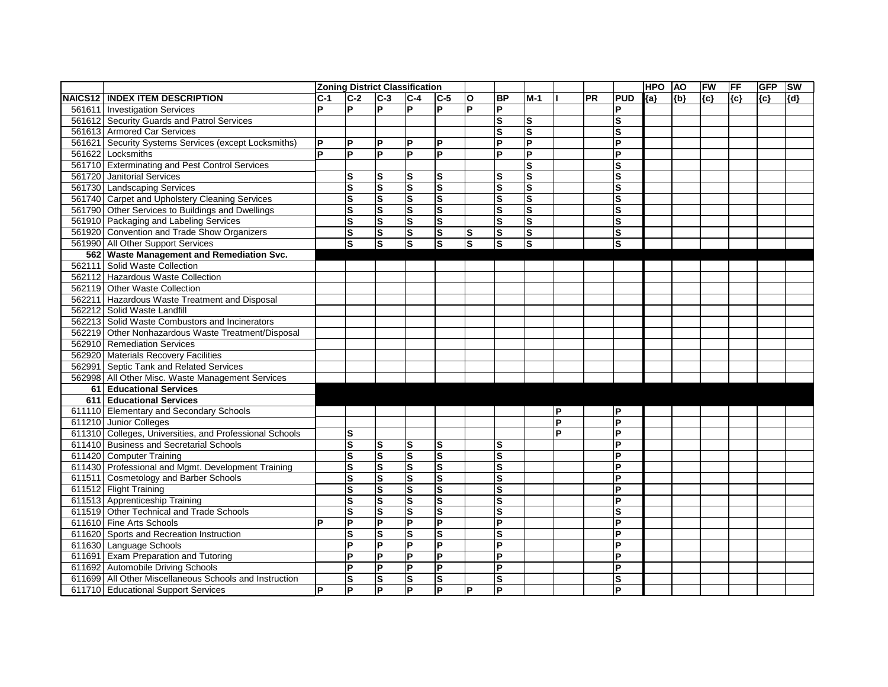|                |                                                         | <b>Zoning District Classification</b> |                         |                         |                         |                         |                         |                         |                         |              |           | <b>HPO</b>              | <b>AO</b> | FW    | <b>FF</b> | <b>GFP</b> | <b>SW</b> |       |
|----------------|---------------------------------------------------------|---------------------------------------|-------------------------|-------------------------|-------------------------|-------------------------|-------------------------|-------------------------|-------------------------|--------------|-----------|-------------------------|-----------|-------|-----------|------------|-----------|-------|
| <b>NAICS12</b> | <b>INDEX ITEM DESCRIPTION</b>                           | $C-1$                                 | $C-2$                   | $C-3$                   | $C-4$                   | $ C-5 $                 | $\mathbf{o}$            | <b>BP</b>               | $M-1$                   |              | <b>PR</b> | <b>PUD</b>              | ${a}$     | ${b}$ | ${c}$     | {c}        | ${c}$     | ${d}$ |
| 561611         | <b>Investigation Services</b>                           | P                                     | P                       | P                       | $\mathsf{P}$            | P                       | P                       | $\overline{P}$          |                         |              |           | P                       |           |       |           |            |           |       |
|                | 561612 Security Guards and Patrol Services              |                                       |                         |                         |                         |                         |                         | ls                      | ls                      |              |           | S                       |           |       |           |            |           |       |
|                | 561613 Armored Car Services                             |                                       |                         |                         |                         |                         |                         | $\mathbf{s}$            | S                       |              |           | S                       |           |       |           |            |           |       |
|                | 561621 Security Systems Services (except Locksmiths)    | P                                     | P                       | P                       | $\mathsf{P}$            | P                       |                         | E                       | $\overline{P}$          |              |           | Þ                       |           |       |           |            |           |       |
|                | 561622 Locksmiths                                       | IP                                    | P                       | P                       | Þ                       | P                       |                         | P                       | <b>P</b>                |              |           | D                       |           |       |           |            |           |       |
|                | 561710 Exterminating and Pest Control Services          |                                       |                         |                         |                         |                         |                         |                         | $\mathbf{s}$            |              |           | S                       |           |       |           |            |           |       |
|                | 561720 Janitorial Services                              |                                       | $\mathbf{s}$            | S                       | lS.                     | ${\bf S}$               |                         | lS                      | ls                      |              |           | $\mathbf{s}$            |           |       |           |            |           |       |
|                | 561730 Landscaping Services                             |                                       | $\mathbf{s}$            | $\mathbf s$             | Ω                       | $\mathbf{s}$            |                         | $\overline{\mathbf{s}}$ | ls                      |              |           | S                       |           |       |           |            |           |       |
|                | 561740 Carpet and Upholstery Cleaning Services          |                                       | $\mathbf{s}$            | $\mathbf s$             | $\vert$ S               | $\mathbf{s}$            |                         | $\overline{\mathbf{s}}$ | ls                      |              |           | S                       |           |       |           |            |           |       |
|                | 561790 Other Services to Buildings and Dwellings        |                                       | $\mathbf{s}$            | ${\mathbf S}$           | $\vert$ S               | $\mathbf{s}$            |                         | $\vert$ S               | ls                      |              |           | $\mathbf{s}$            |           |       |           |            |           |       |
|                | 561910 Packaging and Labeling Services                  |                                       | $\mathbf{s}$            | $\overline{\mathbf{s}}$ | $\overline{\mathbf{s}}$ | $\overline{\mathbf{s}}$ |                         | $\overline{\mathbf{s}}$ | S                       |              |           | $\mathbf{s}$            |           |       |           |            |           |       |
|                | 561920 Convention and Trade Show Organizers             |                                       | $\mathbf S$             | $\vert$ S               | S                       | S                       | S                       | ls                      | $\overline{\mathsf{s}}$ |              |           | S                       |           |       |           |            |           |       |
|                | 561990 All Other Support Services                       |                                       | $\mathbf S$             | $\vert$ S               | S                       | ls                      | $\overline{\mathbf{s}}$ | ls                      | ls                      |              |           | $\mathbf{s}$            |           |       |           |            |           |       |
| 562            | <b>Waste Management and Remediation Svc.</b>            |                                       |                         |                         |                         |                         |                         |                         |                         |              |           |                         |           |       |           |            |           |       |
|                | 562111 Solid Waste Collection                           |                                       |                         |                         |                         |                         |                         |                         |                         |              |           |                         |           |       |           |            |           |       |
|                | 562112 Hazardous Waste Collection                       |                                       |                         |                         |                         |                         |                         |                         |                         |              |           |                         |           |       |           |            |           |       |
|                | 562119 Other Waste Collection                           |                                       |                         |                         |                         |                         |                         |                         |                         |              |           |                         |           |       |           |            |           |       |
|                | 562211 Hazardous Waste Treatment and Disposal           |                                       |                         |                         |                         |                         |                         |                         |                         |              |           |                         |           |       |           |            |           |       |
|                | 562212 Solid Waste Landfill                             |                                       |                         |                         |                         |                         |                         |                         |                         |              |           |                         |           |       |           |            |           |       |
|                | 562213 Solid Waste Combustors and Incinerators          |                                       |                         |                         |                         |                         |                         |                         |                         |              |           |                         |           |       |           |            |           |       |
|                | 562219 Other Nonhazardous Waste Treatment/Disposal      |                                       |                         |                         |                         |                         |                         |                         |                         |              |           |                         |           |       |           |            |           |       |
|                | 562910 Remediation Services                             |                                       |                         |                         |                         |                         |                         |                         |                         |              |           |                         |           |       |           |            |           |       |
|                | 562920 Materials Recovery Facilities                    |                                       |                         |                         |                         |                         |                         |                         |                         |              |           |                         |           |       |           |            |           |       |
|                | 562991 Septic Tank and Related Services                 |                                       |                         |                         |                         |                         |                         |                         |                         |              |           |                         |           |       |           |            |           |       |
|                | 562998 All Other Misc. Waste Management Services        |                                       |                         |                         |                         |                         |                         |                         |                         |              |           |                         |           |       |           |            |           |       |
| 61             | <b>Educational Services</b>                             |                                       |                         |                         |                         |                         |                         |                         |                         |              |           |                         |           |       |           |            |           |       |
| 611            | <b>Educational Services</b>                             |                                       |                         |                         |                         |                         |                         |                         |                         |              |           |                         |           |       |           |            |           |       |
|                | 611110 Elementary and Secondary Schools                 |                                       |                         |                         |                         |                         |                         |                         |                         | $\mathsf{P}$ |           | ΙP                      |           |       |           |            |           |       |
|                | 611210 Junior Colleges                                  |                                       |                         |                         |                         |                         |                         |                         |                         | P            |           | Þ                       |           |       |           |            |           |       |
|                | 611310 Colleges, Universities, and Professional Schools |                                       | $\mathbf{s}$            |                         |                         |                         |                         |                         |                         | P            |           | P                       |           |       |           |            |           |       |
|                | 611410 Business and Secretarial Schools                 |                                       | $\mathbf{s}$            | $\mathbf s$             | ls                      | $\mathbf{s}$            |                         | $\overline{\mathsf{s}}$ |                         |              |           | P                       |           |       |           |            |           |       |
|                | 611420 Computer Training                                |                                       | $\mathbf S$             | ${\mathbf S}$           | Ω                       | $\mathbf{s}$            |                         | $\overline{\mathbf{s}}$ |                         |              |           | D                       |           |       |           |            |           |       |
|                | 611430 Professional and Mgmt. Development Training      |                                       | S                       | ${\mathbf S}$           | $\vert$ S               | ${\bf S}$               |                         | $\vert$ S               |                         |              |           | P                       |           |       |           |            |           |       |
|                | 611511 Cosmetology and Barber Schools                   |                                       | $\mathbf{s}$            | $\mathbf s$             | Ω                       | $\overline{\mathbf{s}}$ |                         | Ω                       |                         |              |           | P                       |           |       |           |            |           |       |
|                | 611512 Flight Training                                  |                                       | ${\bf S}$               | ls                      | ls                      | ls                      |                         | ls                      |                         |              |           | ΙP                      |           |       |           |            |           |       |
|                | 611513 Apprenticeship Training                          |                                       | $\mathbf{s}$            | Ø                       | $\overline{\mathbf{s}}$ | S                       |                         | $\overline{\mathbf{s}}$ |                         |              |           | P                       |           |       |           |            |           |       |
|                | 611519 Other Technical and Trade Schools                |                                       | $\overline{\mathbf{s}}$ | Ω                       | S                       | $\overline{\mathbf{s}}$ |                         | $\overline{\mathsf{s}}$ |                         |              |           | $\overline{\mathbf{s}}$ |           |       |           |            |           |       |
|                | 611610 Fine Arts Schools                                | D                                     | $\mathsf{P}$            | P                       | $\overline{P}$          | $\overline{\mathsf{P}}$ |                         | $\overline{\mathsf{P}}$ |                         |              |           | Þ                       |           |       |           |            |           |       |
|                | 611620 Sports and Recreation Instruction                |                                       | $\mathbf S$             | lS.                     | <b>S</b>                | S                       |                         | ls                      |                         |              |           | P                       |           |       |           |            |           |       |
|                | 611630 Language Schools                                 |                                       | P                       | P                       | P                       | P                       |                         | P                       |                         |              |           | P                       |           |       |           |            |           |       |
|                | 611691 Exam Preparation and Tutoring                    |                                       | P                       | P                       | L                       | P                       |                         | $\overline{\mathsf{P}}$ |                         |              |           | P                       |           |       |           |            |           |       |
|                | 611692 Automobile Driving Schools                       |                                       | P                       | P                       | $\mathsf{P}$            | $\overline{P}$          |                         | $\overline{\mathsf{P}}$ |                         |              |           | P                       |           |       |           |            |           |       |
|                | 611699 All Other Miscellaneous Schools and Instruction  |                                       | ${\bf S}$               | S                       | <b>S</b>                | <b>S</b>                |                         | ls                      |                         |              |           | lS                      |           |       |           |            |           |       |
|                | 611710 Educational Support Services                     | P                                     | $\overline{P}$          | E                       | $\overline{P}$          | $\overline{\mathsf{P}}$ | P                       | $\overline{\mathsf{P}}$ |                         |              |           | <b>P</b>                |           |       |           |            |           |       |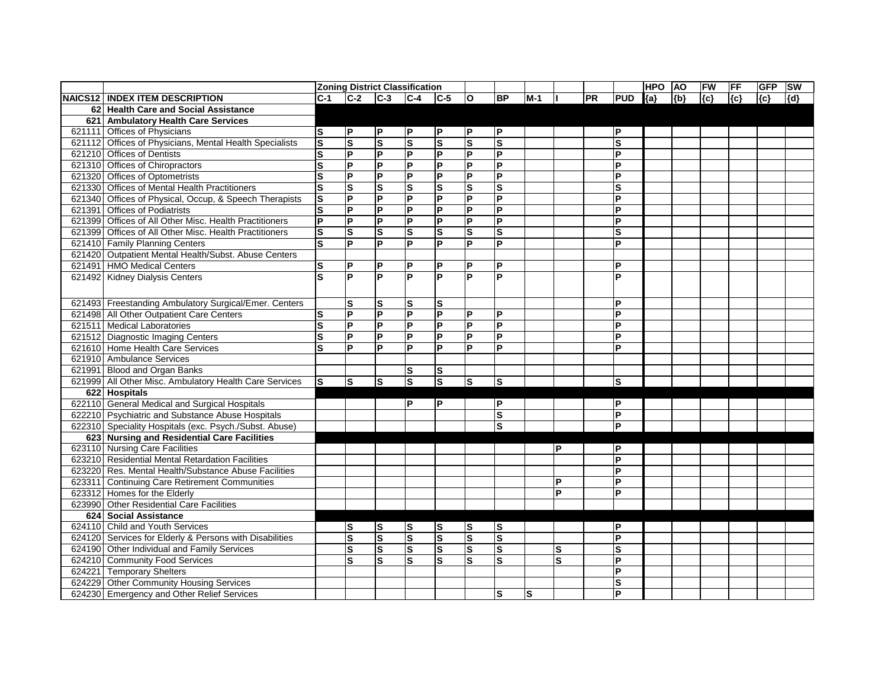|        |                                                         | <b>Zoning District Classification</b> |                |                         |                         |                         |                         |                         |       |                         |           |                | <b>HPO</b> | <b>AO</b> | FW    | <b>FF</b> | <b>GFP</b> | <b>SW</b> |
|--------|---------------------------------------------------------|---------------------------------------|----------------|-------------------------|-------------------------|-------------------------|-------------------------|-------------------------|-------|-------------------------|-----------|----------------|------------|-----------|-------|-----------|------------|-----------|
|        | <b>NAICS12   INDEX ITEM DESCRIPTION</b>                 | $C-1$                                 | $C-2$          | $ C-3 $ $ C-4 $         |                         | $C-5$                   | $ 0\rangle$             | <b>BP</b>               | $M-1$ |                         | <b>PR</b> | <b>PUD</b>     | ${a}$      | ${b}$     | ${c}$ | $\{c\}$   | ${c}$      | [{d}      |
|        | 62 Health Care and Social Assistance                    |                                       |                |                         |                         |                         |                         |                         |       |                         |           |                |            |           |       |           |            |           |
| 621    | <b>Ambulatory Health Care Services</b>                  |                                       |                |                         |                         |                         |                         |                         |       |                         |           |                |            |           |       |           |            |           |
|        | 621111 Offices of Physicians                            | S                                     | P              | P                       | P                       | $\mathsf{P}$            | P                       | P                       |       |                         |           | ΙP             |            |           |       |           |            |           |
| 621112 | Offices of Physicians, Mental Health Specialists        | $\mathbf{s}$                          | S              | $\overline{\mathbf{s}}$ | $\overline{\mathbf{s}}$ | $\overline{\mathbf{s}}$ | $\overline{\mathbf{s}}$ | $\overline{\mathbf{s}}$ |       |                         |           | $\mathbf{s}$   |            |           |       |           |            |           |
|        | 621210 Offices of Dentists                              | S                                     | $\overline{P}$ | E                       | $\overline{P}$          | P                       | $\overline{P}$          | $\overline{P}$          |       |                         |           | P              |            |           |       |           |            |           |
|        | 621310 Offices of Chiropractors                         | S                                     | $\mathsf{P}$   | $\overline{P}$          | P                       | P                       | P                       | P                       |       |                         |           | P              |            |           |       |           |            |           |
|        | 621320 Offices of Optometrists                          | S                                     | $\overline{P}$ | L                       | $\overline{P}$          | $\overline{\mathsf{P}}$ | $\overline{P}$          | $\overline{\mathsf{P}}$ |       |                         |           | P              |            |           |       |           |            |           |
|        | 621330 Offices of Mental Health Practitioners           | S                                     | ls             | Ω                       | $\overline{\mathbf{s}}$ | $\mathbf S$             | $\mathbf s$             | S                       |       |                         |           | S              |            |           |       |           |            |           |
|        | 621340 Offices of Physical, Occup, & Speech Therapists  | $\mathbf{s}$                          | <b>P</b>       | P                       | $\overline{P}$          | P                       | P                       | P                       |       |                         |           | P              |            |           |       |           |            |           |
| 621391 | <b>Offices of Podiatrists</b>                           | $\mathbf s$                           | <b>P</b>       | $\mathsf{P}$            | P                       | P                       | P                       | P                       |       |                         |           | P              |            |           |       |           |            |           |
|        | 621399 Offices of All Other Misc. Health Practitioners  | $\overline{\mathsf{P}}$               | <b>P</b>       | Ιd                      | P                       | P                       | P                       | P                       |       |                         |           | P              |            |           |       |           |            |           |
| 621399 | Offices of All Other Misc. Health Practitioners         | ${\bf S}$                             | S              | ls                      | $\mathbf{s}$            | ${\bf S}$               | $\mathbf{s}$            | S                       |       |                         |           | S              |            |           |       |           |            |           |
|        | 621410 Family Planning Centers                          | S                                     | <b>P</b>       | P                       | P                       | P                       | P                       | P                       |       |                         |           | P              |            |           |       |           |            |           |
|        | 621420 Outpatient Mental Health/Subst. Abuse Centers    |                                       |                |                         |                         |                         |                         |                         |       |                         |           |                |            |           |       |           |            |           |
|        | 621491 HMO Medical Centers                              | S                                     | P              | P                       | P                       | P                       | P                       | P                       |       |                         |           | ΙP             |            |           |       |           |            |           |
|        | 621492 Kidney Dialysis Centers                          | S                                     | <b>P</b>       | P                       | P                       | P                       | P                       | P                       |       |                         |           | Þ              |            |           |       |           |            |           |
|        |                                                         |                                       |                |                         |                         |                         |                         |                         |       |                         |           |                |            |           |       |           |            |           |
|        | 621493 Freestanding Ambulatory Surgical/Emer. Centers   |                                       | ls             | ls                      | ls                      | lS.                     |                         |                         |       |                         |           | ΙP             |            |           |       |           |            |           |
|        | 621498 All Other Outpatient Care Centers                | S                                     | $\mathsf{P}$   | $\mathsf{P}$            | $\overline{P}$          | P                       | P                       | P                       |       |                         |           | P              |            |           |       |           |            |           |
|        | 621511 Medical Laboratories                             | $\overline{\mathbf{s}}$               | $\overline{P}$ | Δ                       | $\overline{P}$          | P                       | $\overline{P}$          | P                       |       |                         |           | P              |            |           |       |           |            |           |
|        | 621512 Diagnostic Imaging Centers                       | $\overline{\mathbf{s}}$               | $\overline{P}$ | E                       | $\overline{P}$          | $\overline{P}$          | $\overline{P}$          | $\overline{P}$          |       |                         |           | P              |            |           |       |           |            |           |
|        | 621610 Home Health Care Services                        | S                                     | <b>P</b>       | P                       | P                       | P                       | P                       | P                       |       |                         |           | P              |            |           |       |           |            |           |
|        | 621910 Ambulance Services                               |                                       |                |                         |                         |                         |                         |                         |       |                         |           |                |            |           |       |           |            |           |
|        | 621991 Blood and Organ Banks                            |                                       |                |                         | $\mathbf{s}$            | S                       |                         |                         |       |                         |           |                |            |           |       |           |            |           |
|        | 621999 All Other Misc. Ambulatory Health Care Services  | S                                     | <b>S</b>       | ls                      | Ω                       | Ω                       | <b>S</b>                | ${\bf S}$               |       |                         |           | ls             |            |           |       |           |            |           |
|        | 622 Hospitals                                           |                                       |                |                         |                         |                         |                         |                         |       |                         |           |                |            |           |       |           |            |           |
|        | 622110 General Medical and Surgical Hospitals           |                                       |                |                         | P                       | P                       |                         | P                       |       |                         |           | ΙP             |            |           |       |           |            |           |
|        | 622210 Psychiatric and Substance Abuse Hospitals        |                                       |                |                         |                         |                         |                         | S                       |       |                         |           | İΡ             |            |           |       |           |            |           |
|        | 622310 Speciality Hospitals (exc. Psych./Subst. Abuse)  |                                       |                |                         |                         |                         |                         | S                       |       |                         |           | l P            |            |           |       |           |            |           |
|        | 623 Nursing and Residential Care Facilities             |                                       |                |                         |                         |                         |                         |                         |       |                         |           |                |            |           |       |           |            |           |
|        | 623110 Nursing Care Facilities                          |                                       |                |                         |                         |                         |                         |                         |       | P                       |           | ΙP             |            |           |       |           |            |           |
|        | 623210 Residential Mental Retardation Facilities        |                                       |                |                         |                         |                         |                         |                         |       |                         |           | ΙP             |            |           |       |           |            |           |
|        | 623220 Res. Mental Health/Substance Abuse Facilities    |                                       |                |                         |                         |                         |                         |                         |       |                         |           | l P            |            |           |       |           |            |           |
|        | 623311 Continuing Care Retirement Communities           |                                       |                |                         |                         |                         |                         |                         |       | D                       |           | lp             |            |           |       |           |            |           |
|        | 623312 Homes for the Elderly                            |                                       |                |                         |                         |                         |                         |                         |       | $\overline{P}$          |           | lP.            |            |           |       |           |            |           |
|        | 623990 Other Residential Care Facilities                |                                       |                |                         |                         |                         |                         |                         |       |                         |           |                |            |           |       |           |            |           |
|        | 624 Social Assistance                                   |                                       |                |                         |                         |                         |                         |                         |       |                         |           |                |            |           |       |           |            |           |
|        | 624110 Child and Youth Services                         |                                       | <b>S</b>       | ls                      | <b>S</b>                | S                       | ls                      | S                       |       |                         |           | ΙP             |            |           |       |           |            |           |
|        | 624120 Services for Elderly & Persons with Disabilities |                                       | S              | $\overline{\mathsf{s}}$ | $\overline{\mathbf{s}}$ | Ω                       | ls                      | S                       |       |                         |           | <b>P</b>       |            |           |       |           |            |           |
|        | 624190 Other Individual and Family Services             |                                       | <b>S</b>       | Ω                       | S                       | $\vert$ S               | <b>S</b>                | S                       |       | S                       |           | ls             |            |           |       |           |            |           |
|        | 624210 Community Food Services                          |                                       | ΙS             | Ω                       | $\overline{\mathbf{s}}$ | Ø                       | $\mathbf{s}$            | $\mathbf s$             |       | $\overline{\mathbf{s}}$ |           | ΙP             |            |           |       |           |            |           |
|        | 624221 Temporary Shelters                               |                                       |                |                         |                         |                         |                         |                         |       |                         |           | ΙP             |            |           |       |           |            |           |
|        | 624229 Other Community Housing Services                 |                                       |                |                         |                         |                         |                         |                         |       |                         |           | ls             |            |           |       |           |            |           |
|        | 624230 Emergency and Other Relief Services              |                                       |                |                         |                         |                         |                         | S                       | ls.   |                         |           | $\overline{P}$ |            |           |       |           |            |           |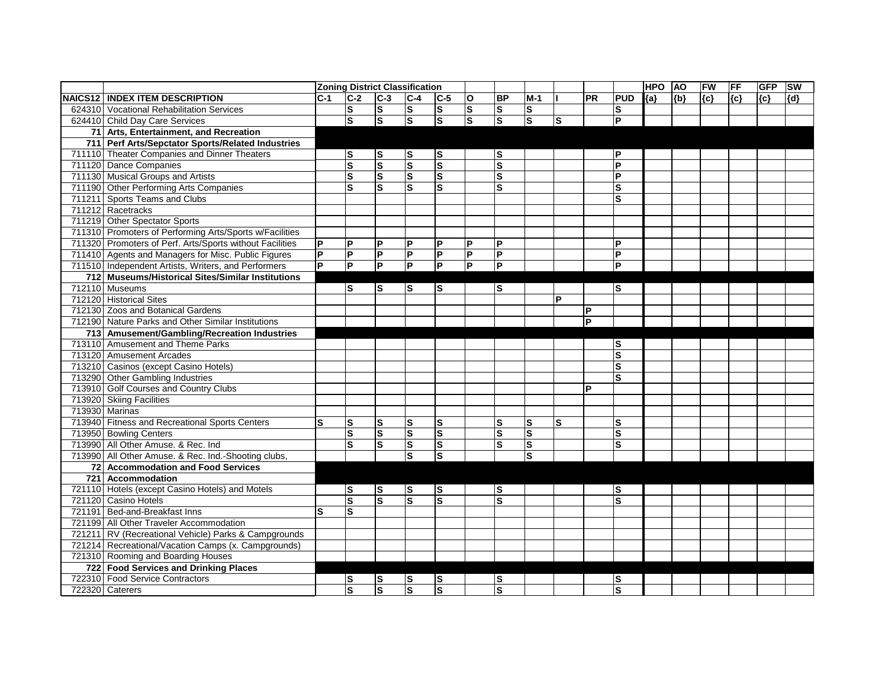|                                                          | <b>Zoning District Classification</b> |                         |                         |                         |                         |                         |                         |              |    |              |                         | <b>HPO</b> | <b>AO</b> | FW    | <b>FF</b> | <b>GFP</b> | <b>SW</b> |
|----------------------------------------------------------|---------------------------------------|-------------------------|-------------------------|-------------------------|-------------------------|-------------------------|-------------------------|--------------|----|--------------|-------------------------|------------|-----------|-------|-----------|------------|-----------|
| <b>INAICS12 INDEX ITEM DESCRIPTION</b>                   | $C-1$                                 | $C-2$                   | $C-3$                   | $C-4$                   | $C-5$                   | lo.                     | <b>BP</b>               | $M-1$        |    | <b>PR</b>    | <b>PUD</b>              | ${a}$      | ${b}$     | ${c}$ | {c}       | ${c}$      | ${d}$     |
| 624310 Vocational Rehabilitation Services                |                                       | $\vert$ S               | <b>S</b>                | $\vert$ S               | <b>S</b>                | $ \mathsf{s} $          | $\vert$ S               | ls           |    |              | ls                      |            |           |       |           |            |           |
| 624410 Child Day Care Services                           |                                       | ls                      | S                       | $\overline{s}$          | $\overline{s}$          | ls                      | $\overline{\mathbf{s}}$ | डि           | ls |              | lP.                     |            |           |       |           |            |           |
| 71 Arts, Entertainment, and Recreation                   |                                       |                         |                         |                         |                         |                         |                         |              |    |              |                         |            |           |       |           |            |           |
| 711 Perf Arts/Sepctator Sports/Related Industries        |                                       |                         |                         |                         |                         |                         |                         |              |    |              |                         |            |           |       |           |            |           |
| 711110 Theater Companies and Dinner Theaters             |                                       | lS                      | S                       | S                       | lS                      |                         | lS                      |              |    |              | ΙP                      |            |           |       |           |            |           |
| 711120 Dance Companies                                   |                                       | $\overline{\mathbf{s}}$ | <b>S</b>                | Ω                       | $\mathbf{s}$            |                         | $\mathbf{s}$            |              |    |              | P                       |            |           |       |           |            |           |
| 711130 Musical Groups and Artists                        |                                       | Ω                       | ${\bf S}$               | Ω                       | $\overline{\mathbf{s}}$ |                         | $\mathbf s$             |              |    |              | l P                     |            |           |       |           |            |           |
| 711190 Other Performing Arts Companies                   |                                       | $\overline{\mathbf{s}}$ | $\overline{\mathbf{s}}$ | $\overline{\mathsf{s}}$ | $\overline{\mathbf{s}}$ |                         | $\overline{\mathbf{s}}$ |              |    |              | $\overline{\mathbf{s}}$ |            |           |       |           |            |           |
| 711211 Sports Teams and Clubs                            |                                       |                         |                         |                         |                         |                         |                         |              |    |              | S                       |            |           |       |           |            |           |
| 711212 Racetracks                                        |                                       |                         |                         |                         |                         |                         |                         |              |    |              |                         |            |           |       |           |            |           |
| 711219 Other Spectator Sports                            |                                       |                         |                         |                         |                         |                         |                         |              |    |              |                         |            |           |       |           |            |           |
| 711310 Promoters of Performing Arts/Sports w/Facilities  |                                       |                         |                         |                         |                         |                         |                         |              |    |              |                         |            |           |       |           |            |           |
| 711320 Promoters of Perf. Arts/Sports without Facilities | P                                     | $\mathsf{P}$            | P                       | P                       | P                       | ΙP                      | P                       |              |    |              | P                       |            |           |       |           |            |           |
| 711410 Agents and Managers for Misc. Public Figures      | $\overline{\mathsf{P}}$               | l<br>A                  | P                       | P                       | P                       | E                       | P                       |              |    |              | l P                     |            |           |       |           |            |           |
| 711510 Independent Artists, Writers, and Performers      | $\overline{P}$                        | $\overline{P}$          | $\overline{P}$          | Δ                       | <b>P</b>                | $\overline{\mathsf{P}}$ | ΙA                      |              |    |              | l p                     |            |           |       |           |            |           |
| 712 Museums/Historical Sites/Similar Institutions        |                                       |                         |                         |                         |                         |                         |                         |              |    |              |                         |            |           |       |           |            |           |
| 712110 Museums                                           |                                       | lS                      | S                       | S                       | S                       |                         | $\vert$ S               |              |    |              | S                       |            |           |       |           |            |           |
| 712120 Historical Sites                                  |                                       |                         |                         |                         |                         |                         |                         |              | P  |              |                         |            |           |       |           |            |           |
| 712130 Zoos and Botanical Gardens                        |                                       |                         |                         |                         |                         |                         |                         |              |    | $\mathsf{P}$ |                         |            |           |       |           |            |           |
| 712190 Nature Parks and Other Similar Institutions       |                                       |                         |                         |                         |                         |                         |                         |              |    | Þ            |                         |            |           |       |           |            |           |
| 713 Amusement/Gambling/Recreation Industries             |                                       |                         |                         |                         |                         |                         |                         |              |    |              |                         |            |           |       |           |            |           |
| 713110 Amusement and Theme Parks                         |                                       |                         |                         |                         |                         |                         |                         |              |    |              | S                       |            |           |       |           |            |           |
| 713120 Amusement Arcades                                 |                                       |                         |                         |                         |                         |                         |                         |              |    |              | $\mathbf{s}$            |            |           |       |           |            |           |
| 713210 Casinos (except Casino Hotels)                    |                                       |                         |                         |                         |                         |                         |                         |              |    |              | $\mathbf{s}$            |            |           |       |           |            |           |
| 713290 Other Gambling Industries                         |                                       |                         |                         |                         |                         |                         |                         |              |    |              | S                       |            |           |       |           |            |           |
| 713910 Golf Courses and Country Clubs                    |                                       |                         |                         |                         |                         |                         |                         |              |    | P            |                         |            |           |       |           |            |           |
| 713920 Skiing Facilities                                 |                                       |                         |                         |                         |                         |                         |                         |              |    |              |                         |            |           |       |           |            |           |
| 713930 Marinas                                           |                                       |                         |                         |                         |                         |                         |                         |              |    |              |                         |            |           |       |           |            |           |
| 713940 Fitness and Recreational Sports Centers           | lS                                    | $\vert$ S               | $\mathbf{s}$            | lS.                     | ${\bf S}$               |                         | S                       | ls           | ls |              | S                       |            |           |       |           |            |           |
| 713950 Bowling Centers                                   |                                       | $\vert s$               | ${\bf S}$               | $\vert$ S               | $\mathbf{s}$            |                         | $\mathbf{s}$            | $\mathbf{s}$ |    |              | $\mathbf{s}$            |            |           |       |           |            |           |
| 713990 All Other Amuse. & Rec. Ind                       |                                       | $\vert$ S               | ${\bf S}$               | $\vert$ S               | S                       |                         | $\mathbf{s}$            | ls           |    |              | $\mathbf{s}$            |            |           |       |           |            |           |
| 713990 All Other Amuse. & Rec. Ind.-Shooting clubs,      |                                       |                         |                         | lS.                     | $\mathbf{s}$            |                         |                         | ls           |    |              |                         |            |           |       |           |            |           |
| 72 Accommodation and Food Services                       |                                       |                         |                         |                         |                         |                         |                         |              |    |              |                         |            |           |       |           |            |           |
| 721 Accommodation                                        |                                       |                         |                         |                         |                         |                         |                         |              |    |              |                         |            |           |       |           |            |           |
| 721110 Hotels (except Casino Hotels) and Motels          |                                       | $\vert$ S               | ls                      | ls                      | ls                      |                         | ls                      |              |    |              | lS.                     |            |           |       |           |            |           |
| 721120 Casino Hotels                                     |                                       | Ø                       | $\overline{\mathbf{s}}$ | $\overline{\mathbf{s}}$ | $\mathbf{s}$            |                         | $\overline{s}$          |              |    |              | S                       |            |           |       |           |            |           |
| 721191 Bed-and-Breakfast Inns                            | lS.                                   | $\vert$ S               |                         |                         |                         |                         |                         |              |    |              |                         |            |           |       |           |            |           |
| 721199 All Other Traveler Accommodation                  |                                       |                         |                         |                         |                         |                         |                         |              |    |              |                         |            |           |       |           |            |           |
| 721211 RV (Recreational Vehicle) Parks & Campgrounds     |                                       |                         |                         |                         |                         |                         |                         |              |    |              |                         |            |           |       |           |            |           |
| 721214 Recreational/Vacation Camps (x. Campgrounds)      |                                       |                         |                         |                         |                         |                         |                         |              |    |              |                         |            |           |       |           |            |           |
| 721310 Rooming and Boarding Houses                       |                                       |                         |                         |                         |                         |                         |                         |              |    |              |                         |            |           |       |           |            |           |
| 722 Food Services and Drinking Places                    |                                       |                         |                         |                         |                         |                         |                         |              |    |              |                         |            |           |       |           |            |           |
| 722310 Food Service Contractors                          |                                       | $\vert$ S               | S                       | S                       | $\overline{\mathbf{s}}$ |                         | ls                      |              |    |              | ls                      |            |           |       |           |            |           |
| 722320 Caterers                                          |                                       | $\overline{\mathbf{s}}$ | S                       | $\overline{\mathbf{s}}$ | $\overline{s}$          |                         | $\overline{\mathbf{s}}$ |              |    |              | S                       |            |           |       |           |            |           |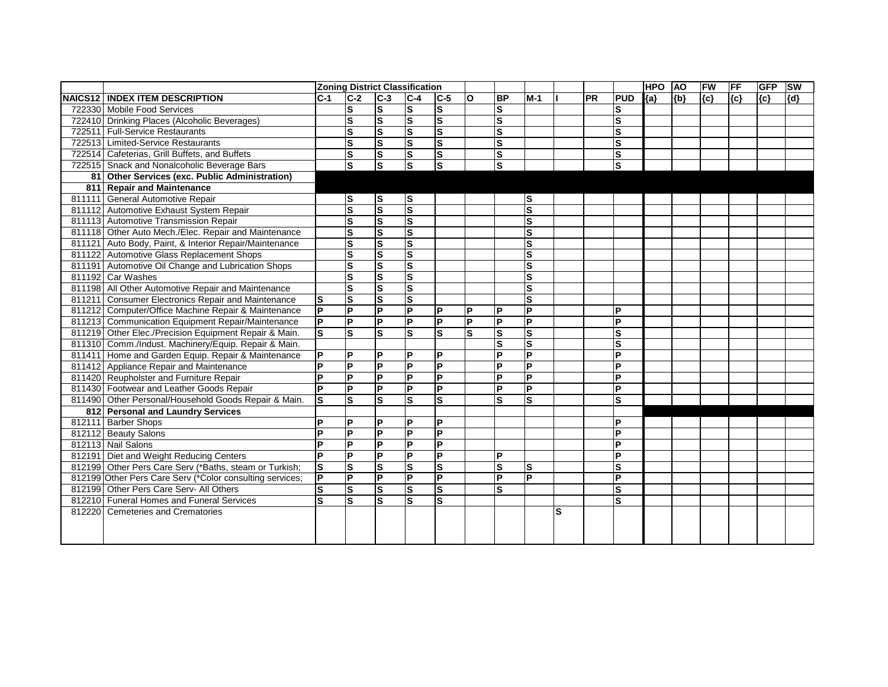|        |                                                          |                         | <b>Zoning District Classification</b> |                         |                         |                  |                |                         |                         |    |    |                | <b>HPO</b> | <b>AO</b>          | FW    | FF  | <b>GFP</b> | <b>SW</b> |
|--------|----------------------------------------------------------|-------------------------|---------------------------------------|-------------------------|-------------------------|------------------|----------------|-------------------------|-------------------------|----|----|----------------|------------|--------------------|-------|-----|------------|-----------|
|        | <b>NAICS12 INDEX ITEM DESCRIPTION</b>                    | $C-1$                   | $\overline{C-2}$                      | $\overline{C-3}$        | $C-4$                   | $\overline{C-5}$ | lo             | B <sub>P</sub>          | $M-1$                   |    | PR | <b>PUD</b>     | ${a}$      | $\overline{\{b\}}$ | ${c}$ | (c) | ${c}$      | {d}       |
|        | 722330 Mobile Food Services                              |                         | ls                                    | <b>S</b>                | Ω                       | S                |                | ${\sf S}$               |                         |    |    | S              |            |                    |       |     |            |           |
|        | 722410 Drinking Places (Alcoholic Beverages)             |                         | Ω                                     | S                       | $\overline{\mathbf{s}}$ | S                |                | $\overline{\mathbf{s}}$ |                         |    |    | $\mathbf{s}$   |            |                    |       |     |            |           |
|        | 722511 Full-Service Restaurants                          |                         | $\vert$ S                             | S                       | $\overline{\mathbf{s}}$ | S                |                | $\overline{\mathbf{s}}$ |                         |    |    | $\mathbf s$    |            |                    |       |     |            |           |
|        | 722513 Limited-Service Restaurants                       |                         | ls                                    | $\overline{s}$          | $\overline{\mathbf{s}}$ | S                |                | $\overline{\mathbf{s}}$ |                         |    |    | $\mathbf{s}$   |            |                    |       |     |            |           |
|        | 722514 Cafeterias, Grill Buffets, and Buffets            |                         | $\overline{\mathbf{s}}$               | $ \overline{s} $        | $\overline{\mathbf{s}}$ | $\mathbf{s}$     |                | $\overline{\mathbf{s}}$ |                         |    |    | ${\bf S}$      |            |                    |       |     |            |           |
|        | 722515 Snack and Nonalcoholic Beverage Bars              |                         | ls                                    | $\overline{s}$          | $\overline{\mathbf{s}}$ | $\overline{s}$   |                | $\overline{\mathbf{s}}$ |                         |    |    | s              |            |                    |       |     |            |           |
|        | 81 Other Services (exc. Public Administration)           |                         |                                       |                         |                         |                  |                |                         |                         |    |    |                |            |                    |       |     |            |           |
|        | 811 Repair and Maintenance                               |                         |                                       |                         |                         |                  |                |                         |                         |    |    |                |            |                    |       |     |            |           |
|        | 811111 General Automotive Repair                         |                         | ls                                    | ls                      | $\boldsymbol{s}$        |                  |                |                         | ls                      |    |    |                |            |                    |       |     |            |           |
|        | 811112 Automotive Exhaust System Repair                  |                         | $\overline{\mathbf{s}}$               | $\overline{s}$          | s                       |                  |                |                         | $\overline{\mathbf{s}}$ |    |    |                |            |                    |       |     |            |           |
|        | 811113 Automotive Transmission Repair                    |                         | ls                                    | S                       | Ω                       |                  |                |                         | $\mathbf{s}$            |    |    |                |            |                    |       |     |            |           |
|        | 811118 Other Auto Mech./Elec. Repair and Maintenance     |                         | ls                                    | Ω                       | $\overline{\mathbf{s}}$ |                  |                |                         | S                       |    |    |                |            |                    |       |     |            |           |
|        | 811121 Auto Body, Paint, & Interior Repair/Maintenance   |                         | Ø                                     | S                       | $\overline{\mathbf{s}}$ |                  |                |                         | $\overline{\mathbf{s}}$ |    |    |                |            |                    |       |     |            |           |
|        | 811122 Automotive Glass Replacement Shops                |                         | ່ທ                                    | S                       | $\overline{\mathbf{s}}$ |                  |                |                         | $\overline{\mathbf{s}}$ |    |    |                |            |                    |       |     |            |           |
|        | 811191 Automotive Oil Change and Lubrication Shops       |                         | $\overline{\mathbf{s}}$               | $\overline{\mathbf{s}}$ | $\overline{\mathbf{s}}$ |                  |                |                         | $\overline{\mathbf{s}}$ |    |    |                |            |                    |       |     |            |           |
|        | 811192 Car Washes                                        |                         | $\vert$ S                             | <b>S</b>                | $\vert$ S               |                  |                |                         | $\mathbf s$             |    |    |                |            |                    |       |     |            |           |
|        | 811198 All Other Automotive Repair and Maintenance       |                         | ls                                    | S                       | $\overline{\mathbf{s}}$ |                  |                |                         | $\overline{\mathbf{s}}$ |    |    |                |            |                    |       |     |            |           |
|        | 811211 Consumer Electronics Repair and Maintenance       | $\overline{\mathbf{s}}$ | ls                                    | S                       | $\overline{\mathbf{s}}$ |                  |                |                         | $\mathbf s$             |    |    |                |            |                    |       |     |            |           |
|        | 811212 Computer/Office Machine Repair & Maintenance      | $\overline{P}$          | $\overline{P}$                        | $\overline{P}$          | $\overline{P}$          | P                | P              | P                       | $\overline{P}$          |    |    | P              |            |                    |       |     |            |           |
|        | 811213 Communication Equipment Repair/Maintenance        | $\overline{\mathsf{P}}$ | $\overline{\mathsf{P}}$               | $\overline{P}$          | $\overline{P}$          | $\overline{P}$   | $\overline{P}$ | $\overline{P}$          | $\overline{P}$          |    |    | $\overline{P}$ |            |                    |       |     |            |           |
|        | 811219 Other Elec./Precision Equipment Repair & Main.    | $\overline{\mathbf{s}}$ | ۱s                                    | lS                      | Ω                       | $\mathbf{s}$     | Ω              | $\overline{s}$          | $\overline{\mathbf{s}}$ |    |    | $\mathbf{s}$   |            |                    |       |     |            |           |
|        | 811310 Comm./Indust. Machinery/Equip. Repair & Main.     |                         |                                       |                         |                         |                  |                | $\overline{\mathsf{s}}$ | $\overline{\mathbf{s}}$ |    |    | S              |            |                    |       |     |            |           |
|        | 811411 Home and Garden Equip. Repair & Maintenance       | P                       | P                                     | <b>P</b>                | $\mathsf{P}$            | P                |                | $\overline{\mathsf{P}}$ | $\overline{\mathsf{P}}$ |    |    | P              |            |                    |       |     |            |           |
|        | 811412 Appliance Repair and Maintenance                  | $\overline{\mathsf{P}}$ | $\overline{P}$                        | $\overline{P}$          | $\overline{P}$          | $\overline{P}$   |                | $\overline{P}$          | $\overline{P}$          |    |    | $\overline{P}$ |            |                    |       |     |            |           |
|        | 811420 Reupholster and Furniture Repair                  | P                       | $\overline{\mathsf{P}}$               | $\overline{P}$          | $\overline{\mathsf{d}}$ | $\overline{P}$   |                | P                       | P                       |    |    | P              |            |                    |       |     |            |           |
|        | 811430 Footwear and Leather Goods Repair                 | Þ                       | $\overline{P}$                        | $\overline{P}$          | lд                      | $\overline{P}$   |                | $\overline{P}$          | $\overline{P}$          |    |    | P              |            |                    |       |     |            |           |
|        | 811490 Other Personal/Household Goods Repair & Main.     | $\mathbf s$             | ls                                    | S                       | Ω                       | $\mathbf{s}$     |                | S                       | $\mathbf{s}$            |    |    | S              |            |                    |       |     |            |           |
|        | 812 Personal and Laundry Services                        |                         |                                       |                         |                         |                  |                |                         |                         |    |    |                |            |                    |       |     |            |           |
|        | 812111 Barber Shops                                      | Þ                       | ΙP                                    | <b>P</b>                | $\mathsf{P}$            | P                |                |                         |                         |    |    | P              |            |                    |       |     |            |           |
|        | 812112 Beauty Salons                                     | P                       | $\overline{\mathsf{P}}$               | $\overline{P}$          | E                       | $\overline{P}$   |                |                         |                         |    |    | P              |            |                    |       |     |            |           |
|        | 812113 Nail Salons                                       | P                       | $\overline{P}$                        | P                       | $\overline{P}$          | $\overline{P}$   |                |                         |                         |    |    | P              |            |                    |       |     |            |           |
| 812191 | Diet and Weight Reducing Centers                         | $\overline{P}$          | $\overline{\mathsf{P}}$               | $\overline{P}$          | $\overline{\mathsf{P}}$ | $\overline{P}$   |                | P                       |                         |    |    | P              |            |                    |       |     |            |           |
|        | 812199 Other Pers Care Serv (*Baths, steam or Turkish;   | $\overline{\mathsf{s}}$ | $ \mathsf{s} $                        | $\overline{\mathbf{s}}$ | $\overline{\mathbf{s}}$ | Ω                |                | $\overline{\mathsf{s}}$ | S                       |    |    | $\overline{s}$ |            |                    |       |     |            |           |
|        | 812199 Other Pers Care Serv (*Color consulting services; | $\overline{\mathsf{P}}$ | $\overline{\mathsf{P}}$               | $\overline{P}$          | $\overline{P}$          | $\overline{P}$   |                | $\overline{\mathsf{P}}$ | $\overline{\mathsf{P}}$ |    |    | P              |            |                    |       |     |            |           |
|        | 812199 Other Pers Care Serv- All Others                  | S                       | S                                     | $ \mathsf{s} $          | Ω                       | S                |                | S                       |                         |    |    | ${\mathbf S}$  |            |                    |       |     |            |           |
|        | 812210 Funeral Homes and Funeral Services                | $\overline{\mathsf{s}}$ | Ω                                     | $\overline{\mathbf{s}}$ | Ω                       | $\mathbf{s}$     |                |                         |                         |    |    | S              |            |                    |       |     |            |           |
|        | 812220 Cemeteries and Crematories                        |                         |                                       |                         |                         |                  |                |                         |                         | ls |    |                |            |                    |       |     |            |           |
|        |                                                          |                         |                                       |                         |                         |                  |                |                         |                         |    |    |                |            |                    |       |     |            |           |
|        |                                                          |                         |                                       |                         |                         |                  |                |                         |                         |    |    |                |            |                    |       |     |            |           |
|        |                                                          |                         |                                       |                         |                         |                  |                |                         |                         |    |    |                |            |                    |       |     |            |           |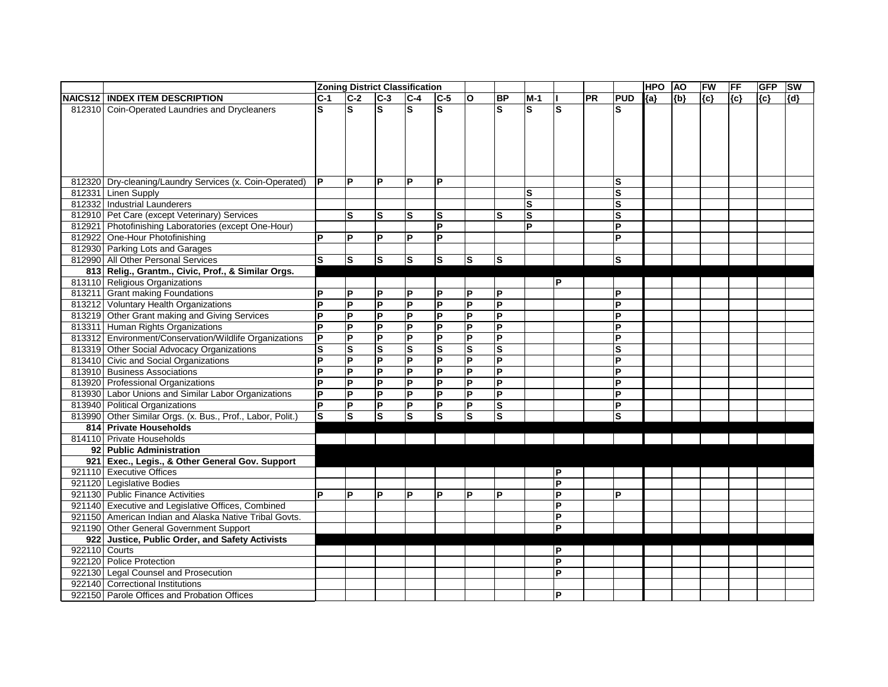|               |                                                         |                | <b>Zoning District Classification</b> |                         |                         |                |                         |                |             |                         |    |             | <b>HPO</b> | <b>AO</b> | FW    | FF      | <b>GFP</b> | <b>SW</b> |
|---------------|---------------------------------------------------------|----------------|---------------------------------------|-------------------------|-------------------------|----------------|-------------------------|----------------|-------------|-------------------------|----|-------------|------------|-----------|-------|---------|------------|-----------|
|               | NAICS12   INDEX ITEM DESCRIPTION                        | $C-1$          | $ C-2 $                               | $ C-3 $                 | $C-4$                   | $ C-5 $        | $\overline{1}$          | B <sub>P</sub> | $M-1$       |                         | PR | <b>PUD</b>  | ${a}$      | ${b}$     | ${c}$ | $\{c\}$ | ${c}$      | $\{d\}$   |
|               | 812310 Coin-Operated Laundries and Drycleaners          | S              | ls                                    | ls                      | ls.                     | S              |                         | S              | S           | ls                      |    | S           |            |           |       |         |            |           |
|               |                                                         |                |                                       |                         |                         |                |                         |                |             |                         |    |             |            |           |       |         |            |           |
|               |                                                         |                |                                       |                         |                         |                |                         |                |             |                         |    |             |            |           |       |         |            |           |
|               |                                                         |                |                                       |                         |                         |                |                         |                |             |                         |    |             |            |           |       |         |            |           |
|               |                                                         |                |                                       |                         |                         |                |                         |                |             |                         |    |             |            |           |       |         |            |           |
|               |                                                         |                |                                       |                         |                         |                |                         |                |             |                         |    |             |            |           |       |         |            |           |
|               | 812320 Dry-cleaning/Laundry Services (x. Coin-Operated) | IP.            | lP.                                   | <b>P</b>                | $\mathsf{P}$            | P              |                         |                |             |                         |    | ls          |            |           |       |         |            |           |
|               | 812331 Linen Supply                                     |                |                                       |                         |                         |                |                         |                | S           |                         |    | S           |            |           |       |         |            |           |
|               | 812332 Industrial Launderers                            |                |                                       |                         |                         |                |                         |                | ${\bf S}$   |                         |    | S           |            |           |       |         |            |           |
|               | 812910 Pet Care (except Veterinary) Services            |                | $\vert$ S                             | ls                      | lS.                     | ls             |                         | S              | $\mathbf s$ |                         |    | $\mathbf s$ |            |           |       |         |            |           |
|               | 812921 Photofinishing Laboratories (except One-Hour)    |                |                                       |                         |                         | P              |                         |                | P           |                         |    | P           |            |           |       |         |            |           |
|               | 812922 One-Hour Photofinishing                          | D              | l P                                   | <b>P</b>                | P                       | P              |                         |                |             |                         |    | P           |            |           |       |         |            |           |
|               | 812930 Parking Lots and Garages                         |                |                                       |                         |                         |                |                         |                |             |                         |    |             |            |           |       |         |            |           |
|               | 812990 All Other Personal Services                      | ls             | $ \overline{s} $                      | $ \mathsf{s} $          | $ \mathsf{s} $          | $ \mathsf{s} $ | $\overline{\mathsf{s}}$ | ls             |             |                         |    | ls.         |            |           |       |         |            |           |
|               | 813 Relig., Grantm., Civic, Prof., & Similar Orgs.      |                |                                       |                         |                         |                |                         |                |             |                         |    |             |            |           |       |         |            |           |
|               | 813110 Religious Organizations                          |                |                                       |                         |                         |                |                         |                |             | P                       |    |             |            |           |       |         |            |           |
|               | 813211 Grant making Foundations                         | D              | P                                     | <b>P</b>                | P                       | P              | P                       | P              |             |                         |    | P           |            |           |       |         |            |           |
|               | 813212 Voluntary Health Organizations                   | D              | lP.                                   | <b>P</b>                | $\overline{P}$          | P              | $\mathsf{P}$            | P              |             |                         |    | P           |            |           |       |         |            |           |
|               | 813219 Other Grant making and Giving Services           | P              | lP.                                   | <b>P</b>                | $\mathsf{P}$            | P              | P                       | P              |             |                         |    | P           |            |           |       |         |            |           |
|               | 813311 Human Rights Organizations                       | P              | $\overline{\mathsf{P}}$               | $\overline{\mathsf{P}}$ | Δ                       | $\overline{P}$ | Δ                       | $\overline{P}$ |             |                         |    | P           |            |           |       |         |            |           |
|               | 813312 Environment/Conservation/Wildlife Organizations  | P              | lP.                                   | <b>P</b>                | $\mathsf{P}$            | P              | P                       | P              |             |                         |    | P           |            |           |       |         |            |           |
|               | 813319 Other Social Advocacy Organizations              | S              | ls                                    | lS                      | $\vert$ S               | ${\bf S}$      | $\vert$ S               | S              |             |                         |    | S           |            |           |       |         |            |           |
|               | 813410 Civic and Social Organizations                   | P              | $\overline{\mathsf{P}}$               | $\overline{P}$          | L                       | P              | L                       | $\overline{P}$ |             |                         |    | P           |            |           |       |         |            |           |
|               | 813910 Business Associations                            | P              | P                                     | $\overline{P}$          | L                       | $\mathsf{P}$   | P                       | $\overline{P}$ |             |                         |    | P           |            |           |       |         |            |           |
|               | 813920 Professional Organizations                       | P              | lP.                                   | $\overline{P}$          | E                       | P              | <b>P</b>                | $\overline{P}$ |             |                         |    | P           |            |           |       |         |            |           |
|               | 813930 Labor Unions and Similar Labor Organizations     | P              | P                                     | $\overline{P}$          | L                       | P              | $\mathsf{P}$            | P              |             |                         |    | P           |            |           |       |         |            |           |
|               | 813940 Political Organizations                          | $\overline{P}$ | $\overline{\mathsf{P}}$               | $\overline{P}$          | $\overline{\mathsf{P}}$ | P              | İР.                     | $\vert s$      |             |                         |    | P           |            |           |       |         |            |           |
| 813990        | Other Similar Orgs. (x. Bus., Prof., Labor, Polit.)     | Ø              | ls                                    | ls                      | ່ທ                      | ls             | ls                      | Ω              |             |                         |    | ls          |            |           |       |         |            |           |
|               | 814 Private Households                                  |                |                                       |                         |                         |                |                         |                |             |                         |    |             |            |           |       |         |            |           |
|               | 814110 Private Households                               |                |                                       |                         |                         |                |                         |                |             |                         |    |             |            |           |       |         |            |           |
|               | 92 Public Administration                                |                |                                       |                         |                         |                |                         |                |             |                         |    |             |            |           |       |         |            |           |
|               | 921 Exec., Legis., & Other General Gov. Support         |                |                                       |                         |                         |                |                         |                |             |                         |    |             |            |           |       |         |            |           |
|               | 921110 Executive Offices                                |                |                                       |                         |                         |                |                         |                |             | P                       |    |             |            |           |       |         |            |           |
|               | 921120 Legislative Bodies                               |                |                                       |                         |                         |                |                         |                |             | $\overline{\mathsf{P}}$ |    |             |            |           |       |         |            |           |
|               | 921130 Public Finance Activities                        | D              | l P                                   | l P                     | P                       | P              | lP.                     | P              |             | Δ                       |    | IP.         |            |           |       |         |            |           |
|               | 921140 Executive and Legislative Offices, Combined      |                |                                       |                         |                         |                |                         |                |             | $\mathsf{P}$            |    |             |            |           |       |         |            |           |
|               | 921150 American Indian and Alaska Native Tribal Govts.  |                |                                       |                         |                         |                |                         |                |             | P                       |    |             |            |           |       |         |            |           |
|               | 921190 Other General Government Support                 |                |                                       |                         |                         |                |                         |                |             | $\overline{P}$          |    |             |            |           |       |         |            |           |
|               | 922 Justice, Public Order, and Safety Activists         |                |                                       |                         |                         |                |                         |                |             |                         |    |             |            |           |       |         |            |           |
| 922110 Courts |                                                         |                |                                       |                         |                         |                |                         |                |             | P                       |    |             |            |           |       |         |            |           |
|               | 922120 Police Protection                                |                |                                       |                         |                         |                |                         |                |             | P                       |    |             |            |           |       |         |            |           |
|               | 922130 Legal Counsel and Prosecution                    |                |                                       |                         |                         |                |                         |                |             | P                       |    |             |            |           |       |         |            |           |
|               | 922140 Correctional Institutions                        |                |                                       |                         |                         |                |                         |                |             |                         |    |             |            |           |       |         |            |           |
|               | 922150 Parole Offices and Probation Offices             |                |                                       |                         |                         |                |                         |                |             | <b>P</b>                |    |             |            |           |       |         |            |           |